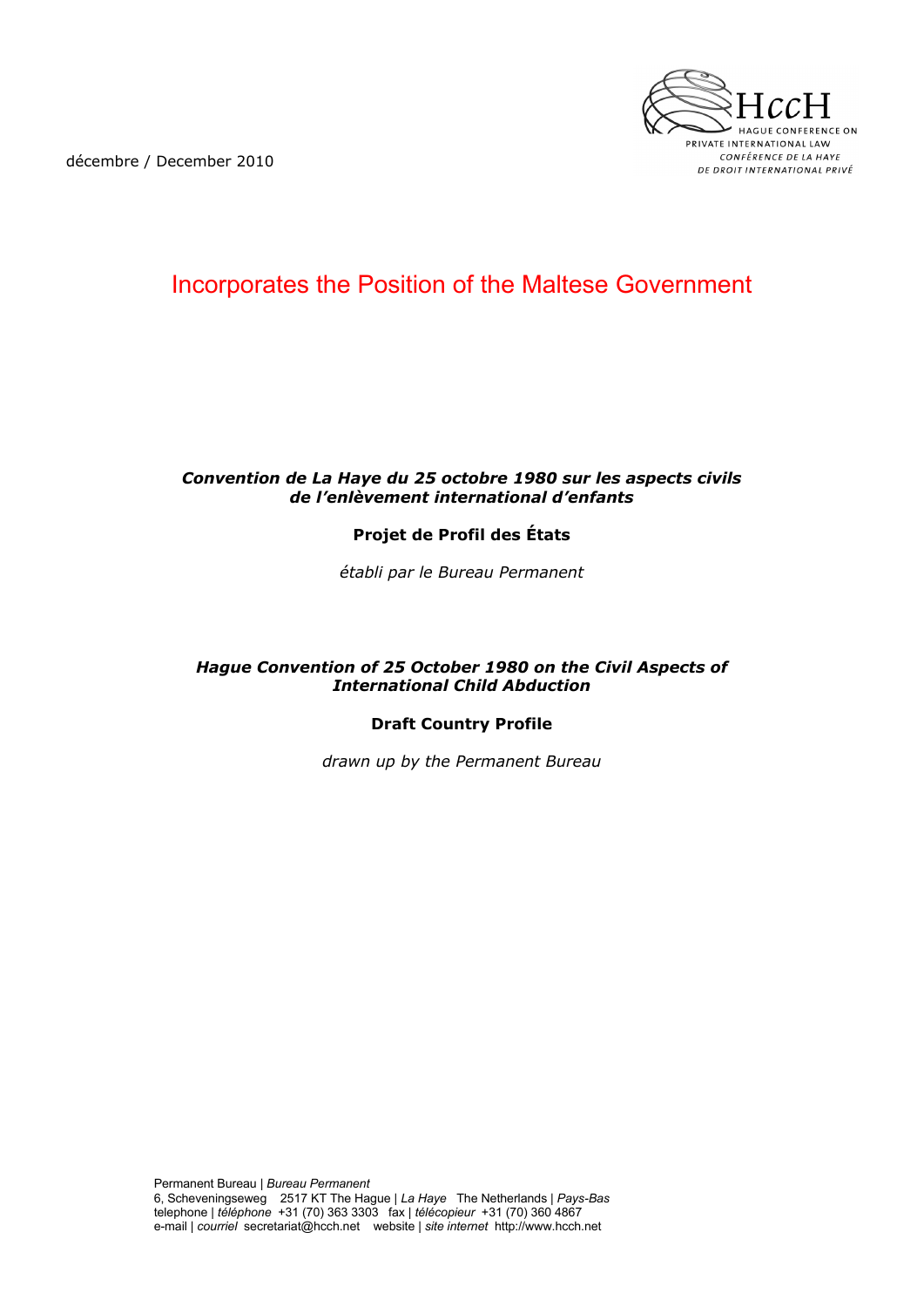décembre / December 2010



## Incorporates the Position of the Maltese Government

#### *Convention de La Haye du 25 octobre 1980 sur les aspects civils de l'enlèvement international d'enfants*

### **Projet de Profil des États**

*établi par le Bureau Permanent*

#### *Hague Convention of 25 October 1980 on the Civil Aspects of International Child Abduction*

#### **Draft Country Profile**

*drawn up by the Permanent Bureau*

Permanent Bureau | *Bureau Permanent*  6, Scheveningseweg 2517 KT The Hague | *La Haye* The Netherlands | *Pays-Bas* telephone | *téléphone* +31 (70) 363 3303 fax | *télécopieur* +31 (70) 360 4867 e-mail | *courriel* secretariat@hcch.net website | *site internet* http://www.hcch.net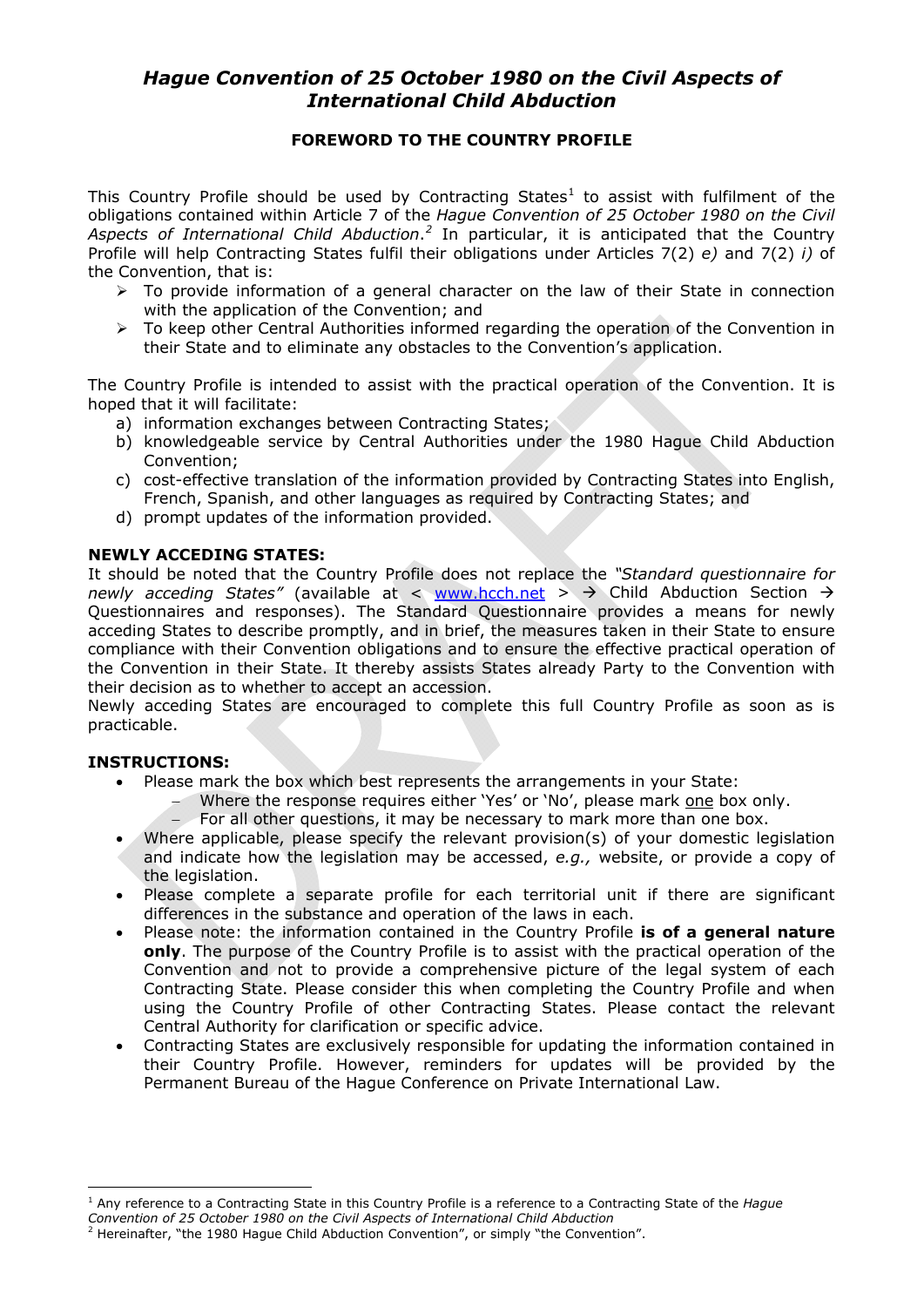### *Hague Convention of 25 October 1980 on the Civil Aspects of International Child Abduction*

#### **FOREWORD TO THE COUNTRY PROFILE**

This Country Profile should be used by Contracting States<sup>[1](#page-1-0)</sup> to assist with fulfilment of the obligations contained within Article 7 of the *Hague Convention of 25 October 1980 on the Civil*  Aspects of International Child Abduction.<sup>[2](#page-1-1)</sup> In particular, it is anticipated that the Country Profile will help Contracting States fulfil their obligations under Articles 7(2) *e)* and 7(2) *i)* of the Convention, that is:

- $\triangleright$  To provide information of a general character on the law of their State in connection with the application of the Convention; and
- $\triangleright$  To keep other Central Authorities informed regarding the operation of the Convention in their State and to eliminate any obstacles to the Convention's application.

<span id="page-1-2"></span>The Country Profile is intended to assist with the practical operation of the Convention. It is hoped that it will facilitate:

- a) information exchanges between Contracting States;
- b) knowledgeable service by Central Authorities under the 1980 Hague Child Abduction Convention;
- c) cost-effective translation of the information provided by Contracting States into English, French, Spanish, and other languages as required by Contracting States; and
- d) prompt updates of the information provided.

#### **NEWLY ACCEDING STATES:**

It should be noted that the Country Profile does not replace the *"Standard questionnaire for newly acceding States"* (available at < [www.hcch.net](http://www.hcch.net/) >  $\rightarrow$  Child Abduction Section  $\rightarrow$ Questionnaires and responses). The Standard Questionnaire provides a means for newly acceding States to describe promptly, and in brief, the measures taken in their State to ensure compliance with their Convention obligations and to ensure the effective practical operation of the Convention in their State. It thereby assists States already Party to the Convention with their decision as to whether to accept an accession.

Newly acceding States are encouraged to complete this full Country Profile as soon as is practicable.

#### **INSTRUCTIONS:**

 $\overline{a}$ 

- Please mark the box which best represents the arrangements in your State:
	- Where the response requires either 'Yes' or 'No', please mark one box only.
	- For all other questions, it may be necessary to mark more than one box.
- Where applicable, please specify the relevant provision(s) of your domestic legislation and indicate how the legislation may be accessed, *e.g.,* website, or provide a copy of the legislation.
- Please complete a separate profile for each territorial unit if there are significant differences in the substance and operation of the laws in each.
- Please note: the information contained in the Country Profile **is of a general nature only**. The purpose of the Country Profile is to assist with the practical operation of the Convention and not to provide a comprehensive picture of the legal system of each Contracting State. Please consider this when completing the Country Profile and when using the Country Profile of other Contracting States. Please contact the relevant Central Authority for clarification or specific advice.
- Contracting States are exclusively responsible for updating the information contained in their Country Profile. However, reminders for updates will be provided by the Permanent Bureau of the Hague Conference on Private International Law.

<span id="page-1-0"></span><sup>1</sup> Any reference to a Contracting State in this Country Profile is a reference to a Contracting State of the *Hague Convention of 25 October 1980 on the Civil Aspects of International Child Abduction* 

<span id="page-1-1"></span><sup>&</sup>lt;sup>2</sup> Hereinafter, "the 1980 Hague Child Abduction Convention", or simply "the Convention".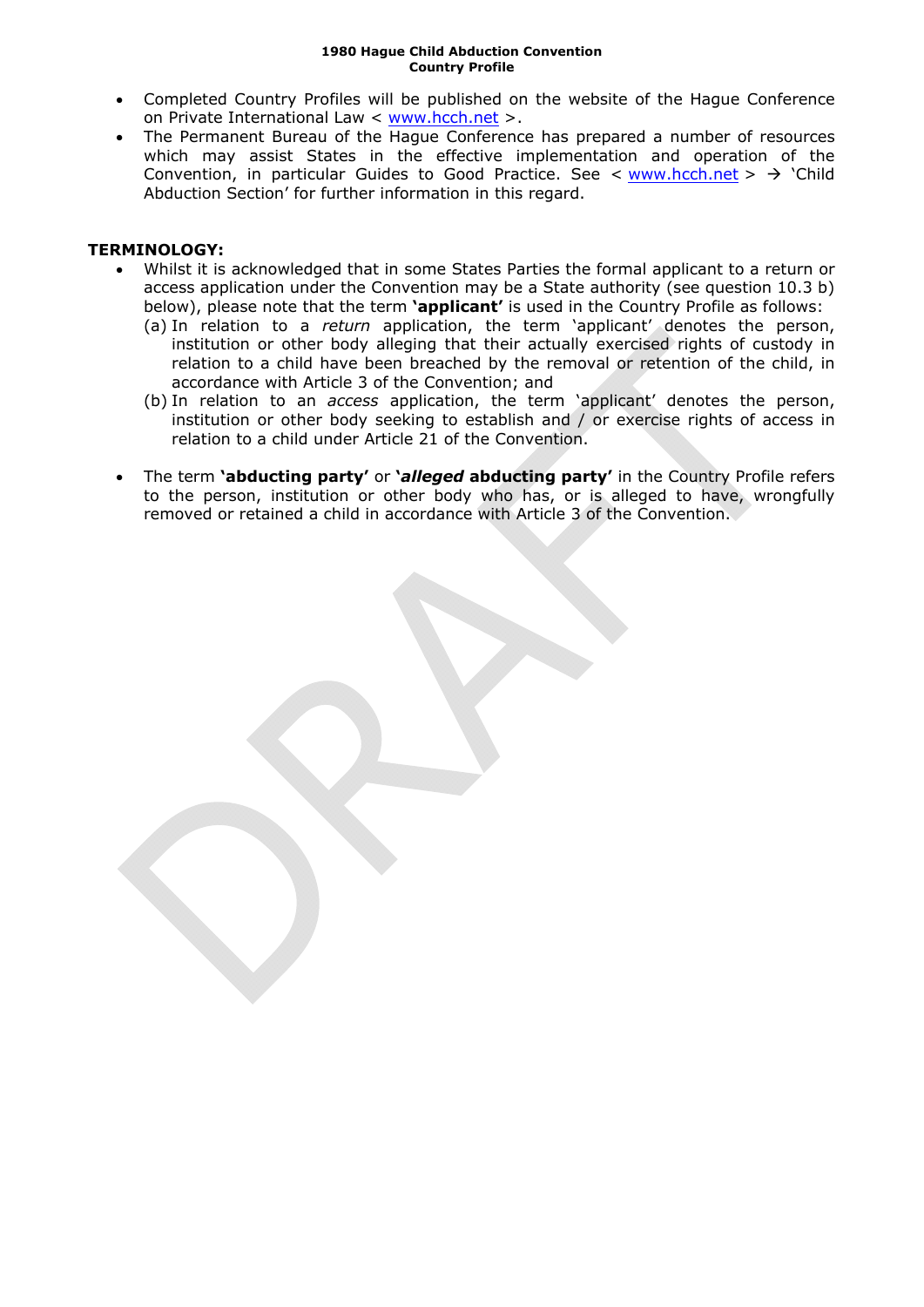- Completed Country Profiles will be published on the website of the Hague Conference on Private International Law < [www.hcch.net](http://www.hcch.net/) >.
- The Permanent Bureau of the Hague Conference has prepared a number of resources which may assist States in the effective implementation and operation of the Convention, in particular Guides to Good Practice. See  $\lt$  [www.hcch.net](http://www.hcch.net/)  $>$   $\gt$  'Child Abduction Section' for further information in this regard.

#### **TERMINOLOGY:**

- Whilst it is acknowledged that in some States Parties the formal applicant to a return or access application under the Convention may be a State authority (see question [10.3](#page-18-0) [b\)](#page-18-1) below), please note that the term **'applicant'** is used in the Country Profile as follows:
	- (a) In relation to a *return* application, the term 'applicant' denotes the person, institution or other body alleging that their actually exercised rights of custody in relation to a child have been breached by the removal or retention of the child, in accordance with Article 3 of the Convention; and
	- (b) In relation to an *access* application, the term 'applicant' denotes the person, institution or other body seeking to establish and / or exercise rights of access in relation to a child under Article 21 of the Convention.
- The term **'abducting party'** or **'***alleged* **abducting party'** in the Country Profile refers to the person, institution or other body who has, or is alleged to have, wrongfully removed or retained a child in accordance with Article 3 of the Convention.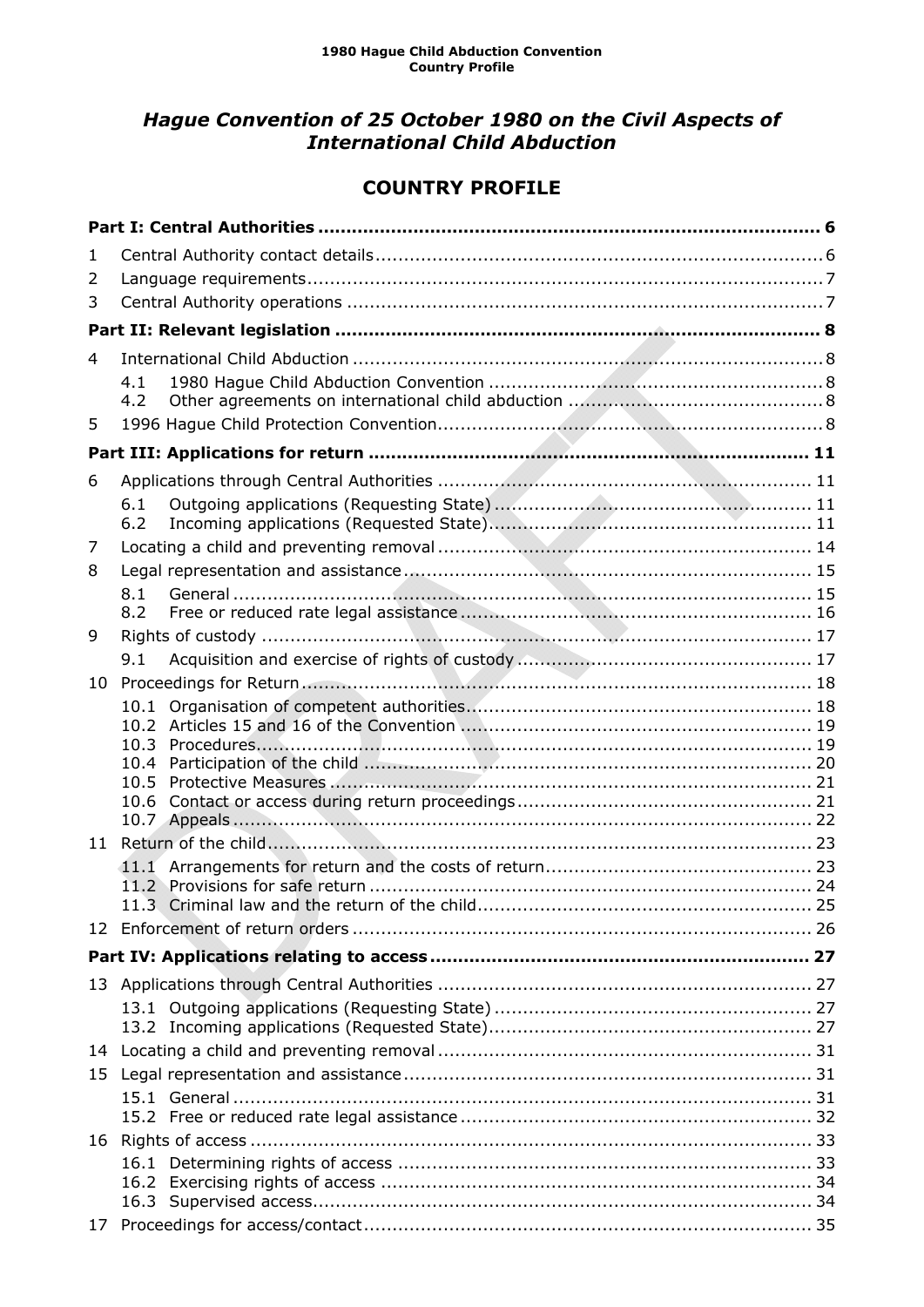### *Hague Convention of 25 October 1980 on the Civil Aspects of International Child Abduction*

### **COUNTRY PROFILE**

| 1  |                      |  |
|----|----------------------|--|
| 2  |                      |  |
| 3  |                      |  |
|    |                      |  |
| 4  |                      |  |
|    | 4.1<br>4.2           |  |
| 5  |                      |  |
|    |                      |  |
| 6  |                      |  |
|    | 6.1<br>6.2           |  |
| 7  |                      |  |
| 8  |                      |  |
|    | 8.1<br>8.2           |  |
| 9  |                      |  |
|    | 9.1                  |  |
| 10 |                      |  |
|    | 10.1<br>10.2<br>10.3 |  |
|    | 10.4                 |  |
|    | 10.5                 |  |
|    | 10.6                 |  |
| 11 |                      |  |
|    |                      |  |
|    |                      |  |
|    |                      |  |
|    |                      |  |
|    |                      |  |
|    |                      |  |
|    |                      |  |
|    |                      |  |
| 15 |                      |  |
|    |                      |  |
|    |                      |  |
|    |                      |  |
|    |                      |  |
|    |                      |  |
|    |                      |  |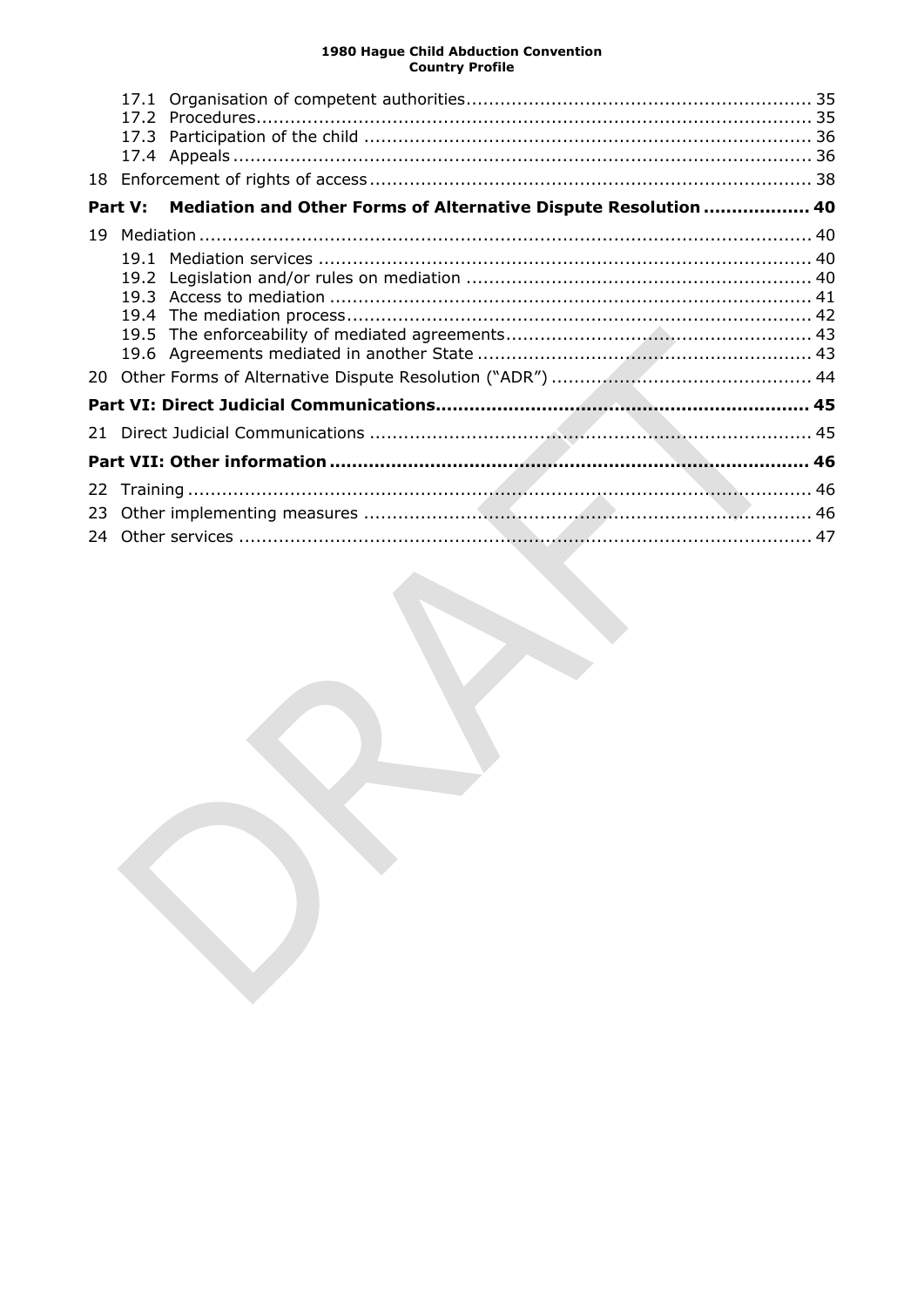| 18  | 17.1    |                                                                 |  |
|-----|---------|-----------------------------------------------------------------|--|
|     | Part V: | Mediation and Other Forms of Alternative Dispute Resolution  40 |  |
| 19  |         |                                                                 |  |
|     | 19.1    |                                                                 |  |
|     |         |                                                                 |  |
|     | 19.4    |                                                                 |  |
|     | 19.5    |                                                                 |  |
|     |         |                                                                 |  |
| 20. |         |                                                                 |  |
|     |         |                                                                 |  |
| 21  |         |                                                                 |  |
|     |         |                                                                 |  |
| 22  |         |                                                                 |  |
| 23  |         |                                                                 |  |
| 24  |         |                                                                 |  |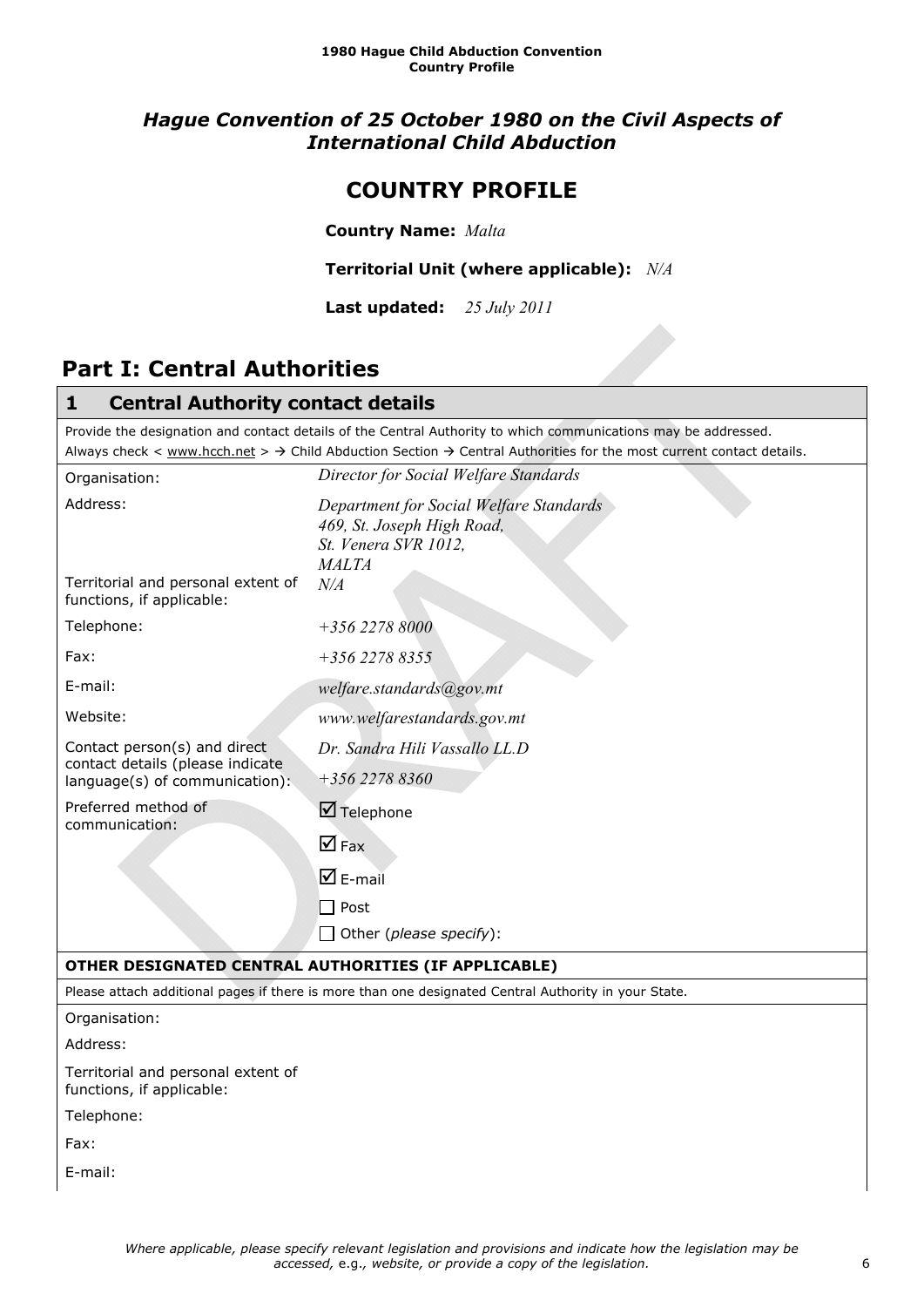### *Hague Convention of 25 October 1980 on the Civil Aspects of International Child Abduction*

### **COUNTRY PROFILE**

**Country Name:** *Malta* 

**Territorial Unit (where applicable):** *N/A*

**Last updated:** *25 July 2011*

## <span id="page-5-0"></span>**Part I: Central Authorities**

<span id="page-5-1"></span>

| <b>Central Authority contact details</b><br>1                                                                                                                                                                                                                 |                                                                                                               |  |  |  |
|---------------------------------------------------------------------------------------------------------------------------------------------------------------------------------------------------------------------------------------------------------------|---------------------------------------------------------------------------------------------------------------|--|--|--|
| Provide the designation and contact details of the Central Authority to which communications may be addressed.<br>Always check < www.hcch.net > $\rightarrow$ Child Abduction Section $\rightarrow$ Central Authorities for the most current contact details. |                                                                                                               |  |  |  |
| Director for Social Welfare Standards<br>Organisation:                                                                                                                                                                                                        |                                                                                                               |  |  |  |
| Address:                                                                                                                                                                                                                                                      | Department for Social Welfare Standards<br>469, St. Joseph High Road,<br>St. Venera SVR 1012,<br><b>MALTA</b> |  |  |  |
| Territorial and personal extent of<br>$N\!/\!A$<br>functions, if applicable:                                                                                                                                                                                  |                                                                                                               |  |  |  |
| Telephone:                                                                                                                                                                                                                                                    | $+35622788000$                                                                                                |  |  |  |
| Fax:                                                                                                                                                                                                                                                          | $+35622788355$                                                                                                |  |  |  |
| E-mail:                                                                                                                                                                                                                                                       | welfare.standards@gov.mt                                                                                      |  |  |  |
| Website:                                                                                                                                                                                                                                                      | www.welfarestandards.gov.mt                                                                                   |  |  |  |
| Contact person(s) and direct<br>contact details (please indicate                                                                                                                                                                                              | Dr. Sandra Hili Vassallo LL.D                                                                                 |  |  |  |
| language(s) of communication):                                                                                                                                                                                                                                | +356 2278 8360                                                                                                |  |  |  |
| Preferred method of<br>communication:                                                                                                                                                                                                                         | $\boxtimes$ Telephone                                                                                         |  |  |  |
|                                                                                                                                                                                                                                                               | $\nabla$ Fax                                                                                                  |  |  |  |
|                                                                                                                                                                                                                                                               | $\overline{\mathbf{M}}$ E-mail                                                                                |  |  |  |
|                                                                                                                                                                                                                                                               | Post                                                                                                          |  |  |  |
|                                                                                                                                                                                                                                                               | Other (please specify):                                                                                       |  |  |  |
|                                                                                                                                                                                                                                                               | OTHER DESIGNATED CENTRAL AUTHORITIES (IF APPLICABLE)                                                          |  |  |  |
|                                                                                                                                                                                                                                                               | Please attach additional pages if there is more than one designated Central Authority in your State.          |  |  |  |
| Organisation:                                                                                                                                                                                                                                                 |                                                                                                               |  |  |  |
| Address:                                                                                                                                                                                                                                                      |                                                                                                               |  |  |  |
| Territorial and personal extent of<br>functions, if applicable:                                                                                                                                                                                               |                                                                                                               |  |  |  |
| Telephone:                                                                                                                                                                                                                                                    |                                                                                                               |  |  |  |
| Fax:                                                                                                                                                                                                                                                          |                                                                                                               |  |  |  |

E-mail: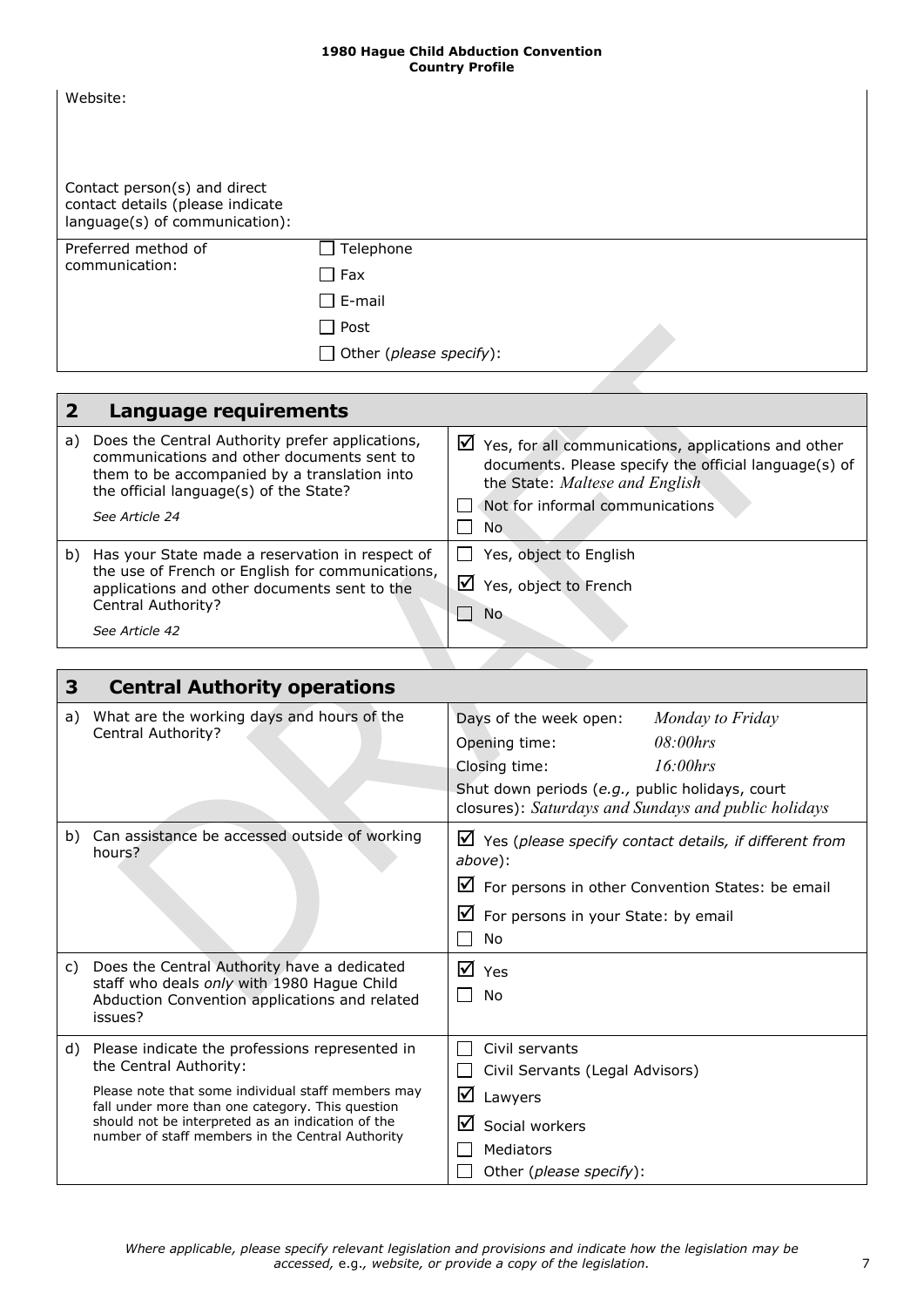| Contact person(s) and direct<br>contact details (please indicate<br>language(s) of communication):<br>Telephone<br>Preferred method of<br>communication:<br>$\Box$ Fax<br>$\Box$ E-mail<br>$\Box$ Post | Website: |                                |
|--------------------------------------------------------------------------------------------------------------------------------------------------------------------------------------------------------|----------|--------------------------------|
|                                                                                                                                                                                                        |          |                                |
|                                                                                                                                                                                                        |          |                                |
|                                                                                                                                                                                                        |          |                                |
|                                                                                                                                                                                                        |          |                                |
|                                                                                                                                                                                                        |          |                                |
|                                                                                                                                                                                                        |          | $\Box$ Other (please specify): |

<span id="page-6-0"></span>

|    | Language requirements                                                                                                                                                                                     |                                                                                                                                                                                                           |
|----|-----------------------------------------------------------------------------------------------------------------------------------------------------------------------------------------------------------|-----------------------------------------------------------------------------------------------------------------------------------------------------------------------------------------------------------|
| a) | Does the Central Authority prefer applications,<br>communications and other documents sent to<br>them to be accompanied by a translation into<br>the official language(s) of the State?<br>See Article 24 | $\triangleright$ Yes, for all communications, applications and other<br>documents. Please specify the official language(s) of<br>the State: Maltese and English<br>Not for informal communications<br>No. |
| b) | Has your State made a reservation in respect of<br>the use of French or English for communications,<br>applications and other documents sent to the<br>Central Authority?<br>See Article 42               | Yes, object to English<br>$\mathsf{M}$<br>Yes, object to French<br><b>No</b>                                                                                                                              |

<span id="page-6-1"></span>

| 3  | <b>Central Authority operations</b>                                                                                                                                                                                                                                                         |                                                                                                                                                                                                                    |
|----|---------------------------------------------------------------------------------------------------------------------------------------------------------------------------------------------------------------------------------------------------------------------------------------------|--------------------------------------------------------------------------------------------------------------------------------------------------------------------------------------------------------------------|
| a) | What are the working days and hours of the<br>Central Authority?                                                                                                                                                                                                                            | Days of the week open:<br>Monday to Friday<br>08:00hrs<br>Opening time:<br>$16:00$ hrs<br>Closing time:<br>Shut down periods (e.g., public holidays, court<br>closures): Saturdays and Sundays and public holidays |
| b) | Can assistance be accessed outside of working<br>hours?                                                                                                                                                                                                                                     | $\triangledown$ Yes (please specify contact details, if different from<br>above):<br>☑<br>For persons in other Convention States: be email<br>⊻<br>For persons in your State: by email<br>No                       |
| C) | Does the Central Authority have a dedicated<br>staff who deals only with 1980 Hague Child<br>Abduction Convention applications and related<br>issues?                                                                                                                                       | ☑<br>Yes<br>No                                                                                                                                                                                                     |
| d) | Please indicate the professions represented in<br>the Central Authority:<br>Please note that some individual staff members may<br>fall under more than one category. This question<br>should not be interpreted as an indication of the<br>number of staff members in the Central Authority | Civil servants<br>Civil Servants (Legal Advisors)<br>☑<br>Lawyers<br>☑<br>Social workers<br>Mediators<br>Other (please specify):                                                                                   |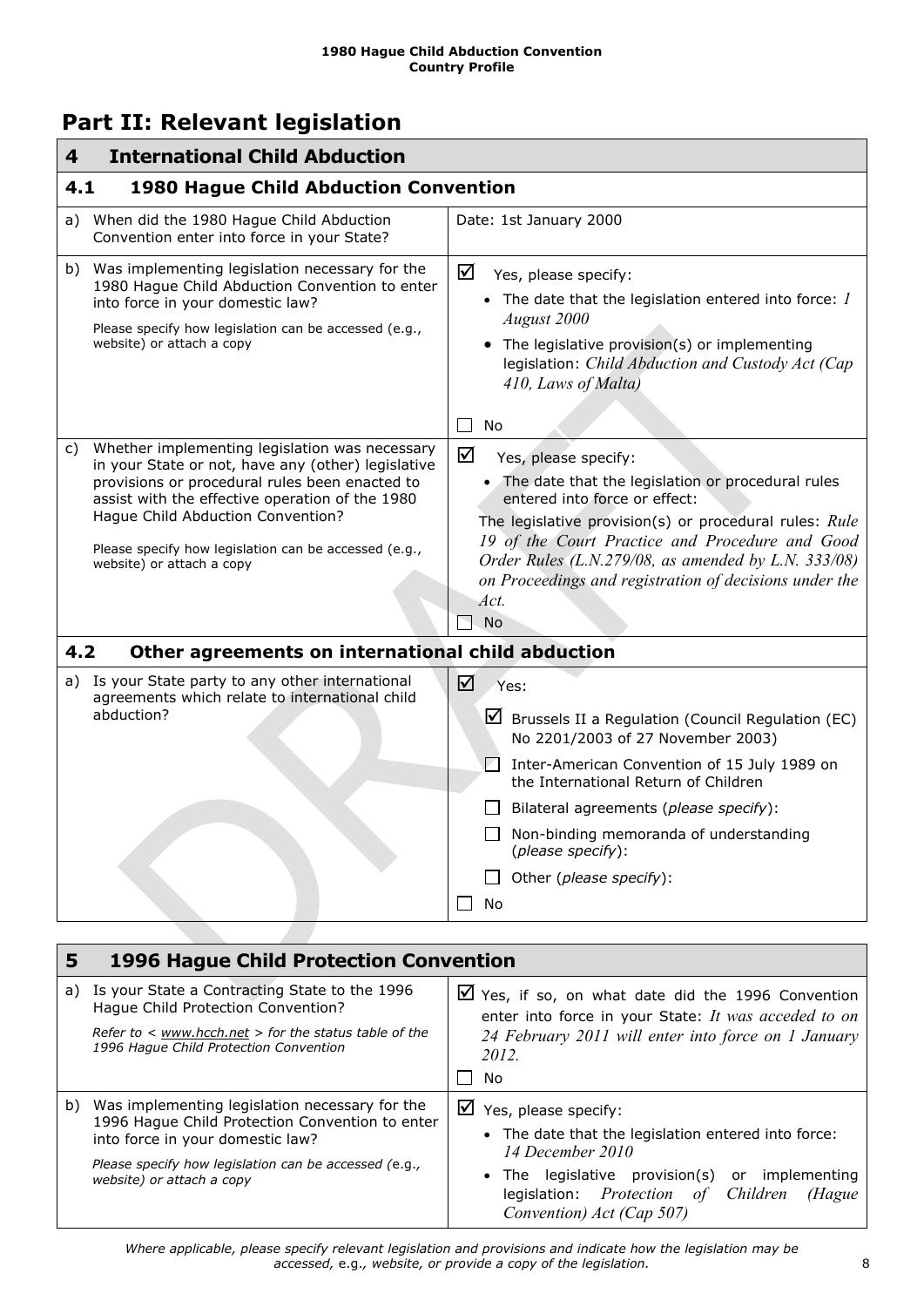## <span id="page-7-0"></span>**Part II: Relevant legislation**

<span id="page-7-2"></span><span id="page-7-1"></span>

| <b>International Child Abduction</b><br>4                                                                                                                                                                                                                                                                                                  |                                                                                                                                                                                                                                                                                                                                                                      |  |  |
|--------------------------------------------------------------------------------------------------------------------------------------------------------------------------------------------------------------------------------------------------------------------------------------------------------------------------------------------|----------------------------------------------------------------------------------------------------------------------------------------------------------------------------------------------------------------------------------------------------------------------------------------------------------------------------------------------------------------------|--|--|
| 4.1<br><b>1980 Hague Child Abduction Convention</b>                                                                                                                                                                                                                                                                                        |                                                                                                                                                                                                                                                                                                                                                                      |  |  |
| When did the 1980 Hague Child Abduction<br>a)<br>Convention enter into force in your State?                                                                                                                                                                                                                                                | Date: 1st January 2000                                                                                                                                                                                                                                                                                                                                               |  |  |
| Was implementing legislation necessary for the<br>b)<br>1980 Hague Child Abduction Convention to enter<br>into force in your domestic law?<br>Please specify how legislation can be accessed (e.g.,<br>website) or attach a copy                                                                                                           | ☑<br>Yes, please specify:<br>• The date that the legislation entered into force: $I$<br>August 2000<br>• The legislative provision(s) or implementing<br>legislation: Child Abduction and Custody Act (Cap<br>410, Laws of Malta)<br>No                                                                                                                              |  |  |
| Whether implementing legislation was necessary<br>C)<br>in your State or not, have any (other) legislative<br>provisions or procedural rules been enacted to<br>assist with the effective operation of the 1980<br>Hague Child Abduction Convention?<br>Please specify how legislation can be accessed (e.g.,<br>website) or attach a copy | ☑<br>Yes, please specify:<br>• The date that the legislation or procedural rules<br>entered into force or effect:<br>The legislative provision(s) or procedural rules: Rule<br>19 of the Court Practice and Procedure and Good<br>Order Rules (L.N.279/08, as amended by L.N. 333/08)<br>on Proceedings and registration of decisions under the<br>Act.<br><b>No</b> |  |  |
| 4.2<br>Other agreements on international child abduction                                                                                                                                                                                                                                                                                   |                                                                                                                                                                                                                                                                                                                                                                      |  |  |
| a) Is your State party to any other international<br>agreements which relate to international child<br>abduction?                                                                                                                                                                                                                          | ☑<br>Yes:<br>⊻<br>Brussels II a Regulation (Council Regulation (EC)<br>No 2201/2003 of 27 November 2003)<br>И<br>Inter-American Convention of 15 July 1989 on<br>the International Return of Children<br>Bilateral agreements (please specify):<br>Non-binding memoranda of understanding<br>(please specify):<br>Other (please specify):<br>No                      |  |  |
| 1006 Hague Child Dretection Convention                                                                                                                                                                                                                                                                                                     |                                                                                                                                                                                                                                                                                                                                                                      |  |  |

<span id="page-7-4"></span><span id="page-7-3"></span>

| 5  | <b>1996 Hague Child Protection Convention</b>                                                                                                                                                                               |                                                                                                                                                                                                                                                 |  |
|----|-----------------------------------------------------------------------------------------------------------------------------------------------------------------------------------------------------------------------------|-------------------------------------------------------------------------------------------------------------------------------------------------------------------------------------------------------------------------------------------------|--|
| a) | Is your State a Contracting State to the 1996<br>Hague Child Protection Convention?<br>Refer to $\lt$ www.hcch.net $>$ for the status table of the<br>1996 Haque Child Protection Convention                                | $\triangledown$ Yes, if so, on what date did the 1996 Convention<br>enter into force in your State: It was acceded to on<br>24 February 2011 will enter into force on 1 January<br>2012.<br>No                                                  |  |
| b) | Was implementing legislation necessary for the<br>1996 Hague Child Protection Convention to enter<br>into force in your domestic law?<br>Please specify how legislation can be accessed (e.g.,<br>website) or attach a copy | $\triangledown$ Yes, please specify:<br>• The date that the legislation entered into force:<br>14 December 2010<br>• The legislative provision(s) or implementing<br>legislation: Protection of Children<br>(Hague<br>Convention) Act (Cap 507) |  |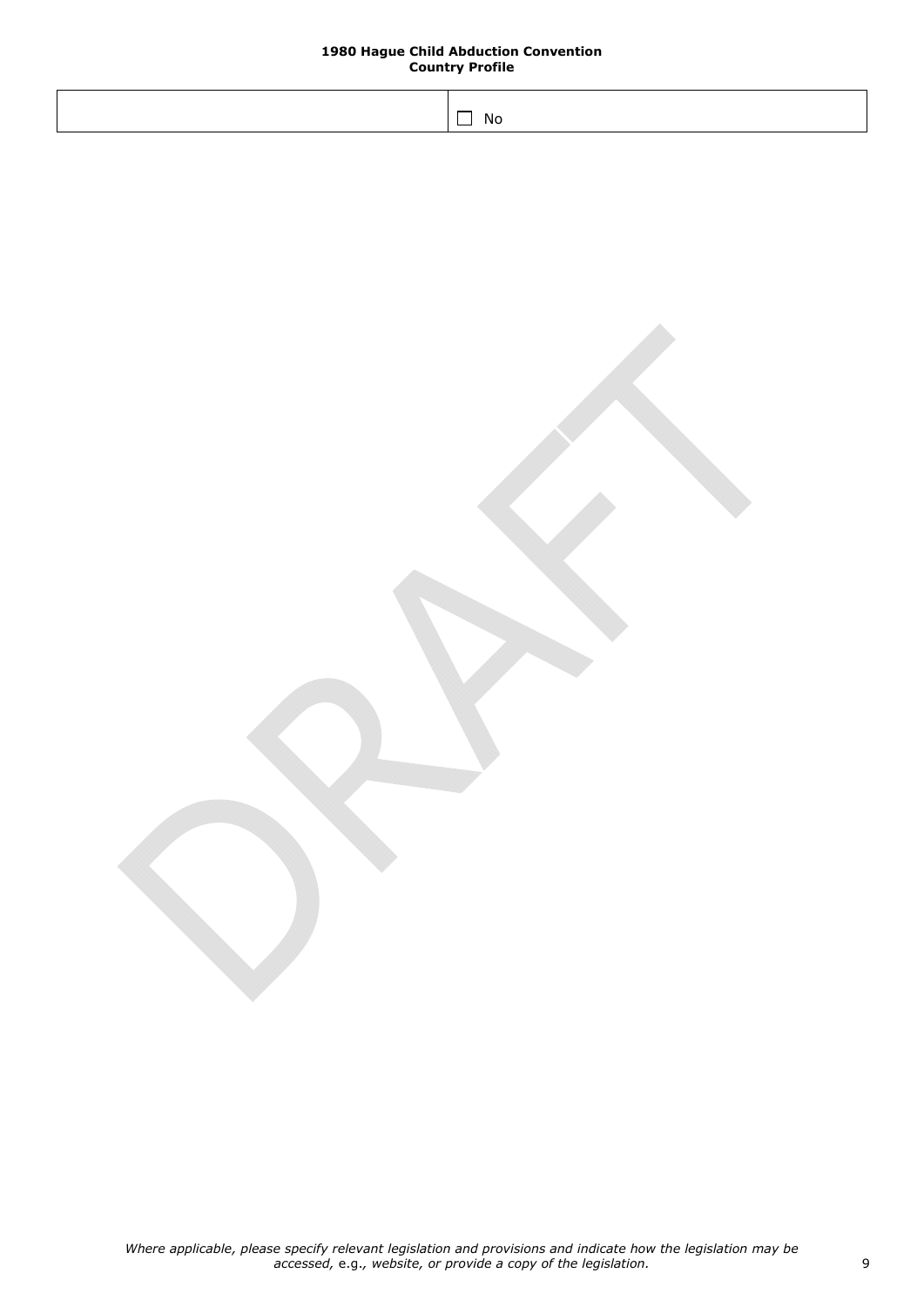| No. |
|-----|
|     |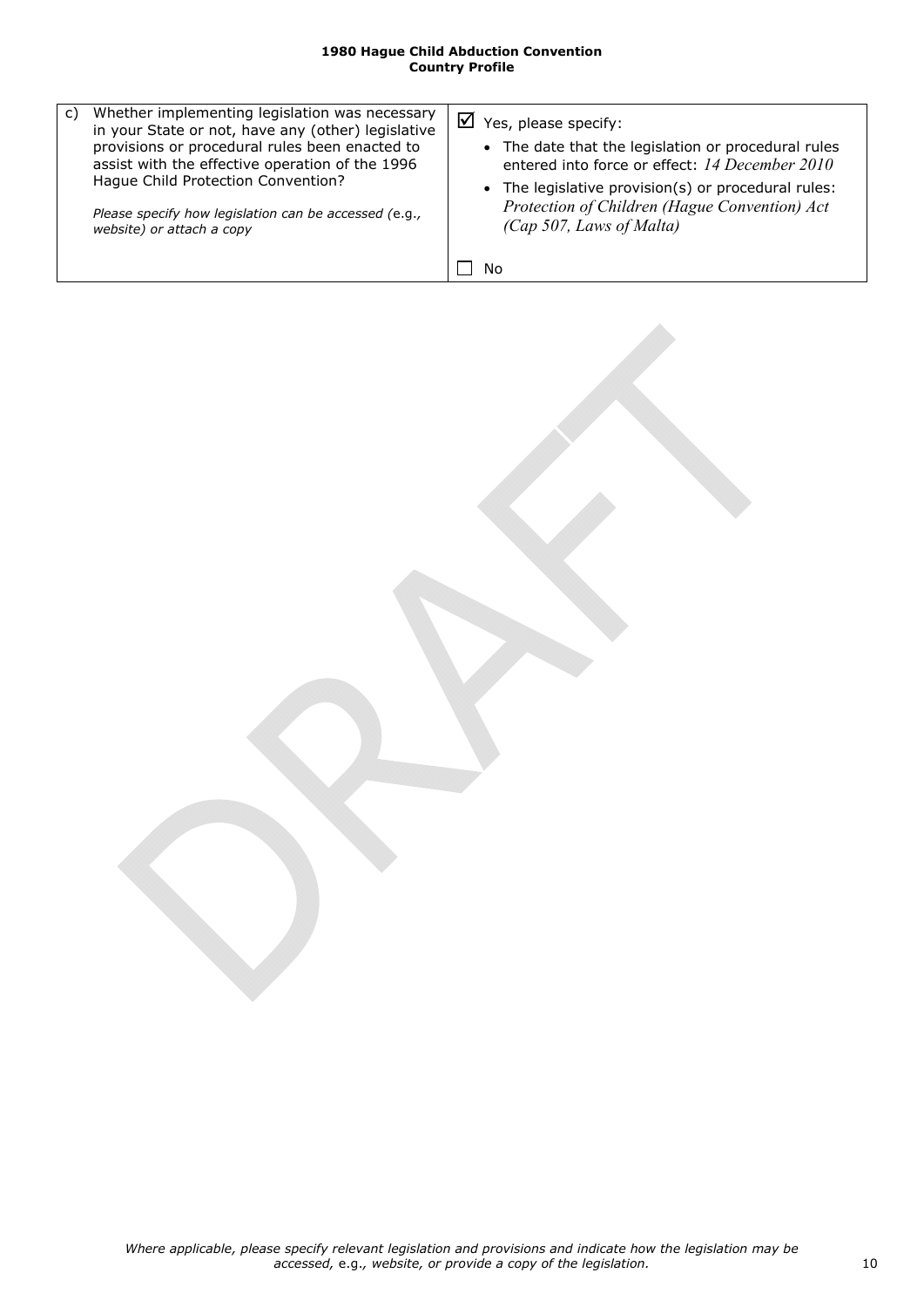| • The date that the legislation or procedural rules<br>provisions or procedural rules been enacted to<br>assist with the effective operation of the 1996<br>Haque Child Protection Convention?<br>Please specify how legislation can be accessed (e.g.,<br>(Cap 507, Laws of Malta)<br>website) or attach a copy | entered into force or effect: 14 December 2010<br>• The legislative provision(s) or procedural rules:<br>Protection of Children (Hague Convention) Act |
|------------------------------------------------------------------------------------------------------------------------------------------------------------------------------------------------------------------------------------------------------------------------------------------------------------------|--------------------------------------------------------------------------------------------------------------------------------------------------------|
| No                                                                                                                                                                                                                                                                                                               |                                                                                                                                                        |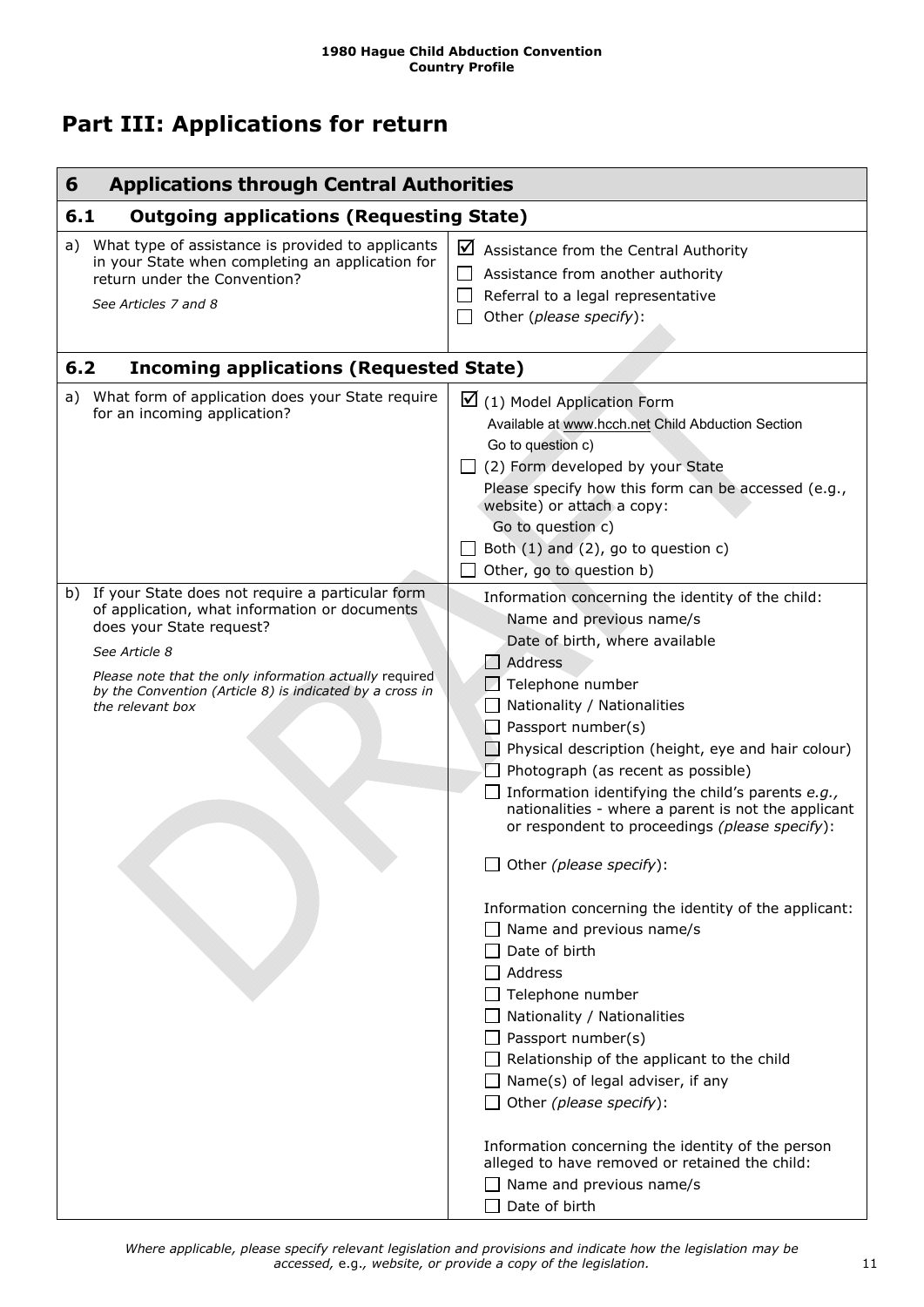## <span id="page-10-0"></span>**Part III: Applications for return**

<span id="page-10-4"></span><span id="page-10-3"></span><span id="page-10-2"></span><span id="page-10-1"></span>

| <b>Applications through Central Authorities</b><br>6                                                                                                                                                                                                                                         |                                                                                                                                                                                                                                                                                                                                                                                                                                                                                                                                                                                                                                                                                                                                                                                                                                                                                                                                                                                                             |  |
|----------------------------------------------------------------------------------------------------------------------------------------------------------------------------------------------------------------------------------------------------------------------------------------------|-------------------------------------------------------------------------------------------------------------------------------------------------------------------------------------------------------------------------------------------------------------------------------------------------------------------------------------------------------------------------------------------------------------------------------------------------------------------------------------------------------------------------------------------------------------------------------------------------------------------------------------------------------------------------------------------------------------------------------------------------------------------------------------------------------------------------------------------------------------------------------------------------------------------------------------------------------------------------------------------------------------|--|
| <b>Outgoing applications (Requesting State)</b><br>6.1                                                                                                                                                                                                                                       |                                                                                                                                                                                                                                                                                                                                                                                                                                                                                                                                                                                                                                                                                                                                                                                                                                                                                                                                                                                                             |  |
| a) What type of assistance is provided to applicants<br>in your State when completing an application for<br>return under the Convention?<br>See Articles 7 and 8                                                                                                                             | $\blacksquare$ Assistance from the Central Authority<br>Assistance from another authority<br>Referral to a legal representative<br>Other (please specify):                                                                                                                                                                                                                                                                                                                                                                                                                                                                                                                                                                                                                                                                                                                                                                                                                                                  |  |
| 6.2<br><b>Incoming applications (Requested State)</b>                                                                                                                                                                                                                                        |                                                                                                                                                                                                                                                                                                                                                                                                                                                                                                                                                                                                                                                                                                                                                                                                                                                                                                                                                                                                             |  |
| What form of application does your State require<br>a)<br>for an incoming application?                                                                                                                                                                                                       | $\boxtimes$ (1) Model Application Form<br>Available at www.hcch.net Child Abduction Section<br>Go to question c)<br>$\Box$ (2) Form developed by your State<br>Please specify how this form can be accessed (e.g.,<br>website) or attach a copy:<br>Go to question c)<br>Both $(1)$ and $(2)$ , go to question c)<br>Other, go to question b)                                                                                                                                                                                                                                                                                                                                                                                                                                                                                                                                                                                                                                                               |  |
| b) If your State does not require a particular form<br>of application, what information or documents<br>does your State request?<br>See Article 8<br>Please note that the only information actually required<br>by the Convention (Article 8) is indicated by a cross in<br>the relevant box | Information concerning the identity of the child:<br>Name and previous name/s<br>Date of birth, where available<br>Address<br>Telephone number<br>Nationality / Nationalities<br>$\Box$ Passport number(s)<br>$\Box$ Physical description (height, eye and hair colour)<br>$\Box$ Photograph (as recent as possible)<br>Information identifying the child's parents e.g.,<br>nationalities - where a parent is not the applicant<br>or respondent to proceedings (please specify):<br>$\Box$ Other (please specify):<br>Information concerning the identity of the applicant:<br>$\Box$ Name and previous name/s<br>Date of birth<br>Address<br>Telephone number<br>Nationality / Nationalities<br>$\Box$ Passport number(s)<br>Relationship of the applicant to the child<br>$\Box$ Name(s) of legal adviser, if any<br>Other (please specify):<br>Information concerning the identity of the person<br>alleged to have removed or retained the child:<br>$\Box$ Name and previous name/s<br>Date of birth |  |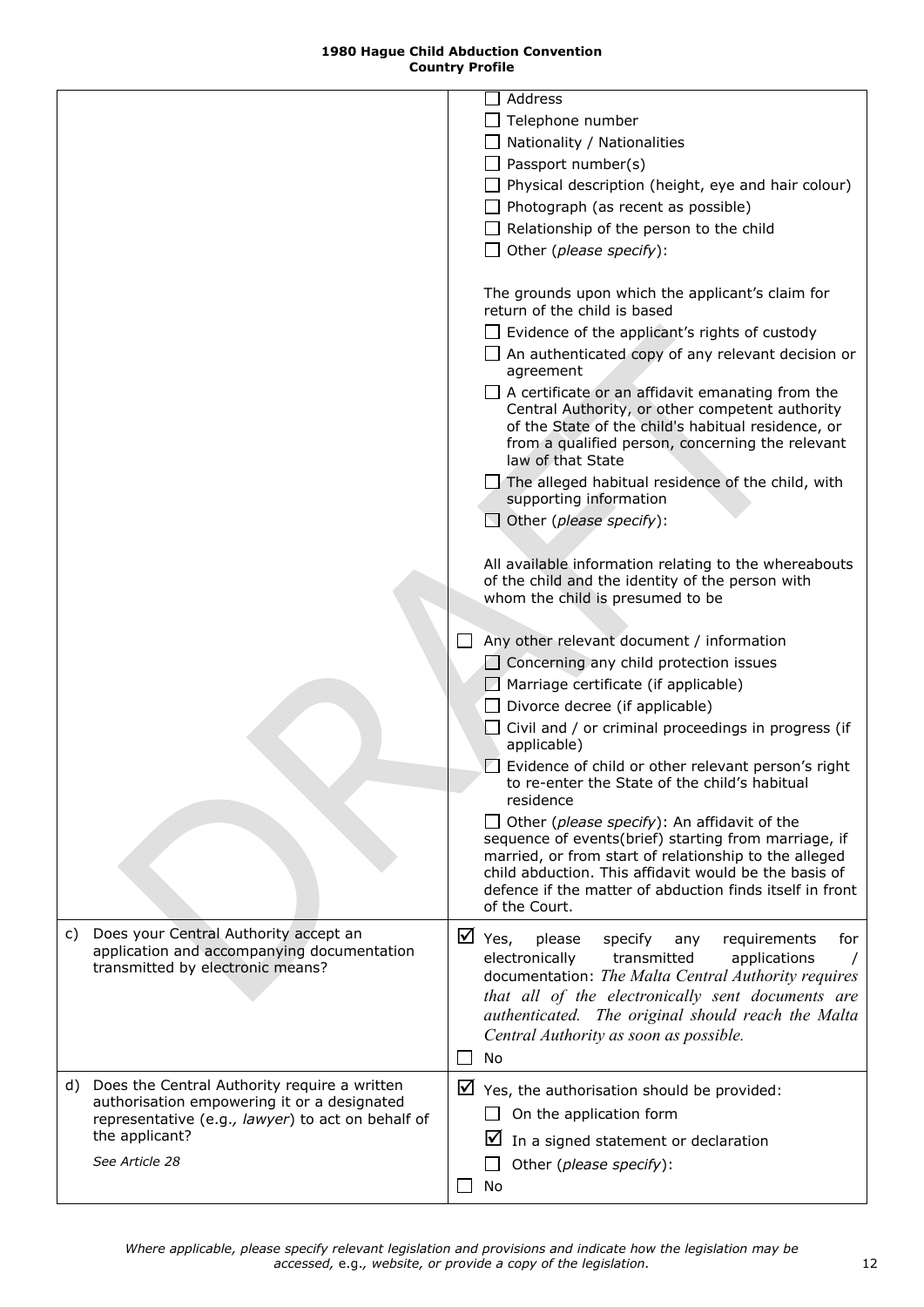<span id="page-11-0"></span>

|    |                                                                                                                                                                                         | Address<br>Telephone number<br>Nationality / Nationalities<br>$\Box$ Passport number(s)<br>$\Box$ Physical description (height, eye and hair colour)<br>$\Box$ Photograph (as recent as possible)<br>$\Box$ Relationship of the person to the child<br>$\Box$ Other (please specify):                                                                                                                                                                                                                                                                                    |
|----|-----------------------------------------------------------------------------------------------------------------------------------------------------------------------------------------|--------------------------------------------------------------------------------------------------------------------------------------------------------------------------------------------------------------------------------------------------------------------------------------------------------------------------------------------------------------------------------------------------------------------------------------------------------------------------------------------------------------------------------------------------------------------------|
|    |                                                                                                                                                                                         | The grounds upon which the applicant's claim for<br>return of the child is based<br>$\Box$ Evidence of the applicant's rights of custody<br>$\Box$ An authenticated copy of any relevant decision or<br>agreement<br>A certificate or an affidavit emanating from the<br>Central Authority, or other competent authority<br>of the State of the child's habitual residence, or<br>from a qualified person, concerning the relevant<br>law of that State<br>$\Box$ The alleged habitual residence of the child, with<br>supporting information<br>Other (please specify): |
|    |                                                                                                                                                                                         | All available information relating to the whereabouts<br>of the child and the identity of the person with<br>whom the child is presumed to be                                                                                                                                                                                                                                                                                                                                                                                                                            |
|    |                                                                                                                                                                                         | Any other relevant document / information<br>$\Box$ Concerning any child protection issues<br>Marriage certificate (if applicable)<br>$\Box$ Divorce decree (if applicable)<br>Civil and / or criminal proceedings in progress (if<br>applicable)<br>Evidence of child or other relevant person's right                                                                                                                                                                                                                                                                  |
|    |                                                                                                                                                                                         | to re-enter the State of the child's habitual<br>residence<br>Other (please specify): An affidavit of the<br>sequence of events(brief) starting from marriage, if<br>married, or from start of relationship to the alleged<br>child abduction. This affidavit would be the basis of<br>defence if the matter of abduction finds itself in front<br>of the Court.                                                                                                                                                                                                         |
| C) | Does your Central Authority accept an<br>application and accompanying documentation<br>transmitted by electronic means?                                                                 | $\boxtimes$ Yes,<br>please<br>specify<br>requirements<br>for<br>any<br>electronically<br>transmitted<br>applications<br>documentation: The Malta Central Authority requires<br>that all of the electronically sent documents are<br>authenticated. The original should reach the Malta<br>Central Authority as soon as possible.<br>No                                                                                                                                                                                                                                   |
|    | d) Does the Central Authority require a written<br>authorisation empowering it or a designated<br>representative (e.g., lawyer) to act on behalf of<br>the applicant?<br>See Article 28 | Yes, the authorisation should be provided:<br>On the application form<br>⋈<br>In a signed statement or declaration<br>Other (please specify):<br>No                                                                                                                                                                                                                                                                                                                                                                                                                      |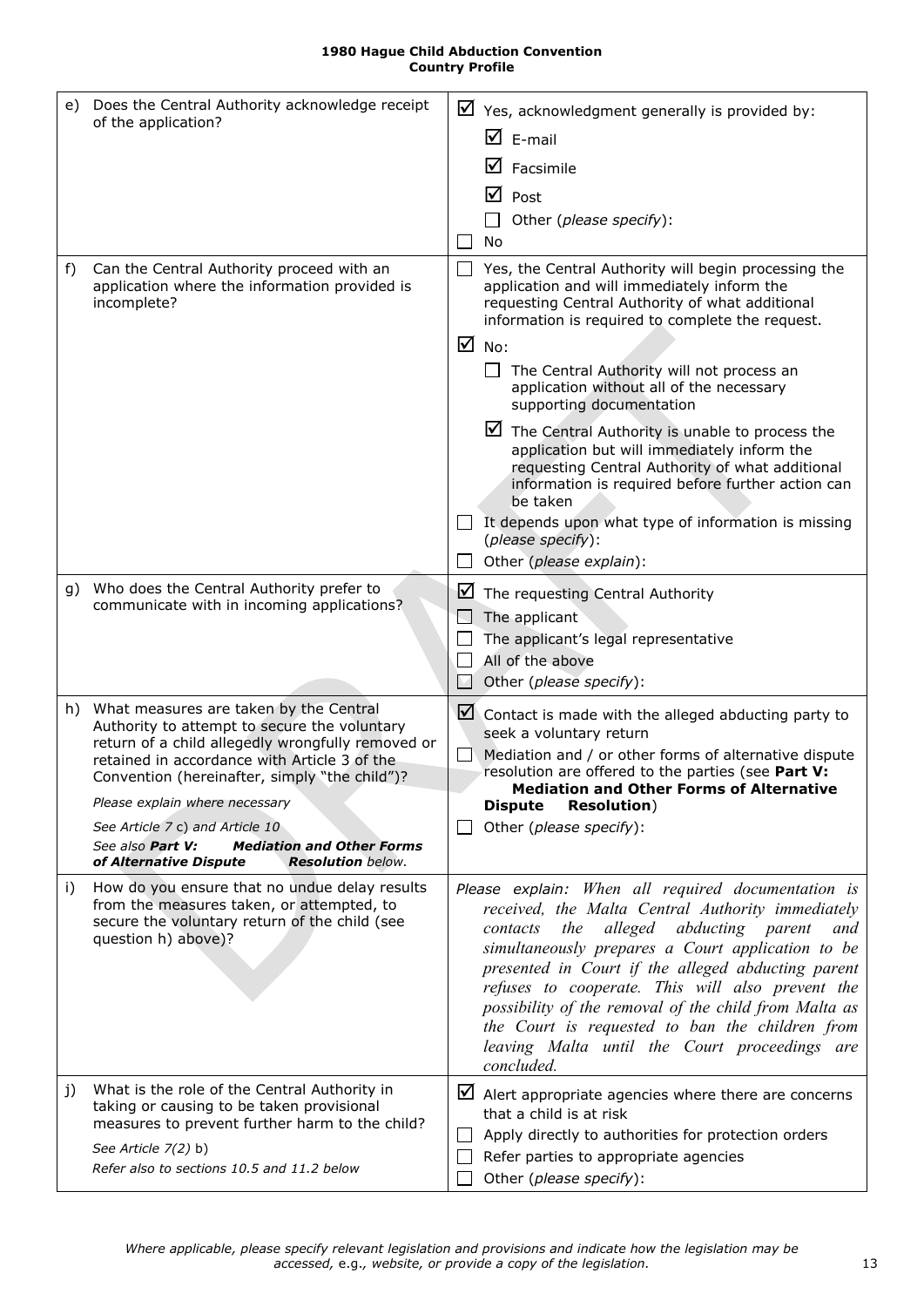<span id="page-12-1"></span><span id="page-12-0"></span>

| e) | Does the Central Authority acknowledge receipt<br>of the application?                                                                                                                                                                                                                                                                                                                                                                  |        | $\triangleright$ Yes, acknowledgment generally is provided by:<br>$\mathbf{\nabla}$ E-mail<br>⋈<br>Facsimile<br>☑<br>Post<br>Other (please specify):<br>No                                                                                                                                                                                                                                                                                                                                                                                                                                                                                                                                       |
|----|----------------------------------------------------------------------------------------------------------------------------------------------------------------------------------------------------------------------------------------------------------------------------------------------------------------------------------------------------------------------------------------------------------------------------------------|--------|--------------------------------------------------------------------------------------------------------------------------------------------------------------------------------------------------------------------------------------------------------------------------------------------------------------------------------------------------------------------------------------------------------------------------------------------------------------------------------------------------------------------------------------------------------------------------------------------------------------------------------------------------------------------------------------------------|
| f) | Can the Central Authority proceed with an<br>application where the information provided is<br>incomplete?                                                                                                                                                                                                                                                                                                                              |        | Yes, the Central Authority will begin processing the<br>application and will immediately inform the<br>requesting Central Authority of what additional<br>information is required to complete the request.<br>$\overline{M}$ No:<br>The Central Authority will not process an<br>application without all of the necessary<br>supporting documentation<br>$\blacksquare$ The Central Authority is unable to process the<br>application but will immediately inform the<br>requesting Central Authority of what additional<br>information is required before further action can<br>be taken<br>It depends upon what type of information is missing<br>(please specify):<br>Other (please explain): |
| g) | Who does the Central Authority prefer to<br>communicate with in incoming applications?                                                                                                                                                                                                                                                                                                                                                 | ⊻      | The requesting Central Authority<br>The applicant<br>The applicant's legal representative<br>All of the above<br>Other (please specify):                                                                                                                                                                                                                                                                                                                                                                                                                                                                                                                                                         |
| h) | What measures are taken by the Central<br>Authority to attempt to secure the voluntary<br>return of a child allegedly wrongfully removed or<br>retained in accordance with Article 3 of the<br>Convention (hereinafter, simply "the child")?<br>Please explain where necessary<br>See Article 7 c) and Article 10<br>See also <b>Part V:</b><br><b>Mediation and Other Forms</b><br>of Alternative Dispute<br><b>Resolution</b> below. | ⊻      | Contact is made with the alleged abducting party to<br>seek a voluntary return<br>Mediation and / or other forms of alternative dispute<br>resolution are offered to the parties (see Part V:<br><b>Mediation and Other Forms of Alternative</b><br><b>Dispute</b><br><b>Resolution</b> )<br>Other (please specify):                                                                                                                                                                                                                                                                                                                                                                             |
| i) | How do you ensure that no undue delay results<br>from the measures taken, or attempted, to<br>secure the voluntary return of the child (see<br>question h) above)?                                                                                                                                                                                                                                                                     |        | Please explain: When all required documentation is<br>received, the Malta Central Authority immediately<br>alleged abducting parent<br>contacts<br>the<br>and<br>simultaneously prepares a Court application to be<br>presented in Court if the alleged abducting parent<br>refuses to cooperate. This will also prevent the<br>possibility of the removal of the child from Malta as<br>the Court is requested to ban the children from<br>leaving Malta until the Court proceedings are<br>concluded.                                                                                                                                                                                          |
| j) | What is the role of the Central Authority in<br>taking or causing to be taken provisional<br>measures to prevent further harm to the child?<br>See Article 7(2) b)<br>Refer also to sections 10.5 and 11.2 below                                                                                                                                                                                                                       | $\Box$ | $\boxtimes$ Alert appropriate agencies where there are concerns<br>that a child is at risk<br>Apply directly to authorities for protection orders<br>Refer parties to appropriate agencies<br>Other (please specify):                                                                                                                                                                                                                                                                                                                                                                                                                                                                            |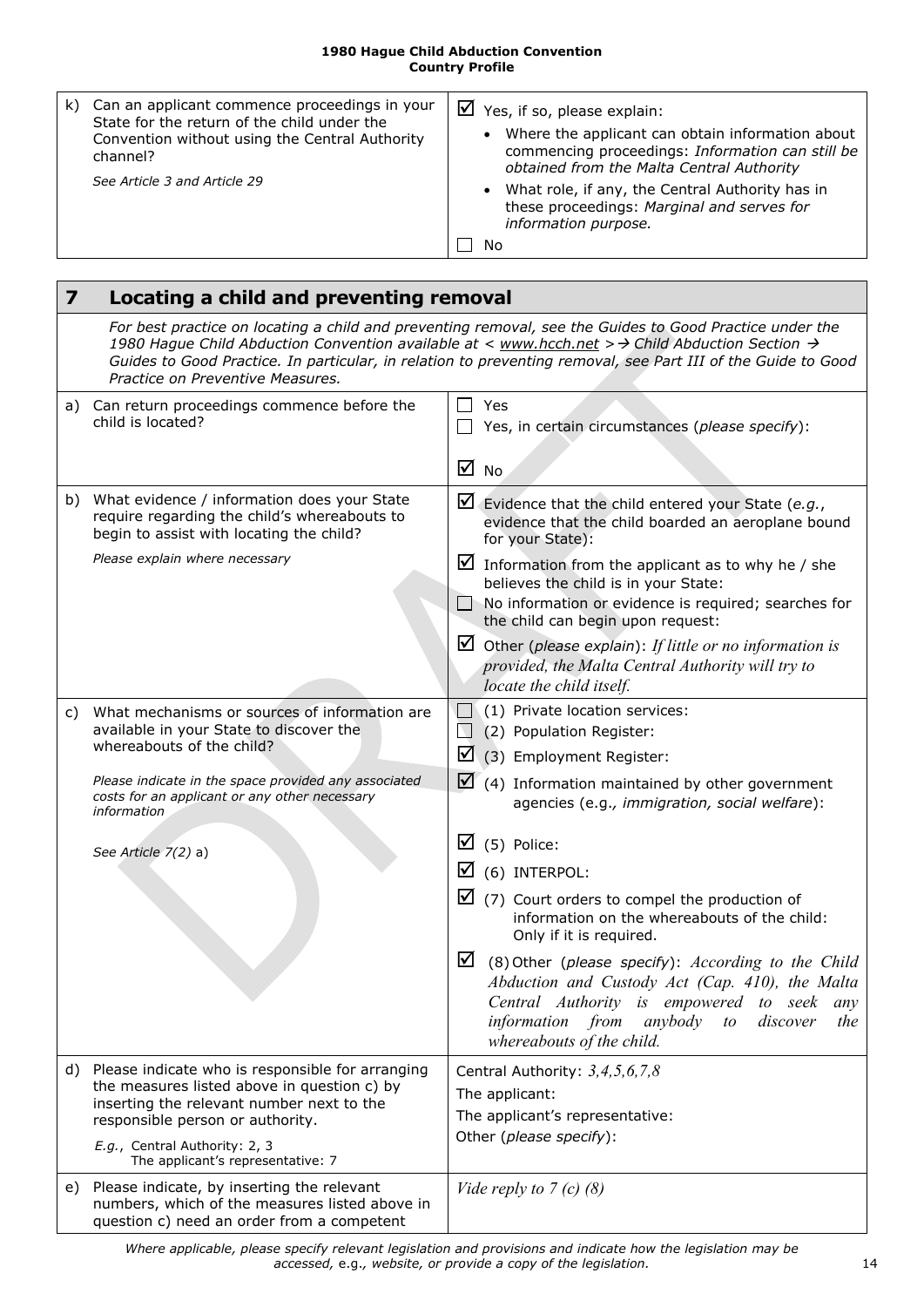| k). | Can an applicant commence proceedings in your<br>State for the return of the child under the<br>Convention without using the Central Authority<br>channel? | $\triangleright$ Yes, if so, please explain:<br>• Where the applicant can obtain information about<br>commencing proceedings: Information can still be<br>obtained from the Malta Central Authority |
|-----|------------------------------------------------------------------------------------------------------------------------------------------------------------|-----------------------------------------------------------------------------------------------------------------------------------------------------------------------------------------------------|
|     | See Article 3 and Article 29                                                                                                                               | • What role, if any, the Central Authority has in<br>these proceedings: Marginal and serves for<br>information purpose.<br>Nο                                                                       |

<span id="page-13-1"></span><span id="page-13-0"></span>

| $\overline{\mathbf{z}}$ | Locating a child and preventing removal                                                                                                                                             |                                                                                                                                                                                                                                                                                                                            |  |
|-------------------------|-------------------------------------------------------------------------------------------------------------------------------------------------------------------------------------|----------------------------------------------------------------------------------------------------------------------------------------------------------------------------------------------------------------------------------------------------------------------------------------------------------------------------|--|
|                         | Practice on Preventive Measures.                                                                                                                                                    | For best practice on locating a child and preventing removal, see the Guides to Good Practice under the<br>1980 Hague Child Abduction Convention available at < www.hcch.net > > Child Abduction Section ><br>Guides to Good Practice. In particular, in relation to preventing removal, see Part III of the Guide to Good |  |
|                         | a) Can return proceedings commence before the<br>child is located?                                                                                                                  | $\Box$ Yes<br>Yes, in certain circumstances (please specify):                                                                                                                                                                                                                                                              |  |
|                         |                                                                                                                                                                                     | $\overline{M}$ No                                                                                                                                                                                                                                                                                                          |  |
|                         | b) What evidence / information does your State<br>require regarding the child's whereabouts to<br>begin to assist with locating the child?                                          | $\blacksquare$ Evidence that the child entered your State (e.g.,<br>evidence that the child boarded an aeroplane bound<br>for your State):                                                                                                                                                                                 |  |
|                         | Please explain where necessary                                                                                                                                                      | Information from the applicant as to why he / she<br>believes the child is in your State:<br>$\Box$ No information or evidence is required; searches for<br>the child can begin upon request:                                                                                                                              |  |
|                         |                                                                                                                                                                                     | $\Box$ Other (please explain): If little or no information is<br>provided, the Malta Central Authority will try to<br>locate the child itself.                                                                                                                                                                             |  |
| C)                      | What mechanisms or sources of information are<br>available in your State to discover the<br>whereabouts of the child?                                                               | (1) Private location services:<br>$\Box$<br>$\Box$ (2) Population Register:<br>☑                                                                                                                                                                                                                                           |  |
|                         | Please indicate in the space provided any associated<br>costs for an applicant or any other necessary<br>information                                                                | (3) Employment Register:<br>$\Box$ (4) Information maintained by other government<br>agencies (e.g., immigration, social welfare):                                                                                                                                                                                         |  |
|                         | See Article 7(2) a)                                                                                                                                                                 | (5) Police:<br>⊻                                                                                                                                                                                                                                                                                                           |  |
|                         |                                                                                                                                                                                     | $\boxtimes$ (6) INTERPOL:                                                                                                                                                                                                                                                                                                  |  |
|                         |                                                                                                                                                                                     | $\Box$ (7) Court orders to compel the production of<br>information on the whereabouts of the child:<br>Only if it is required.                                                                                                                                                                                             |  |
|                         |                                                                                                                                                                                     | ⊻<br>(8) Other (please specify): According to the Child<br>Abduction and Custody Act (Cap. 410), the Malta<br>Central Authority is empowered to seek<br>any<br>anybody<br>information from<br>discover<br>the<br>$\iota$<br>whereabouts of the child.                                                                      |  |
|                         | d) Please indicate who is responsible for arranging<br>the measures listed above in question c) by<br>inserting the relevant number next to the<br>responsible person or authority. | Central Authority: $3,4,5,6,7,8$<br>The applicant:<br>The applicant's representative:                                                                                                                                                                                                                                      |  |
|                         | E.g., Central Authority: 2, 3<br>The applicant's representative: 7                                                                                                                  | Other (please specify):                                                                                                                                                                                                                                                                                                    |  |
| e) -                    | Please indicate, by inserting the relevant<br>numbers, which of the measures listed above in<br>question c) need an order from a competent                                          | Vide reply to $7(c)$ (8)                                                                                                                                                                                                                                                                                                   |  |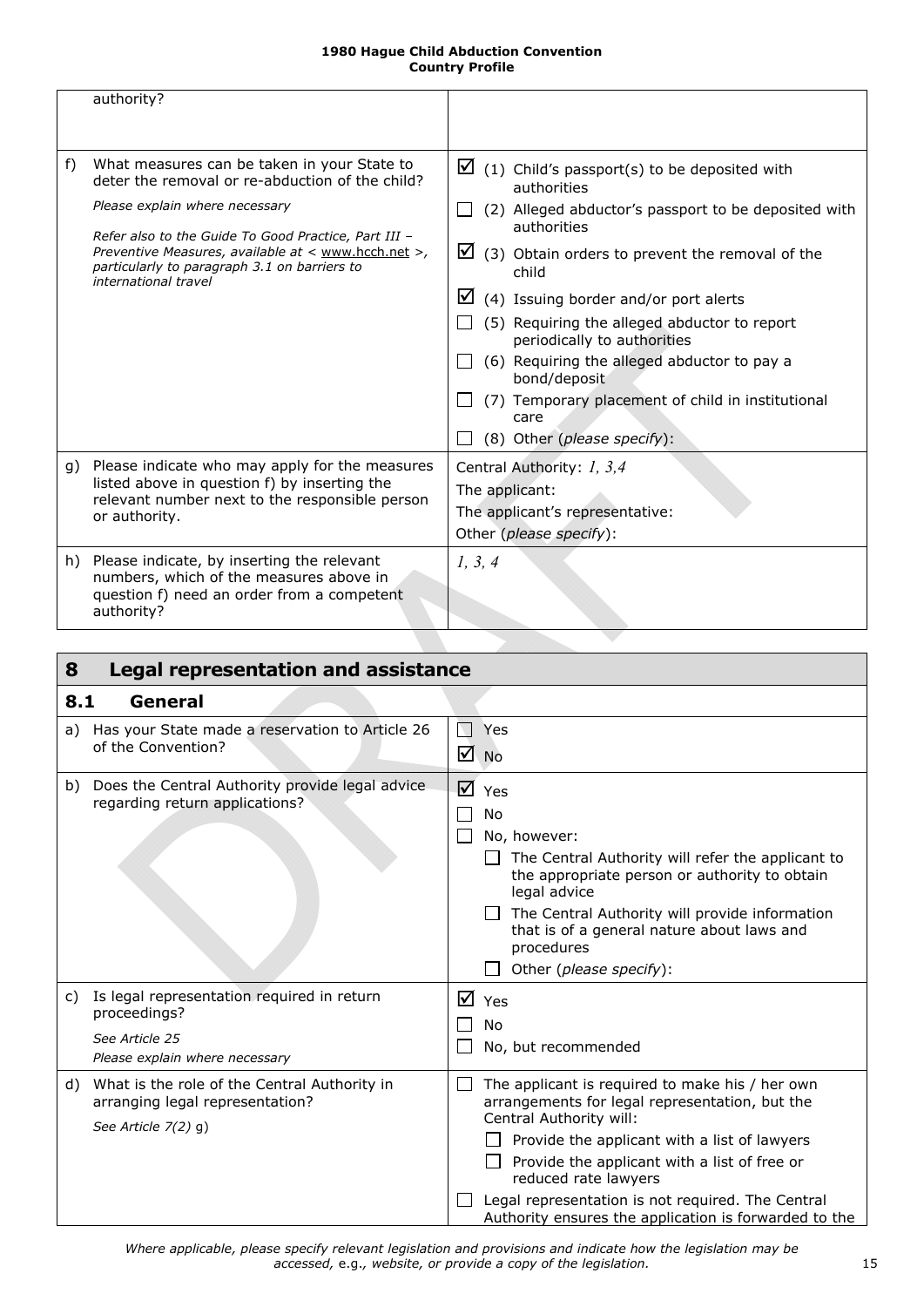<span id="page-14-4"></span><span id="page-14-2"></span>

|    | authority?                                                                                                                                                                                                                                                                                                              |                                                                                                                                                                                                                                                                                                                                                                                                                                                                                                                |
|----|-------------------------------------------------------------------------------------------------------------------------------------------------------------------------------------------------------------------------------------------------------------------------------------------------------------------------|----------------------------------------------------------------------------------------------------------------------------------------------------------------------------------------------------------------------------------------------------------------------------------------------------------------------------------------------------------------------------------------------------------------------------------------------------------------------------------------------------------------|
| f) | What measures can be taken in your State to<br>deter the removal or re-abduction of the child?<br>Please explain where necessary<br>Refer also to the Guide To Good Practice, Part III -<br>Preventive Measures, available at < www.hcch.net >,<br>particularly to paragraph 3.1 on barriers to<br>international travel | $\boxtimes$ (1) Child's passport(s) to be deposited with<br>authorities<br>(2) Alleged abductor's passport to be deposited with<br>authorities<br>$\boxtimes$ (3) Obtain orders to prevent the removal of the<br>child<br>⊻<br>(4) Issuing border and/or port alerts<br>(5) Requiring the alleged abductor to report<br>periodically to authorities<br>(6) Requiring the alleged abductor to pay a<br>bond/deposit<br>(7) Temporary placement of child in institutional<br>care<br>(8) Other (please specify): |
| g) | Please indicate who may apply for the measures<br>listed above in question f) by inserting the<br>relevant number next to the responsible person<br>or authority.                                                                                                                                                       | Central Authority: 1, 3,4<br>The applicant:<br>The applicant's representative:<br>Other (please specify):                                                                                                                                                                                                                                                                                                                                                                                                      |
|    | h) Please indicate, by inserting the relevant<br>numbers, which of the measures above in<br>question f) need an order from a competent<br>authority?                                                                                                                                                                    | 1, 3, 4                                                                                                                                                                                                                                                                                                                                                                                                                                                                                                        |

<span id="page-14-1"></span><span id="page-14-0"></span>

| 8   | <b>Legal representation and assistance</b>                                                                     |                       |                                                                                                                                                                                                                                                                                                                                                                    |  |
|-----|----------------------------------------------------------------------------------------------------------------|-----------------------|--------------------------------------------------------------------------------------------------------------------------------------------------------------------------------------------------------------------------------------------------------------------------------------------------------------------------------------------------------------------|--|
| 8.1 | General                                                                                                        |                       |                                                                                                                                                                                                                                                                                                                                                                    |  |
|     | a) Has your State made a reservation to Article 26<br>of the Convention?                                       | $\sum_{i=1}^{n}$<br>☑ | Yes<br><b>No</b>                                                                                                                                                                                                                                                                                                                                                   |  |
|     | b) Does the Central Authority provide legal advice<br>regarding return applications?                           |                       | $\overline{M}$ Yes<br>No<br>No, however:<br>The Central Authority will refer the applicant to<br>the appropriate person or authority to obtain<br>legal advice<br>The Central Authority will provide information<br>that is of a general nature about laws and<br>procedures<br>Other (please specify):                                                            |  |
| C)  | Is legal representation required in return<br>proceedings?<br>See Article 25<br>Please explain where necessary |                       | $\overline{M}$ Yes<br>No<br>No, but recommended                                                                                                                                                                                                                                                                                                                    |  |
| d)  | What is the role of the Central Authority in<br>arranging legal representation?<br>See Article $7(2)$ g)       |                       | The applicant is required to make his / her own<br>arrangements for legal representation, but the<br>Central Authority will:<br>Provide the applicant with a list of lawyers<br>Provide the applicant with a list of free or<br>reduced rate lawyers<br>Legal representation is not required. The Central<br>Authority ensures the application is forwarded to the |  |

<span id="page-14-3"></span>*Where applicable, please specify relevant legislation and provisions and indicate how the legislation may be accessed,* e.g.*, website, or provide a copy of the legislation.* 15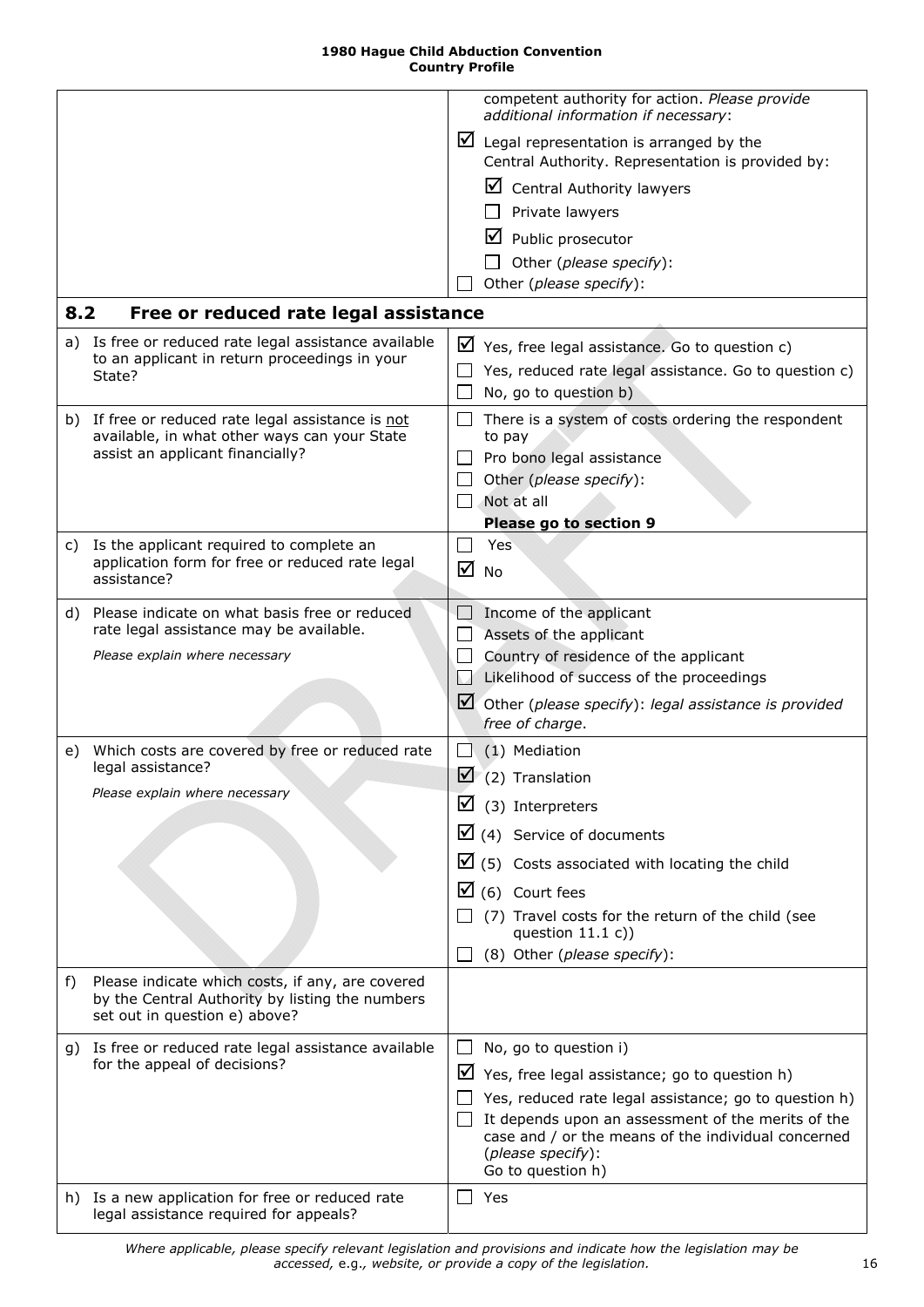<span id="page-15-6"></span><span id="page-15-5"></span><span id="page-15-4"></span><span id="page-15-3"></span><span id="page-15-2"></span><span id="page-15-1"></span><span id="page-15-0"></span>

|     |                                                                                                                                      |        | competent authority for action. Please provide<br>additional information if necessary:                        |
|-----|--------------------------------------------------------------------------------------------------------------------------------------|--------|---------------------------------------------------------------------------------------------------------------|
|     |                                                                                                                                      |        | $\triangleright$ Legal representation is arranged by the<br>Central Authority. Representation is provided by: |
|     |                                                                                                                                      |        | ⊻<br><b>Central Authority lawyers</b>                                                                         |
|     |                                                                                                                                      |        | Private lawyers                                                                                               |
|     |                                                                                                                                      |        | ⊻<br>Public prosecutor                                                                                        |
|     |                                                                                                                                      |        | Other (please specify):                                                                                       |
|     |                                                                                                                                      |        | Other (please specify):                                                                                       |
|     |                                                                                                                                      |        |                                                                                                               |
| 8.2 | Free or reduced rate legal assistance                                                                                                |        |                                                                                                               |
| a)  | Is free or reduced rate legal assistance available<br>to an applicant in return proceedings in your                                  | ⊻      | Yes, free legal assistance. Go to question c)                                                                 |
|     | State?                                                                                                                               |        | Yes, reduced rate legal assistance. Go to question c)                                                         |
|     |                                                                                                                                      |        | No, go to question b)                                                                                         |
|     | b) If free or reduced rate legal assistance is not<br>available, in what other ways can your State                                   | $\Box$ | There is a system of costs ordering the respondent<br>to pay                                                  |
|     | assist an applicant financially?                                                                                                     |        | Pro bono legal assistance                                                                                     |
|     |                                                                                                                                      |        | Other (please specify):                                                                                       |
|     |                                                                                                                                      |        | Not at all                                                                                                    |
|     |                                                                                                                                      |        | Please go to section 9                                                                                        |
|     | c) Is the applicant required to complete an                                                                                          |        | Yes                                                                                                           |
|     | application form for free or reduced rate legal<br>assistance?                                                                       | ☑      | <b>No</b>                                                                                                     |
|     |                                                                                                                                      |        |                                                                                                               |
| d)  | Please indicate on what basis free or reduced                                                                                        |        | Income of the applicant                                                                                       |
|     | rate legal assistance may be available.<br>Please explain where necessary                                                            |        | Assets of the applicant                                                                                       |
|     |                                                                                                                                      |        | Country of residence of the applicant                                                                         |
|     |                                                                                                                                      | M      | Likelihood of success of the proceedings                                                                      |
|     |                                                                                                                                      |        | $\Box$ Other (please specify): legal assistance is provided                                                   |
|     |                                                                                                                                      |        | free of charge.                                                                                               |
| e)  | Which costs are covered by free or reduced rate                                                                                      |        | (1) Mediation                                                                                                 |
|     | legal assistance?<br>Please explain where necessary                                                                                  |        | $\triangledown$ (2) Translation                                                                               |
|     |                                                                                                                                      |        | $\boxtimes$ (3) Interpreters                                                                                  |
|     |                                                                                                                                      |        | $\boxtimes$ (4) Service of documents                                                                          |
|     |                                                                                                                                      |        | $\boxtimes$ (5) Costs associated with locating the child                                                      |
|     |                                                                                                                                      |        | $\boxtimes$ (6) Court fees                                                                                    |
|     |                                                                                                                                      |        | (7) Travel costs for the return of the child (see<br>question $11.1 c)$                                       |
|     |                                                                                                                                      |        | (8) Other (please specify):                                                                                   |
|     |                                                                                                                                      |        |                                                                                                               |
| f)  | Please indicate which costs, if any, are covered<br>by the Central Authority by listing the numbers<br>set out in question e) above? |        |                                                                                                               |
|     | g) Is free or reduced rate legal assistance available                                                                                |        | No, go to question i)                                                                                         |
|     | for the appeal of decisions?                                                                                                         | ⊻      | Yes, free legal assistance; go to question h)                                                                 |
|     |                                                                                                                                      |        | Yes, reduced rate legal assistance; go to question h)                                                         |
|     |                                                                                                                                      |        | It depends upon an assessment of the merits of the                                                            |
|     |                                                                                                                                      |        | case and / or the means of the individual concerned                                                           |
|     |                                                                                                                                      |        | (please specify):                                                                                             |
|     |                                                                                                                                      |        | Go to question h)                                                                                             |
|     | h) Is a new application for free or reduced rate<br>legal assistance required for appeals?                                           |        | Yes                                                                                                           |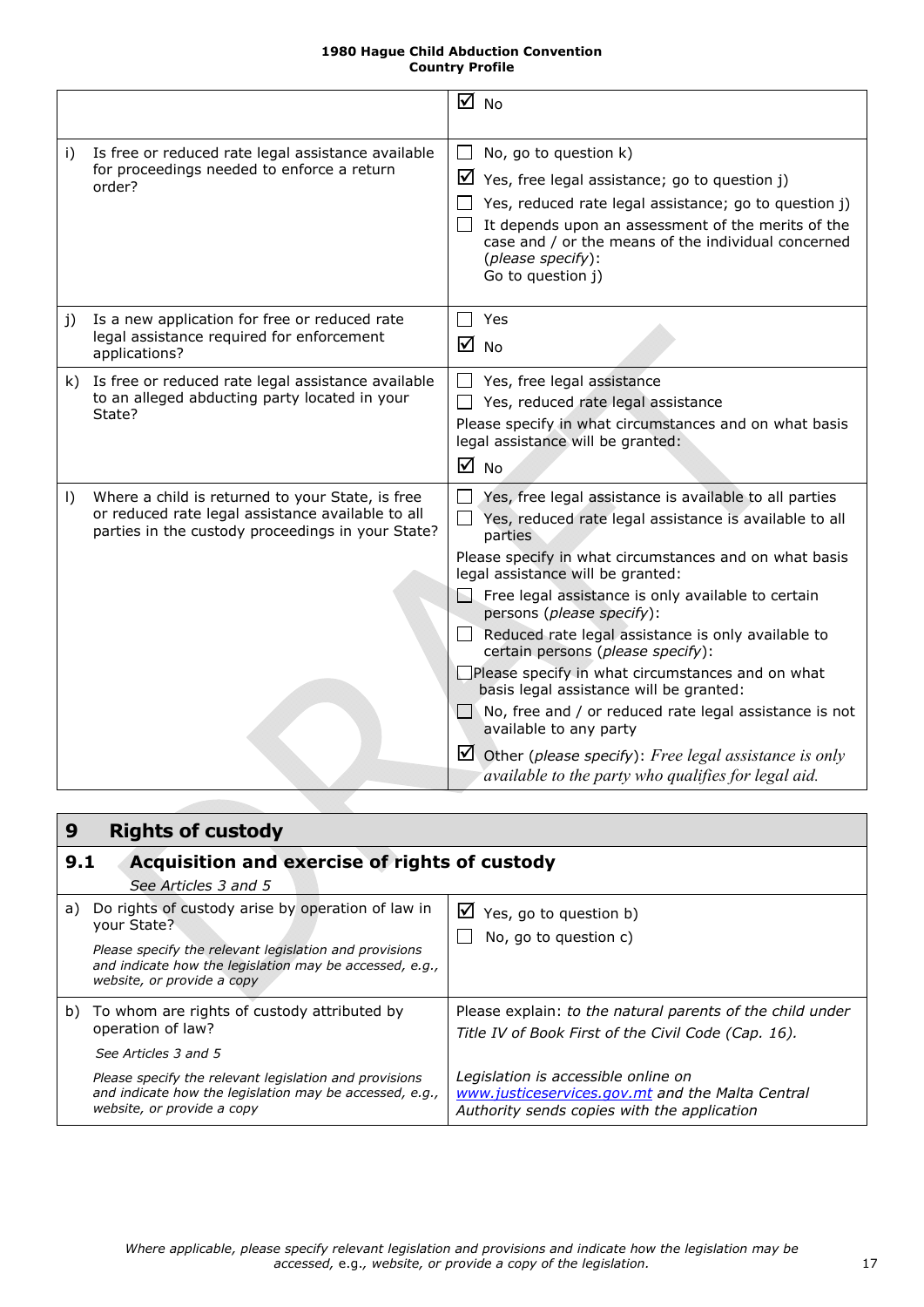<span id="page-16-2"></span>

|           |                                                                                                                                                            | ⊠ No                                                                                                                                                                                                                                                                                                                                                                                                                                                                                                                                                                                                                                                                                                                                                            |
|-----------|------------------------------------------------------------------------------------------------------------------------------------------------------------|-----------------------------------------------------------------------------------------------------------------------------------------------------------------------------------------------------------------------------------------------------------------------------------------------------------------------------------------------------------------------------------------------------------------------------------------------------------------------------------------------------------------------------------------------------------------------------------------------------------------------------------------------------------------------------------------------------------------------------------------------------------------|
| i)        | Is free or reduced rate legal assistance available<br>for proceedings needed to enforce a return<br>order?                                                 | No, go to question k)<br>$\mathsf{L}$<br>$\triangleright$ Yes, free legal assistance; go to question j)<br>Yes, reduced rate legal assistance; go to question j)<br>It depends upon an assessment of the merits of the<br>case and / or the means of the individual concerned<br>(please specify):<br>Go to question j)                                                                                                                                                                                                                                                                                                                                                                                                                                         |
| j)        | Is a new application for free or reduced rate<br>legal assistance required for enforcement<br>applications?                                                | Yes<br>$\Box$<br>$\overline{M}$ No                                                                                                                                                                                                                                                                                                                                                                                                                                                                                                                                                                                                                                                                                                                              |
|           | k) Is free or reduced rate legal assistance available<br>to an alleged abducting party located in your<br>State?                                           | Yes, free legal assistance<br>$\mathsf{L}$<br>Yes, reduced rate legal assistance<br>Please specify in what circumstances and on what basis<br>legal assistance will be granted:<br>$\overline{M}$ No                                                                                                                                                                                                                                                                                                                                                                                                                                                                                                                                                            |
| $\vert$ ) | Where a child is returned to your State, is free<br>or reduced rate legal assistance available to all<br>parties in the custody proceedings in your State? | Yes, free legal assistance is available to all parties<br>$\Box$<br>Yes, reduced rate legal assistance is available to all<br>parties<br>Please specify in what circumstances and on what basis<br>legal assistance will be granted:<br>$\Box$ Free legal assistance is only available to certain<br>persons (please specify):<br>$\Box$<br>Reduced rate legal assistance is only available to<br>certain persons (please specify):<br>□Please specify in what circumstances and on what<br>basis legal assistance will be granted:<br>$\Box$ No, free and / or reduced rate legal assistance is not<br>available to any party<br>$\triangleright$ Other (please specify): Free legal assistance is only<br>available to the party who qualifies for legal aid. |

<span id="page-16-3"></span><span id="page-16-1"></span><span id="page-16-0"></span>

| 9<br><b>Rights of custody</b>                                                                                                                   |                                                                                                                                        |
|-------------------------------------------------------------------------------------------------------------------------------------------------|----------------------------------------------------------------------------------------------------------------------------------------|
| Acquisition and exercise of rights of custody<br>9.1                                                                                            |                                                                                                                                        |
| See Articles 3 and 5                                                                                                                            |                                                                                                                                        |
| Do rights of custody arise by operation of law in<br>a)<br>your State?                                                                          | $\triangleright$ Yes, go to question b)<br>No, go to question c)                                                                       |
| Please specify the relevant legislation and provisions<br>and indicate how the legislation may be accessed, e.g.,<br>website, or provide a copy |                                                                                                                                        |
| b) To whom are rights of custody attributed by<br>operation of law?                                                                             | Please explain: to the natural parents of the child under<br>Title IV of Book First of the Civil Code (Cap. 16).                       |
| See Articles 3 and 5                                                                                                                            |                                                                                                                                        |
| Please specify the relevant legislation and provisions<br>and indicate how the legislation may be accessed, e.g.,<br>website, or provide a copy | Legislation is accessible online on<br>www.justiceservices.gov.mt and the Malta Central<br>Authority sends copies with the application |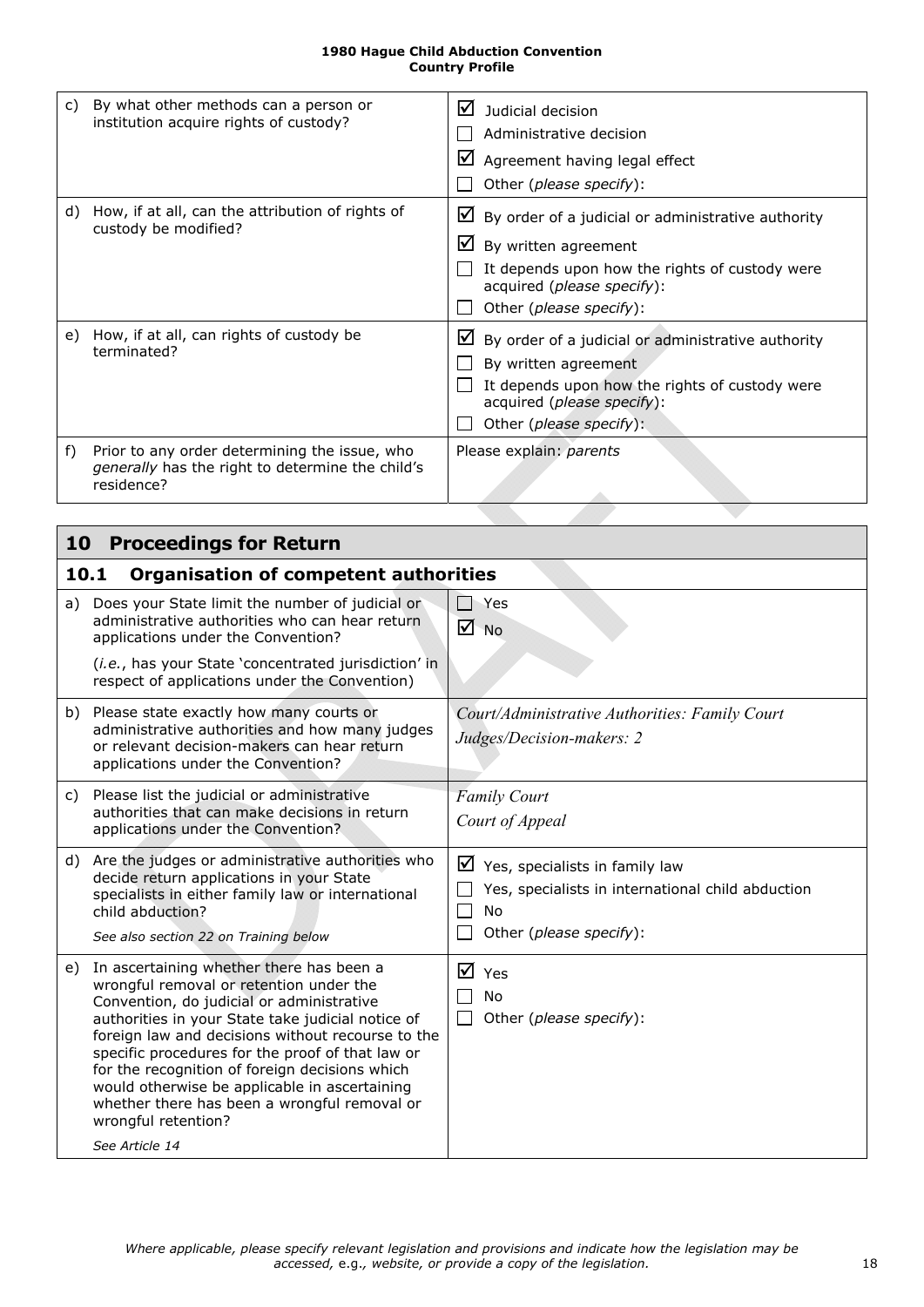<span id="page-17-2"></span>

| C) | By what other methods can a person or<br>institution acquire rights of custody?                                 | ☑<br>Judicial decision<br>Administrative decision<br>$\boxtimes$ Agreement having legal effect<br>Other (please specify):                                                                                        |
|----|-----------------------------------------------------------------------------------------------------------------|------------------------------------------------------------------------------------------------------------------------------------------------------------------------------------------------------------------|
| d) | How, if at all, can the attribution of rights of<br>custody be modified?                                        | $\mathbf{\mathsf{M}}$ By order of a judicial or administrative authority<br>⊻<br>By written agreement<br>It depends upon how the rights of custody were<br>acquired (please specify):<br>Other (please specify): |
| e) | How, if at all, can rights of custody be<br>terminated?                                                         | ⊻<br>By order of a judicial or administrative authority<br>By written agreement<br>It depends upon how the rights of custody were<br>acquired (please specify):<br>Other (please specify):                       |
| f) | Prior to any order determining the issue, who<br>generally has the right to determine the child's<br>residence? | Please explain: parents                                                                                                                                                                                          |

<span id="page-17-1"></span><span id="page-17-0"></span>

|    | <b>Proceedings for Return</b><br>10                                                                                                                                                                                                                                                                                                                                                                                                                                                        |                                                                                                                                       |  |  |  |
|----|--------------------------------------------------------------------------------------------------------------------------------------------------------------------------------------------------------------------------------------------------------------------------------------------------------------------------------------------------------------------------------------------------------------------------------------------------------------------------------------------|---------------------------------------------------------------------------------------------------------------------------------------|--|--|--|
|    | 10.1<br><b>Organisation of competent authorities</b>                                                                                                                                                                                                                                                                                                                                                                                                                                       |                                                                                                                                       |  |  |  |
| a) | Does your State limit the number of judicial or<br>administrative authorities who can hear return<br>applications under the Convention?                                                                                                                                                                                                                                                                                                                                                    | Yes<br>$\sqrt{ }$ No                                                                                                                  |  |  |  |
|    | (i.e., has your State 'concentrated jurisdiction' in<br>respect of applications under the Convention)                                                                                                                                                                                                                                                                                                                                                                                      |                                                                                                                                       |  |  |  |
|    | b) Please state exactly how many courts or<br>administrative authorities and how many judges<br>or relevant decision-makers can hear return<br>applications under the Convention?                                                                                                                                                                                                                                                                                                          | Court/Administrative Authorities: Family Court<br>Judges/Decision-makers: 2                                                           |  |  |  |
| C) | Please list the judicial or administrative<br>authorities that can make decisions in return<br>applications under the Convention?                                                                                                                                                                                                                                                                                                                                                          | <b>Family Court</b><br>Court of Appeal                                                                                                |  |  |  |
|    | d) Are the judges or administrative authorities who<br>decide return applications in your State<br>specialists in either family law or international<br>child abduction?<br>See also section 22 on Training below                                                                                                                                                                                                                                                                          | $\triangleright$ Yes, specialists in family law<br>Yes, specialists in international child abduction<br>No<br>Other (please specify): |  |  |  |
| e) | In ascertaining whether there has been a<br>wrongful removal or retention under the<br>Convention, do judicial or administrative<br>authorities in your State take judicial notice of<br>foreign law and decisions without recourse to the<br>specific procedures for the proof of that law or<br>for the recognition of foreign decisions which<br>would otherwise be applicable in ascertaining<br>whether there has been a wrongful removal or<br>wrongful retention?<br>See Article 14 | $\overline{M}$ Yes<br>No<br>Other (please specify):                                                                                   |  |  |  |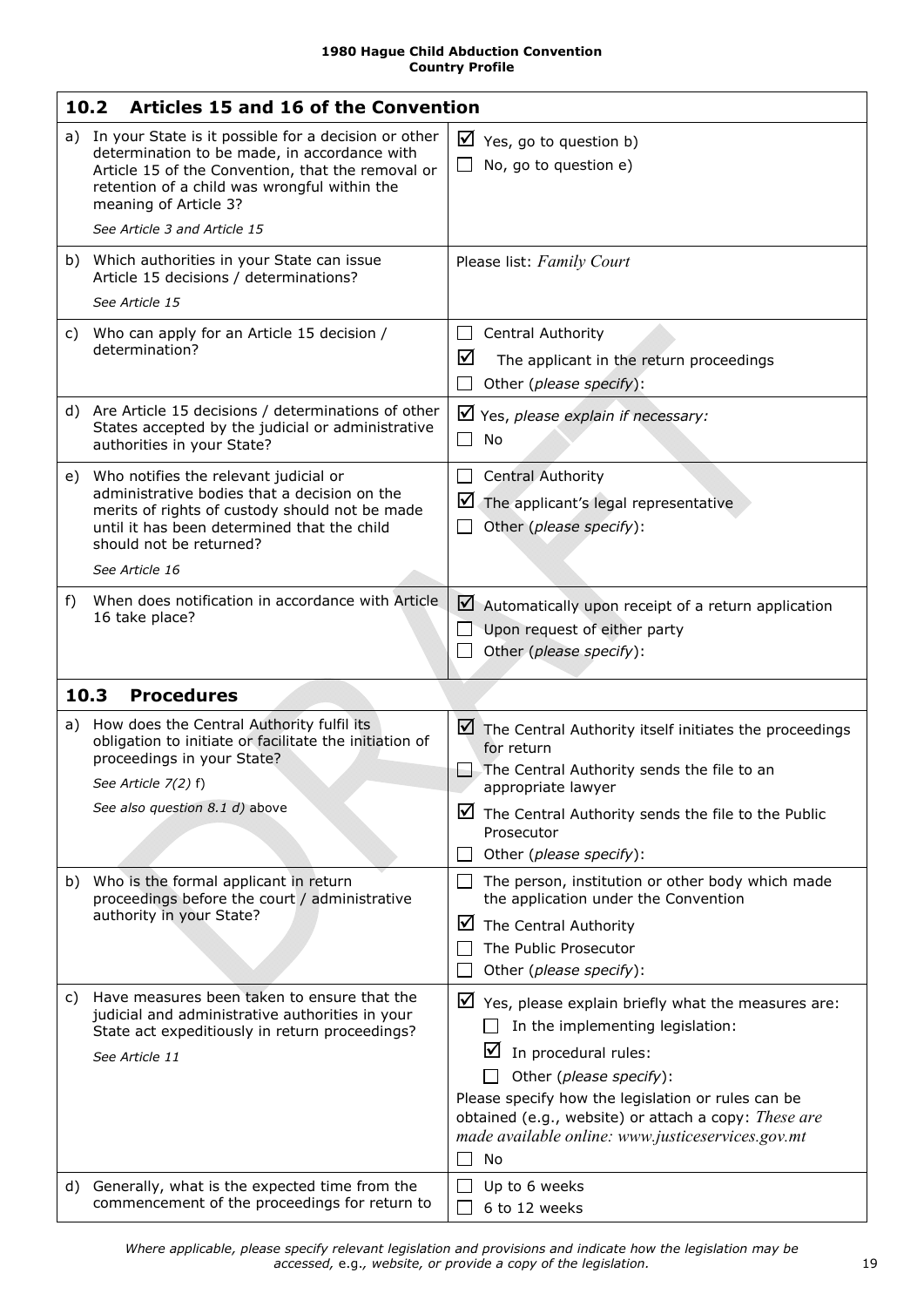<span id="page-18-4"></span><span id="page-18-3"></span><span id="page-18-2"></span><span id="page-18-1"></span><span id="page-18-0"></span>

|    | 10.2<br><b>Articles 15 and 16 of the Convention</b>                                                                                                                                                                                    |                                                                                                                                                                                                                                                                                                                               |
|----|----------------------------------------------------------------------------------------------------------------------------------------------------------------------------------------------------------------------------------------|-------------------------------------------------------------------------------------------------------------------------------------------------------------------------------------------------------------------------------------------------------------------------------------------------------------------------------|
| a) | In your State is it possible for a decision or other<br>determination to be made, in accordance with<br>Article 15 of the Convention, that the removal or<br>retention of a child was wrongful within the<br>meaning of Article 3?     | $\triangleright$ Yes, go to question b)<br>No, go to question e)                                                                                                                                                                                                                                                              |
|    | See Article 3 and Article 15<br>b) Which authorities in your State can issue                                                                                                                                                           | Please list: Family Court                                                                                                                                                                                                                                                                                                     |
|    | Article 15 decisions / determinations?<br>See Article 15                                                                                                                                                                               |                                                                                                                                                                                                                                                                                                                               |
| C) | Who can apply for an Article 15 decision /<br>determination?                                                                                                                                                                           | Central Authority<br>$\mathsf{L}$<br>☑<br>The applicant in the return proceedings<br>Other (please specify):                                                                                                                                                                                                                  |
|    | d) Are Article 15 decisions / determinations of other<br>States accepted by the judicial or administrative<br>authorities in your State?                                                                                               | $\blacktriangleright$ Yes, please explain if necessary:<br>$\mathcal{L}_{\mathcal{A}}$<br>No                                                                                                                                                                                                                                  |
|    | e) Who notifies the relevant judicial or<br>administrative bodies that a decision on the<br>merits of rights of custody should not be made<br>until it has been determined that the child<br>should not be returned?<br>See Article 16 | <b>Central Authority</b><br>$\mathsf{L}$<br>$\blacksquare$ The applicant's legal representative<br>Other (please specify):                                                                                                                                                                                                    |
| f) | When does notification in accordance with Article<br>16 take place?                                                                                                                                                                    | $\blacksquare$ Automatically upon receipt of a return application<br>Upon request of either party<br>Other (please specify):                                                                                                                                                                                                  |
|    | <b>Procedures</b><br>10.3                                                                                                                                                                                                              |                                                                                                                                                                                                                                                                                                                               |
| a) | How does the Central Authority fulfil its<br>obligation to initiate or facilitate the initiation of<br>proceedings in your State?<br>See Article 7(2) f)<br>See also question 8.1 d) above                                             | $\blacksquare$ The Central Authority itself initiates the proceedings<br>for return<br>The Central Authority sends the file to an<br>appropriate lawyer<br>⊻<br>The Central Authority sends the file to the Public<br>Prosecutor                                                                                              |
|    |                                                                                                                                                                                                                                        | Other (please specify):                                                                                                                                                                                                                                                                                                       |
| b) | Who is the formal applicant in return<br>proceedings before the court / administrative<br>authority in your State?                                                                                                                     | The person, institution or other body which made<br>the application under the Convention<br>$\triangleright$ The Central Authority<br>The Public Prosecutor<br>Other (please specify):                                                                                                                                        |
| C) | Have measures been taken to ensure that the<br>judicial and administrative authorities in your<br>State act expeditiously in return proceedings?<br>See Article 11                                                                     | ⊻<br>Yes, please explain briefly what the measures are:<br>In the implementing legislation:<br>In procedural rules:<br>I۷<br>Other (please specify):<br>Please specify how the legislation or rules can be<br>obtained (e.g., website) or attach a copy: These are<br>made available online: www.justiceservices.gov.mt<br>No |
| d) | Generally, what is the expected time from the<br>commencement of the proceedings for return to                                                                                                                                         | Up to 6 weeks<br>6 to 12 weeks                                                                                                                                                                                                                                                                                                |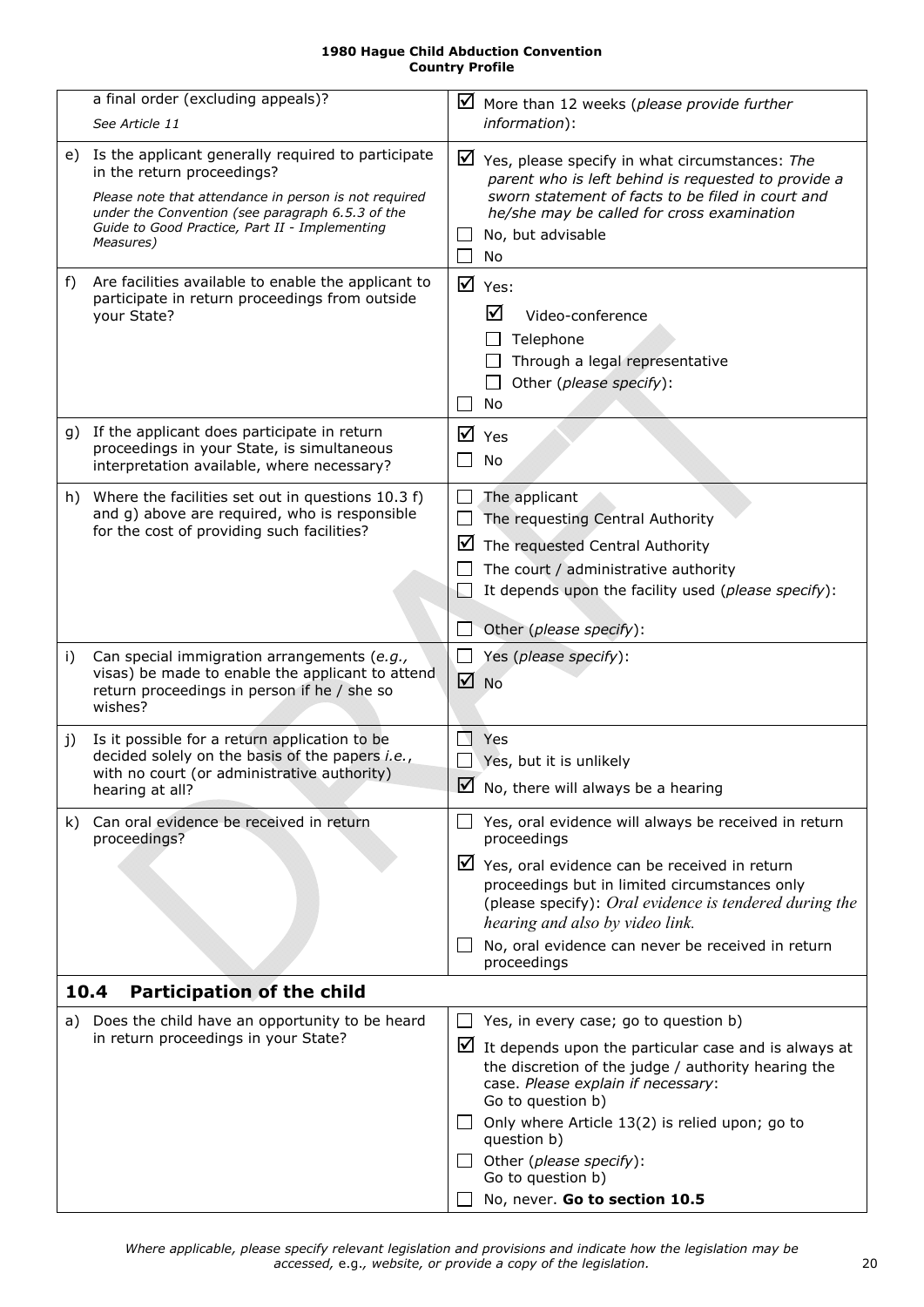<span id="page-19-2"></span><span id="page-19-1"></span><span id="page-19-0"></span>

|     | a final order (excluding appeals)?                                                                                                                                                                                                                           |                  | $\boxtimes$ More than 12 weeks (please provide further                                                                                                                                                                                                                                                                                                                             |
|-----|--------------------------------------------------------------------------------------------------------------------------------------------------------------------------------------------------------------------------------------------------------------|------------------|------------------------------------------------------------------------------------------------------------------------------------------------------------------------------------------------------------------------------------------------------------------------------------------------------------------------------------------------------------------------------------|
|     | See Article 11                                                                                                                                                                                                                                               |                  | information):                                                                                                                                                                                                                                                                                                                                                                      |
| e)  | Is the applicant generally required to participate<br>in the return proceedings?<br>Please note that attendance in person is not required<br>under the Convention (see paragraph 6.5.3 of the<br>Guide to Good Practice, Part II - Implementing<br>Measures) |                  | $\triangleright$ Yes, please specify in what circumstances: The<br>parent who is left behind is requested to provide a<br>sworn statement of facts to be filed in court and<br>he/she may be called for cross examination<br>No, but advisable<br>No                                                                                                                               |
| f)  | Are facilities available to enable the applicant to<br>participate in return proceedings from outside<br>your State?                                                                                                                                         | ☑                | Yes:<br>☑<br>Video-conference<br>Telephone<br>Through a legal representative<br>Other (please specify):<br>ΙI<br>No                                                                                                                                                                                                                                                                |
|     | g) If the applicant does participate in return<br>proceedings in your State, is simultaneous<br>interpretation available, where necessary?                                                                                                                   | ☑                | Yes<br><b>No</b>                                                                                                                                                                                                                                                                                                                                                                   |
|     | h) Where the facilities set out in questions 10.3 f)<br>and g) above are required, who is responsible<br>for the cost of providing such facilities?                                                                                                          | $\Box$<br>⊻      | The applicant<br>The requesting Central Authority<br>The requested Central Authority<br>The court / administrative authority<br>It depends upon the facility used (please specify):<br>Other (please specify):                                                                                                                                                                     |
| i)  | Can special immigration arrangements (e.g.,<br>visas) be made to enable the applicant to attend<br>return proceedings in person if he / she so<br>wishes?                                                                                                    | $\Box$<br>☑      | Yes (please specify):<br><b>No</b>                                                                                                                                                                                                                                                                                                                                                 |
| j)  | Is it possible for a return application to be<br>decided solely on the basis of the papers i.e.,<br>with no court (or administrative authority)<br>hearing at all?                                                                                           | ΙV               | Yes<br>Yes, but it is unlikely<br>$\overline{\mathbf{Z}}$ No, there will always be a hearing                                                                                                                                                                                                                                                                                       |
| k). | Can oral evidence be received in return<br>proceedings?<br>10.4<br><b>Participation of the child</b>                                                                                                                                                         |                  | Yes, oral evidence will always be received in return<br>proceedings<br>$\triangleright$ Yes, oral evidence can be received in return<br>proceedings but in limited circumstances only<br>(please specify): Oral evidence is tendered during the<br>hearing and also by video link.<br>No, oral evidence can never be received in return<br>proceedings                             |
|     |                                                                                                                                                                                                                                                              |                  |                                                                                                                                                                                                                                                                                                                                                                                    |
| a)  | Does the child have an opportunity to be heard<br>in return proceedings in your State?                                                                                                                                                                       | $\Box$<br>$\Box$ | Yes, in every case; go to question b)<br>$\triangleright$ It depends upon the particular case and is always at<br>the discretion of the judge / authority hearing the<br>case. Please explain if necessary:<br>Go to question b)<br>Only where Article 13(2) is relied upon; go to<br>question b)<br>Other (please specify):<br>Go to question b)<br>No, never. Go to section 10.5 |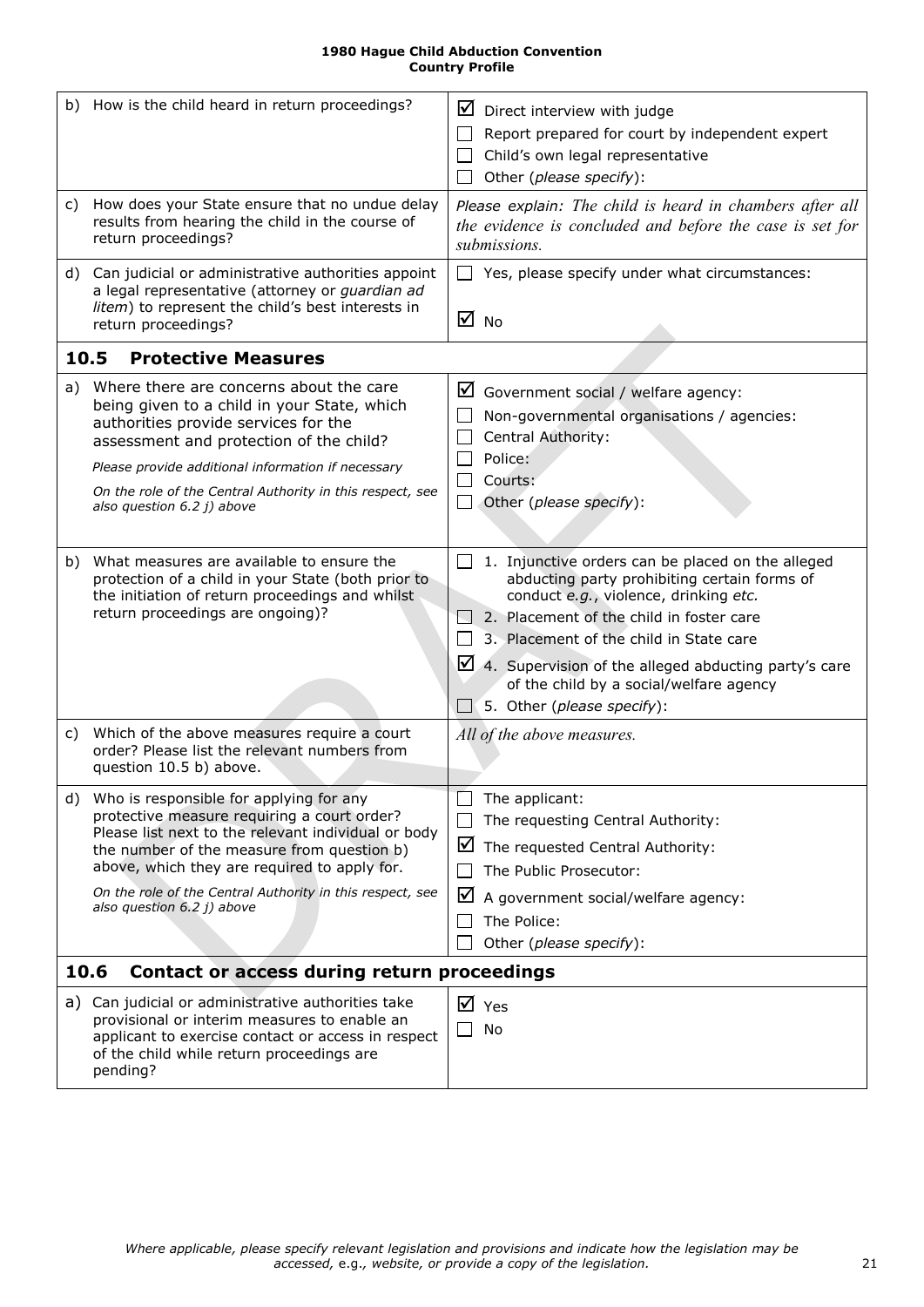<span id="page-20-3"></span><span id="page-20-2"></span><span id="page-20-1"></span><span id="page-20-0"></span>

|    | b) How is the child heard in return proceedings?                                                                                                                                                                                                                                                                                       | $\boxtimes$ Direct interview with judge<br>Report prepared for court by independent expert<br>Child's own legal representative<br>Other (please specify):                                                                                                                                                                                                                                 |
|----|----------------------------------------------------------------------------------------------------------------------------------------------------------------------------------------------------------------------------------------------------------------------------------------------------------------------------------------|-------------------------------------------------------------------------------------------------------------------------------------------------------------------------------------------------------------------------------------------------------------------------------------------------------------------------------------------------------------------------------------------|
|    | c) How does your State ensure that no undue delay<br>results from hearing the child in the course of<br>return proceedings?                                                                                                                                                                                                            | Please explain: The child is heard in chambers after all<br>the evidence is concluded and before the case is set for<br>submissions.                                                                                                                                                                                                                                                      |
|    | d) Can judicial or administrative authorities appoint<br>a legal representative (attorney or guardian ad<br>litem) to represent the child's best interests in<br>return proceedings?                                                                                                                                                   | $\Box$ Yes, please specify under what circumstances:<br>$\overline{M}$ No                                                                                                                                                                                                                                                                                                                 |
|    | <b>Protective Measures</b><br>10.5                                                                                                                                                                                                                                                                                                     |                                                                                                                                                                                                                                                                                                                                                                                           |
| a) | Where there are concerns about the care<br>being given to a child in your State, which<br>authorities provide services for the<br>assessment and protection of the child?<br>Please provide additional information if necessary<br>On the role of the Central Authority in this respect, see<br>also question 6.2 j) above             | $\boxtimes$ Government social / welfare agency:<br>Non-governmental organisations / agencies:<br>Central Authority:<br>Police:<br>Courts:<br>Other (please specify):<br>$\perp$                                                                                                                                                                                                           |
|    | b) What measures are available to ensure the<br>protection of a child in your State (both prior to<br>the initiation of return proceedings and whilst<br>return proceedings are ongoing)?                                                                                                                                              | $\Box$ 1. Injunctive orders can be placed on the alleged<br>abducting party prohibiting certain forms of<br>conduct e.g., violence, drinking etc.<br>2. Placement of the child in foster care<br>3. Placement of the child in State care<br>4. Supervision of the alleged abducting party's care<br>of the child by a social/welfare agency<br>$\Box$ 5. Other ( <i>please specify</i> ): |
| C) | Which of the above measures require a court<br>order? Please list the relevant numbers from<br>question 10.5 b) above.                                                                                                                                                                                                                 | All of the above measures.                                                                                                                                                                                                                                                                                                                                                                |
| d) | Who is responsible for applying for any<br>protective measure requiring a court order?<br>Please list next to the relevant individual or body<br>the number of the measure from question b)<br>above, which they are required to apply for.<br>On the role of the Central Authority in this respect, see<br>also question 6.2 j) above | The applicant:<br>The requesting Central Authority:<br>$\triangleright$ The requested Central Authority:<br>The Public Prosecutor:<br>⊻<br>A government social/welfare agency:<br>The Police:<br>Other (please specify):                                                                                                                                                                  |
|    | 10.6<br>Contact or access during return proceedings                                                                                                                                                                                                                                                                                    |                                                                                                                                                                                                                                                                                                                                                                                           |
|    | a) Can judicial or administrative authorities take<br>provisional or interim measures to enable an<br>applicant to exercise contact or access in respect<br>of the child while return proceedings are<br>pending?                                                                                                                      | $\overline{M}$ Yes<br>No                                                                                                                                                                                                                                                                                                                                                                  |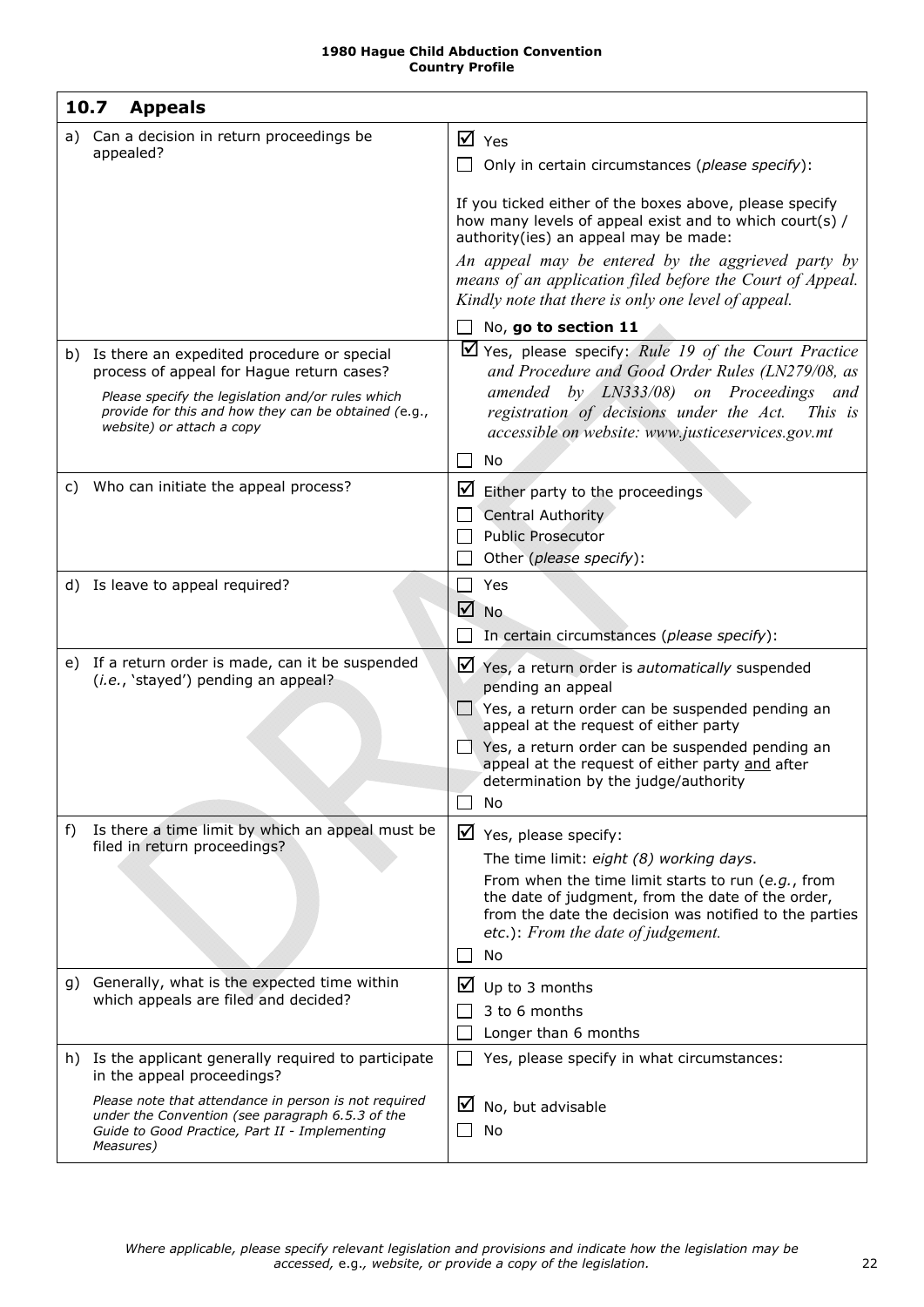<span id="page-21-0"></span>

|    | 10.7<br><b>Appeals</b>                                                                                                                                                                                  |                                                                                                                                                                                                                                |
|----|---------------------------------------------------------------------------------------------------------------------------------------------------------------------------------------------------------|--------------------------------------------------------------------------------------------------------------------------------------------------------------------------------------------------------------------------------|
|    | a) Can a decision in return proceedings be<br>appealed?                                                                                                                                                 | $\overline{M}$ Yes<br>Only in certain circumstances (please specify):                                                                                                                                                          |
|    |                                                                                                                                                                                                         | If you ticked either of the boxes above, please specify<br>how many levels of appeal exist and to which court(s) /<br>authority(ies) an appeal may be made:                                                                    |
|    |                                                                                                                                                                                                         | An appeal may be entered by the aggrieved party by<br>means of an application filed before the Court of Appeal.<br>Kindly note that there is only one level of appeal.                                                         |
|    |                                                                                                                                                                                                         | No, go to section 11                                                                                                                                                                                                           |
|    | b) Is there an expedited procedure or special<br>process of appeal for Hague return cases?<br>Please specify the legislation and/or rules which<br>provide for this and how they can be obtained (e.g., | $\blacktriangleright$ Yes, please specify: Rule 19 of the Court Practice<br>and Procedure and Good Order Rules (LN279/08, as<br>amended by LN333/08) on Proceedings and<br>registration of decisions under the Act.<br>This is |
|    | website) or attach a copy                                                                                                                                                                               | accessible on website: www.justiceservices.gov.mt<br>No                                                                                                                                                                        |
|    | Who can initiate the appeal process?                                                                                                                                                                    |                                                                                                                                                                                                                                |
| C) |                                                                                                                                                                                                         | $\blacksquare$ Either party to the proceedings                                                                                                                                                                                 |
|    |                                                                                                                                                                                                         | Central Authority<br><b>Public Prosecutor</b>                                                                                                                                                                                  |
|    |                                                                                                                                                                                                         | Other (please specify):                                                                                                                                                                                                        |
|    | d) Is leave to appeal required?                                                                                                                                                                         | $\mathsf{L}$<br>Yes                                                                                                                                                                                                            |
|    |                                                                                                                                                                                                         | $\sqrt{ }$ No                                                                                                                                                                                                                  |
|    |                                                                                                                                                                                                         | In certain circumstances (please specify):                                                                                                                                                                                     |
|    | e) If a return order is made, can it be suspended<br>(i.e., 'stayed') pending an appeal?                                                                                                                | $\triangleright$ Yes, a return order is <i>automatically</i> suspended<br>pending an appeal                                                                                                                                    |
|    |                                                                                                                                                                                                         | $\Box$ Yes, a return order can be suspended pending an<br>appeal at the request of either party                                                                                                                                |
|    |                                                                                                                                                                                                         | $\Box$ Yes, a return order can be suspended pending an<br>appeal at the request of either party and after<br>determination by the judge/authority                                                                              |
|    |                                                                                                                                                                                                         | No                                                                                                                                                                                                                             |
| f) | Is there a time limit by which an appeal must be                                                                                                                                                        | $\triangledown$ Yes, please specify:                                                                                                                                                                                           |
|    | filed in return proceedings?                                                                                                                                                                            | The time limit: eight (8) working days.                                                                                                                                                                                        |
|    |                                                                                                                                                                                                         | From when the time limit starts to run (e.g., from<br>the date of judgment, from the date of the order,<br>from the date the decision was notified to the parties<br>etc.): From the date of judgement.<br>No                  |
|    | g) Generally, what is the expected time within                                                                                                                                                          | Up to 3 months<br>⊻                                                                                                                                                                                                            |
|    | which appeals are filed and decided?                                                                                                                                                                    | 3 to 6 months                                                                                                                                                                                                                  |
|    |                                                                                                                                                                                                         | Longer than 6 months                                                                                                                                                                                                           |
|    | h) Is the applicant generally required to participate<br>in the appeal proceedings?                                                                                                                     | Yes, please specify in what circumstances:                                                                                                                                                                                     |
|    | Please note that attendance in person is not required<br>under the Convention (see paragraph 6.5.3 of the<br>Guide to Good Practice, Part II - Implementing<br>Measures)                                | ⊻<br>No, but advisable<br>No                                                                                                                                                                                                   |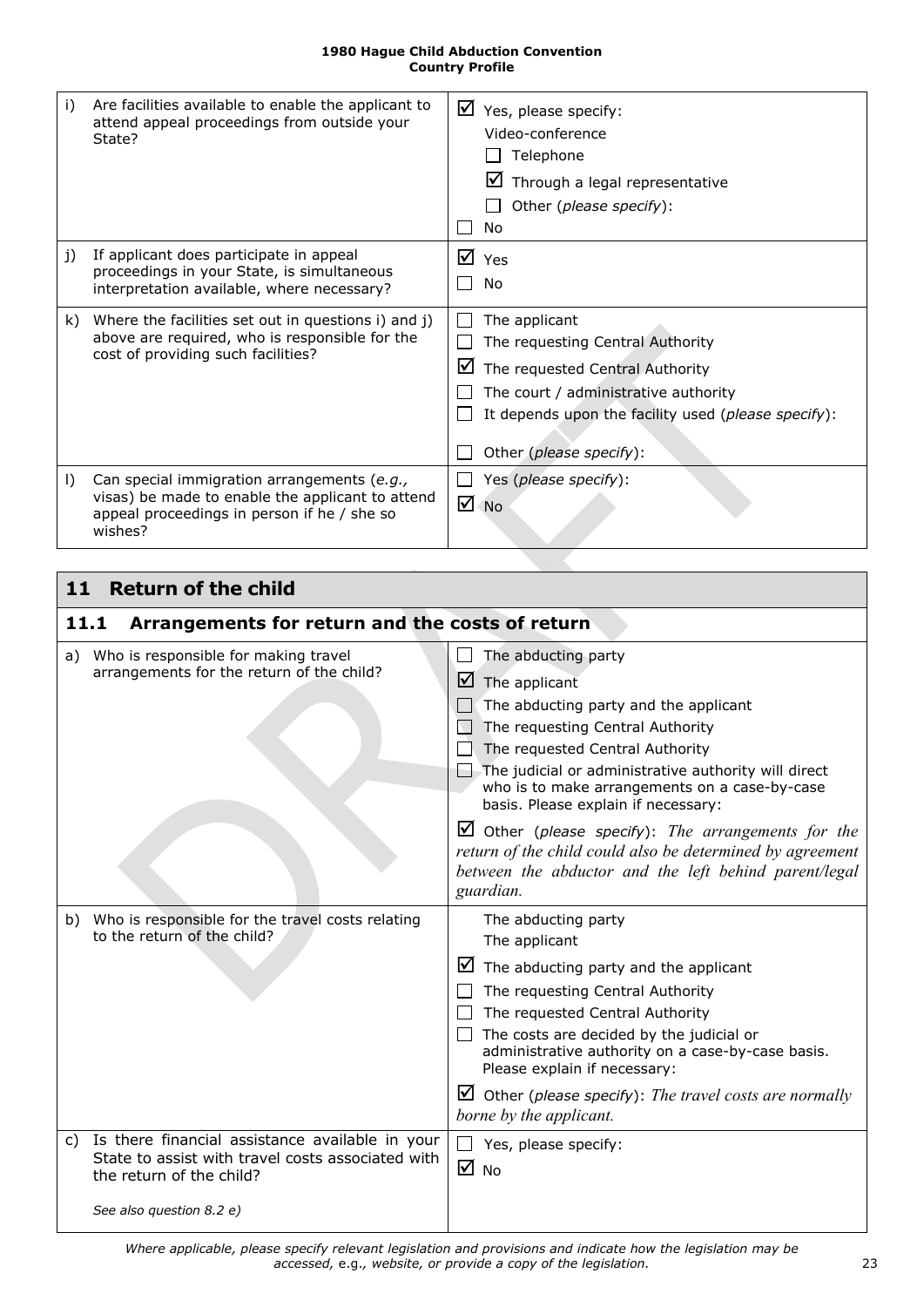<span id="page-22-4"></span><span id="page-22-3"></span>

| i)           | Are facilities available to enable the applicant to<br>attend appeal proceedings from outside your<br>State?                                              | ☑<br>Yes, please specify:<br>Video-conference<br>Telephone<br>Through a legal representative<br>Other ( <i>please specify</i> ):<br>No                                                                              |
|--------------|-----------------------------------------------------------------------------------------------------------------------------------------------------------|---------------------------------------------------------------------------------------------------------------------------------------------------------------------------------------------------------------------|
| $\mathbf{i}$ | If applicant does participate in appeal<br>proceedings in your State, is simultaneous<br>interpretation available, where necessary?                       | $\overline{M}$ Yes<br>No                                                                                                                                                                                            |
| k).          | Where the facilities set out in questions i) and j)<br>above are required, who is responsible for the<br>cost of providing such facilities?               | The applicant<br>The requesting Central Authority<br>⊻<br>The requested Central Authority<br>The court / administrative authority<br>It depends upon the facility used (please specify):<br>Other (please specify): |
| $\vert$      | Can special immigration arrangements (e.g.,<br>visas) be made to enable the applicant to attend<br>appeal proceedings in person if he / she so<br>wishes? | Yes (please specify):<br>☑<br><b>No</b>                                                                                                                                                                             |

<span id="page-22-1"></span><span id="page-22-0"></span>

| <b>Return of the child</b><br>11                                                                                                                                |                                                                                                                                                                                                                                                                                                                                                                                                        |  |
|-----------------------------------------------------------------------------------------------------------------------------------------------------------------|--------------------------------------------------------------------------------------------------------------------------------------------------------------------------------------------------------------------------------------------------------------------------------------------------------------------------------------------------------------------------------------------------------|--|
| Arrangements for return and the costs of return<br>11.1                                                                                                         |                                                                                                                                                                                                                                                                                                                                                                                                        |  |
| a) Who is responsible for making travel<br>arrangements for the return of the child?                                                                            | The abducting party<br>$\blacksquare$ The applicant<br>The abducting party and the applicant<br>The requesting Central Authority<br>The requested Central Authority<br>$\Box$ The judicial or administrative authority will direct<br>who is to make arrangements on a case-by-case<br>basis. Please explain if necessary:                                                                             |  |
|                                                                                                                                                                 | $\Box$ Other (please specify): The arrangements for the<br>return of the child could also be determined by agreement<br>between the abductor and the left behind parent/legal<br>guardian.                                                                                                                                                                                                             |  |
| Who is responsible for the travel costs relating<br>b)<br>to the return of the child?                                                                           | The abducting party<br>The applicant<br>$\blacksquare$ The abducting party and the applicant<br>The requesting Central Authority<br>The requested Central Authority<br>$\Box$ The costs are decided by the judicial or<br>administrative authority on a case-by-case basis.<br>Please explain if necessary:<br>$\Box$ Other (please specify): The travel costs are normally<br>borne by the applicant. |  |
| c) Is there financial assistance available in your<br>State to assist with travel costs associated with<br>the return of the child?<br>See also question 8.2 e) | Yes, please specify:<br>$\overline{M}$ No                                                                                                                                                                                                                                                                                                                                                              |  |

<span id="page-22-2"></span>*Where applicable, please specify relevant legislation and provisions and indicate how the legislation may be accessed,* e.g.*, website, or provide a copy of the legislation.* 23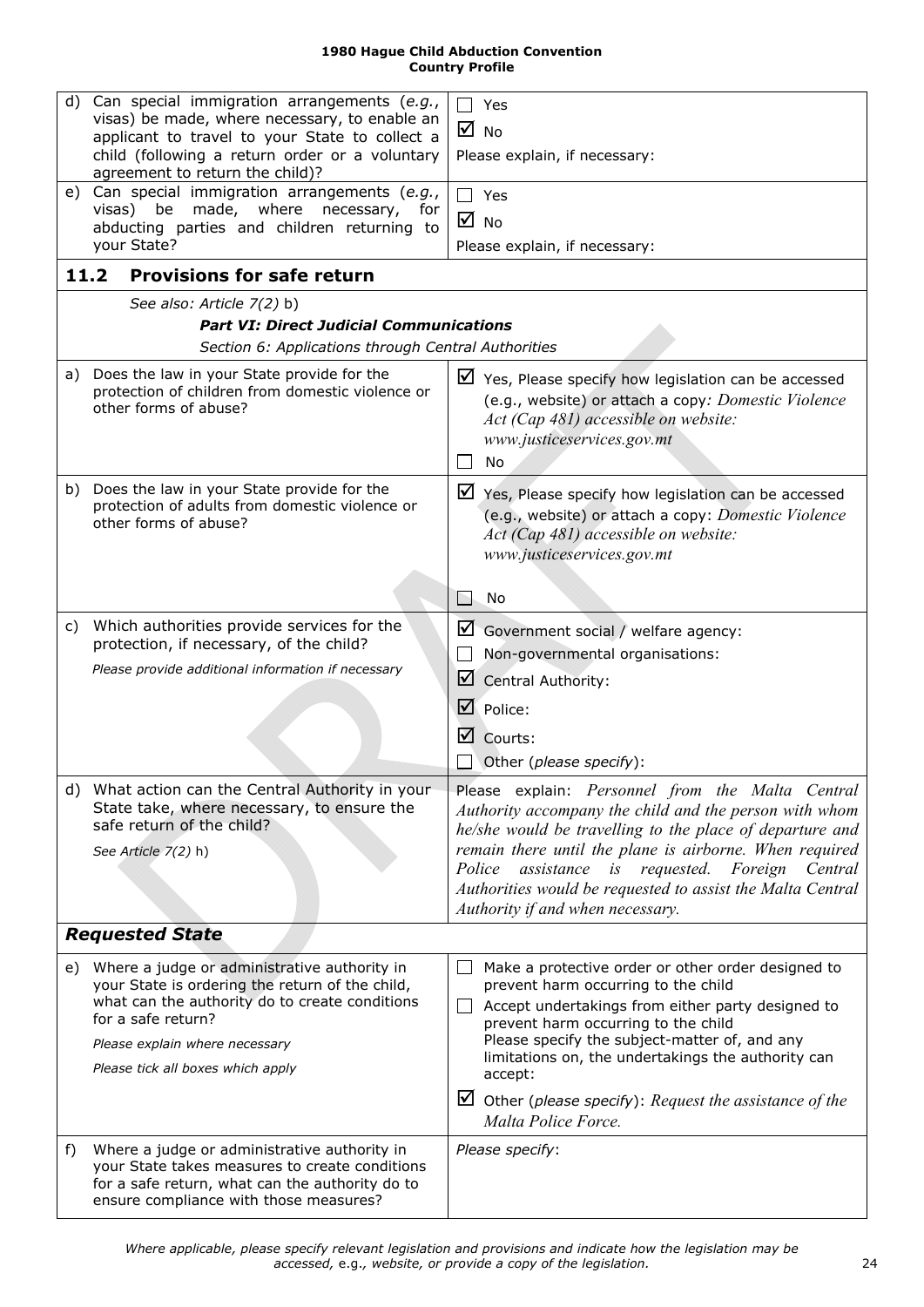<span id="page-23-0"></span>

| d) | Can special immigration arrangements (e.g.,<br>visas) be made, where necessary, to enable an<br>applicant to travel to your State to collect a<br>child (following a return order or a voluntary                                               | Yes<br>$\overline{M}$ No<br>Please explain, if necessary:                                                                                                                                                                                                                                                                                                                                                          |
|----|------------------------------------------------------------------------------------------------------------------------------------------------------------------------------------------------------------------------------------------------|--------------------------------------------------------------------------------------------------------------------------------------------------------------------------------------------------------------------------------------------------------------------------------------------------------------------------------------------------------------------------------------------------------------------|
|    | agreement to return the child)?                                                                                                                                                                                                                |                                                                                                                                                                                                                                                                                                                                                                                                                    |
|    | e) Can special immigration arrangements (e.g.,<br>visas) be made, where necessary,<br>for                                                                                                                                                      | $\Box$ Yes                                                                                                                                                                                                                                                                                                                                                                                                         |
|    | abducting parties and children returning to                                                                                                                                                                                                    | $\overline{M}$ No                                                                                                                                                                                                                                                                                                                                                                                                  |
|    | your State?                                                                                                                                                                                                                                    | Please explain, if necessary:                                                                                                                                                                                                                                                                                                                                                                                      |
|    | <b>Provisions for safe return</b><br>11.2                                                                                                                                                                                                      |                                                                                                                                                                                                                                                                                                                                                                                                                    |
|    | See also: Article 7(2) b)                                                                                                                                                                                                                      |                                                                                                                                                                                                                                                                                                                                                                                                                    |
|    | <b>Part VI: Direct Judicial Communications</b>                                                                                                                                                                                                 |                                                                                                                                                                                                                                                                                                                                                                                                                    |
|    | Section 6: Applications through Central Authorities                                                                                                                                                                                            |                                                                                                                                                                                                                                                                                                                                                                                                                    |
|    | a) Does the law in your State provide for the<br>protection of children from domestic violence or<br>other forms of abuse?                                                                                                                     | $\triangleright$ Yes, Please specify how legislation can be accessed<br>(e.g., website) or attach a copy: Domestic Violence<br>Act (Cap 481) accessible on website:<br>www.justiceservices.gov.mt<br>No                                                                                                                                                                                                            |
|    | b) Does the law in your State provide for the<br>protection of adults from domestic violence or<br>other forms of abuse?                                                                                                                       | $\triangleright$ Yes, Please specify how legislation can be accessed<br>(e.g., website) or attach a copy: Domestic Violence<br>Act (Cap 481) accessible on website:<br>www.justiceservices.gov.mt                                                                                                                                                                                                                  |
|    |                                                                                                                                                                                                                                                | No                                                                                                                                                                                                                                                                                                                                                                                                                 |
| C) | Which authorities provide services for the                                                                                                                                                                                                     | $\Box$ Government social / welfare agency:                                                                                                                                                                                                                                                                                                                                                                         |
|    | protection, if necessary, of the child?                                                                                                                                                                                                        | Non-governmental organisations:                                                                                                                                                                                                                                                                                                                                                                                    |
|    | Please provide additional information if necessary                                                                                                                                                                                             | Central Authority:                                                                                                                                                                                                                                                                                                                                                                                                 |
|    |                                                                                                                                                                                                                                                |                                                                                                                                                                                                                                                                                                                                                                                                                    |
|    |                                                                                                                                                                                                                                                | $\mathbf{\mathbb{Z}}$ Police:                                                                                                                                                                                                                                                                                                                                                                                      |
|    |                                                                                                                                                                                                                                                | Courts:                                                                                                                                                                                                                                                                                                                                                                                                            |
|    |                                                                                                                                                                                                                                                | Other (please specify):                                                                                                                                                                                                                                                                                                                                                                                            |
|    | d) What action can the Central Authority in your<br>State take, where necessary, to ensure the<br>safe return of the child?<br>See Article 7(2) h)                                                                                             | Please explain: Personnel from the Malta Central<br>Authority accompany the child and the person with whom<br>he/she would be travelling to the place of departure and<br>remain there until the plane is airborne. When required<br>Police assistance is requested. Foreign Central<br>Authorities would be requested to assist the Malta Central<br>Authority if and when necessary.                             |
|    | <b>Requested State</b>                                                                                                                                                                                                                         |                                                                                                                                                                                                                                                                                                                                                                                                                    |
| e) | Where a judge or administrative authority in<br>your State is ordering the return of the child,<br>what can the authority do to create conditions<br>for a safe return?<br>Please explain where necessary<br>Please tick all boxes which apply | Make a protective order or other order designed to<br>prevent harm occurring to the child<br>Accept undertakings from either party designed to<br>$\Box$<br>prevent harm occurring to the child<br>Please specify the subject-matter of, and any<br>limitations on, the undertakings the authority can<br>accept:<br>$\triangleright$ Other (please specify): Request the assistance of the<br>Malta Police Force. |
| f) | Where a judge or administrative authority in<br>your State takes measures to create conditions<br>for a safe return, what can the authority do to<br>ensure compliance with those measures?                                                    | Please specify:                                                                                                                                                                                                                                                                                                                                                                                                    |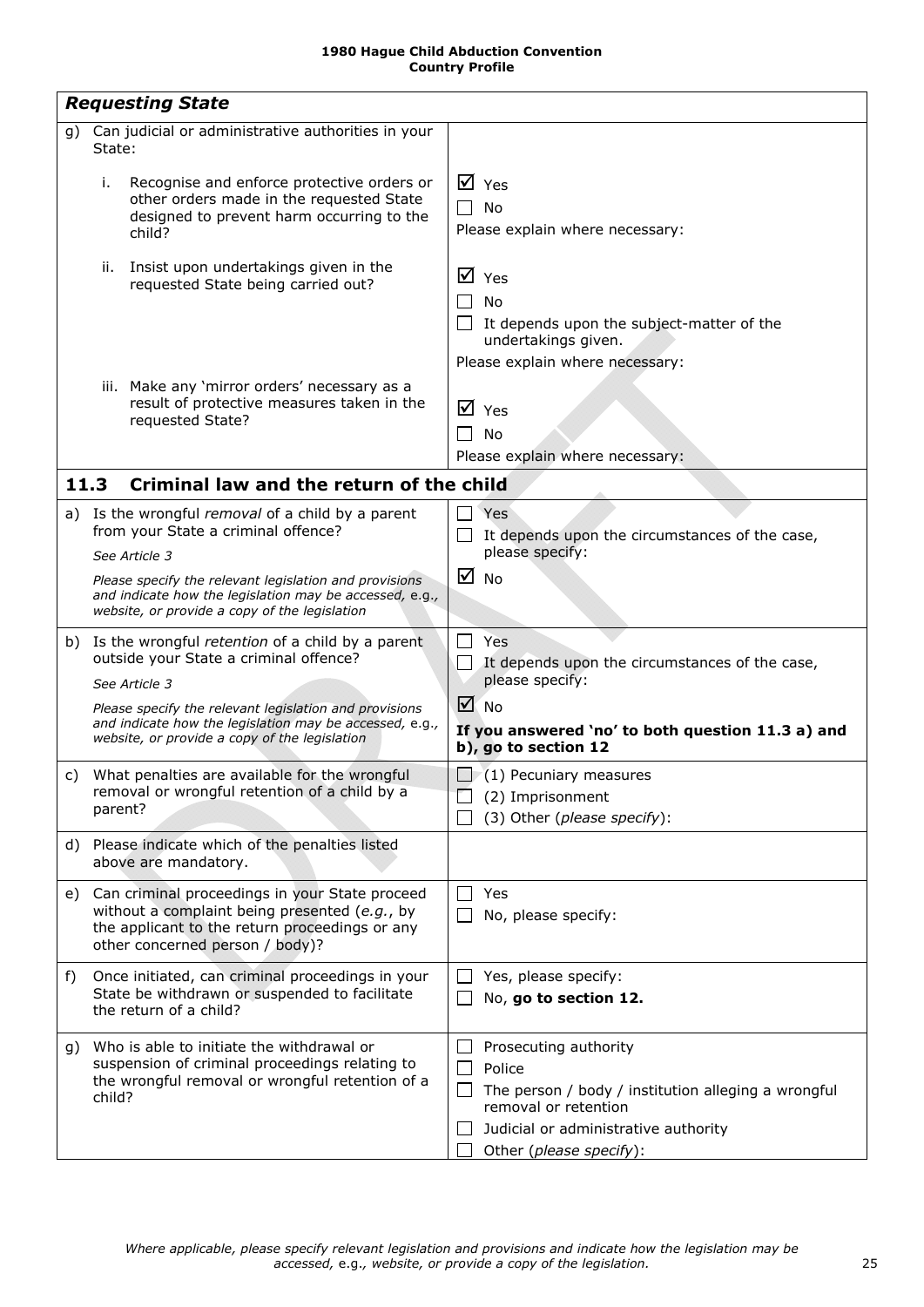<span id="page-24-2"></span><span id="page-24-1"></span><span id="page-24-0"></span>

|    | <b>Requesting State</b>                                                                                                                                                              |                                                                                                                                                                                   |
|----|--------------------------------------------------------------------------------------------------------------------------------------------------------------------------------------|-----------------------------------------------------------------------------------------------------------------------------------------------------------------------------------|
| q) | Can judicial or administrative authorities in your<br>State:                                                                                                                         |                                                                                                                                                                                   |
|    | i.<br>Recognise and enforce protective orders or<br>other orders made in the requested State<br>designed to prevent harm occurring to the<br>child?                                  | $\boxtimes$ Yes<br><b>No</b><br>Please explain where necessary:                                                                                                                   |
|    | Insist upon undertakings given in the<br>ii.<br>requested State being carried out?                                                                                                   | $\overline{M}$ Yes<br>No<br>It depends upon the subject-matter of the<br>undertakings given.<br>Please explain where necessary:                                                   |
|    | iii. Make any 'mirror orders' necessary as a<br>result of protective measures taken in the<br>requested State?                                                                       | $\overline{M}$ Yes<br>No<br>Please explain where necessary:                                                                                                                       |
|    | 11.3<br>Criminal law and the return of the child                                                                                                                                     |                                                                                                                                                                                   |
|    | a) Is the wrongful removal of a child by a parent<br>from your State a criminal offence?<br>See Article 3                                                                            | Yes<br>It depends upon the circumstances of the case,<br>please specify:                                                                                                          |
|    | Please specify the relevant legislation and provisions<br>and indicate how the legislation may be accessed, e.g.,<br>website, or provide a copy of the legislation                   | ☑<br><b>No</b>                                                                                                                                                                    |
|    | b) Is the wrongful retention of a child by a parent<br>outside your State a criminal offence?<br>See Article 3                                                                       | Yes<br>It depends upon the circumstances of the case,<br>please specify:                                                                                                          |
|    | Please specify the relevant legislation and provisions                                                                                                                               | $\sqrt{ }$ No                                                                                                                                                                     |
|    | and indicate how the legislation may be accessed, e.g.,<br>website, or provide a copy of the legislation                                                                             | If you answered 'no' to both question 11.3 a) and<br>b), go to section 12                                                                                                         |
|    | c) What penalties are available for the wrongful<br>removal or wrongful retention of a child by a<br>parent?                                                                         | $\Box$ (1) Pecuniary measures<br>(2) Imprisonment<br>(3) Other (please specify):                                                                                                  |
| d) | Please indicate which of the penalties listed<br>above are mandatory.                                                                                                                |                                                                                                                                                                                   |
| e) | Can criminal proceedings in your State proceed<br>without a complaint being presented (e.g., by<br>the applicant to the return proceedings or any<br>other concerned person / body)? | Yes<br>No, please specify:                                                                                                                                                        |
| f) | Once initiated, can criminal proceedings in your<br>State be withdrawn or suspended to facilitate<br>the return of a child?                                                          | Yes, please specify:<br>$\mathsf{L}$<br>No, go to section 12.                                                                                                                     |
| g) | Who is able to initiate the withdrawal or<br>suspension of criminal proceedings relating to<br>the wrongful removal or wrongful retention of a<br>child?                             | Prosecuting authority<br>Police<br>The person / body / institution alleging a wrongful<br>removal or retention<br>Judicial or administrative authority<br>Other (please specify): |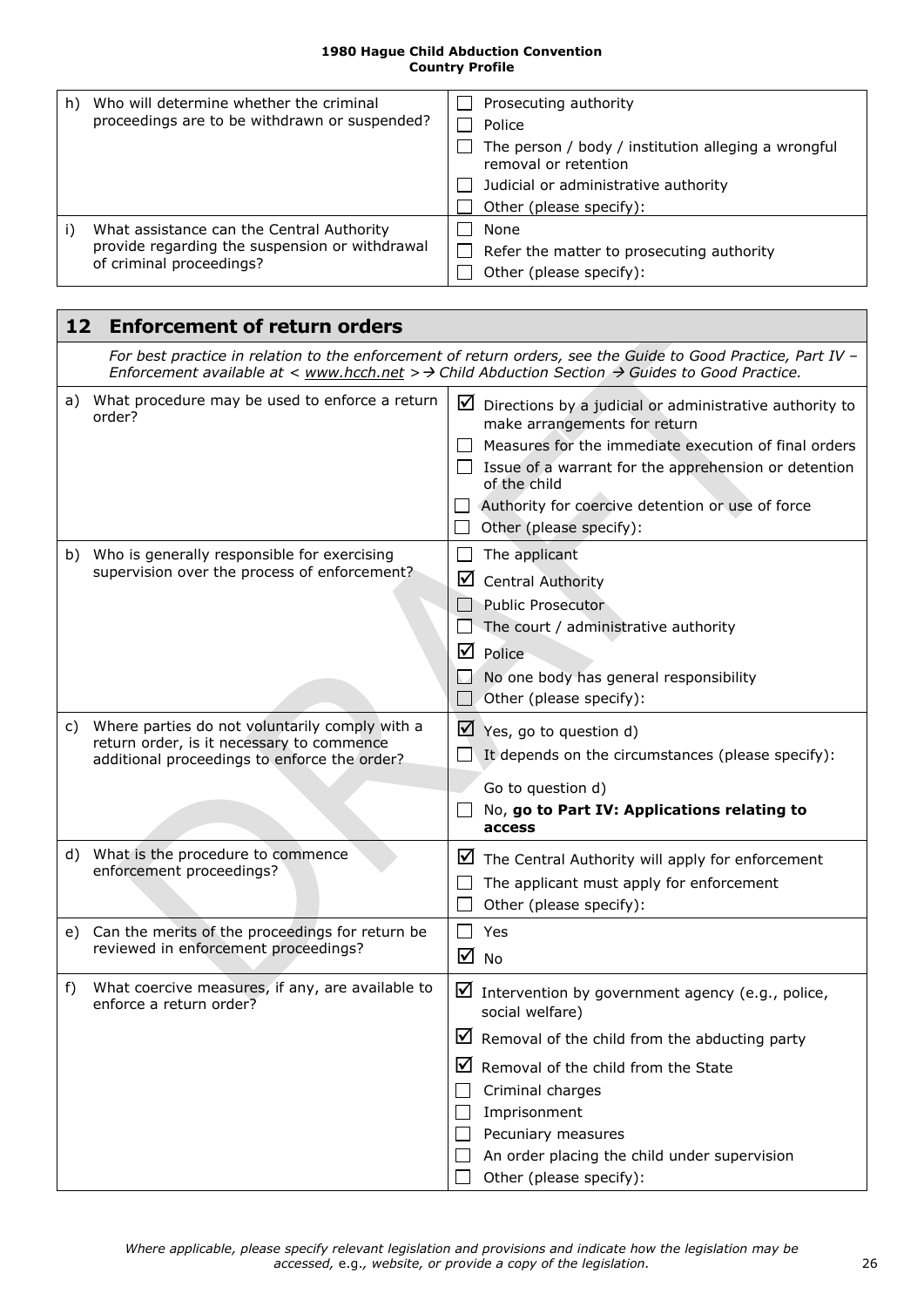| h) | Who will determine whether the criminal<br>proceedings are to be withdrawn or suspended?                                | Prosecuting authority<br>Police<br>The person / body / institution alleging a wrongful<br>removal or retention<br>Judicial or administrative authority<br>Other (please specify): |
|----|-------------------------------------------------------------------------------------------------------------------------|-----------------------------------------------------------------------------------------------------------------------------------------------------------------------------------|
|    | What assistance can the Central Authority<br>provide regarding the suspension or withdrawal<br>of criminal proceedings? | None<br>Refer the matter to prosecuting authority<br>Other (please specify):                                                                                                      |

**F** 

<span id="page-25-1"></span><span id="page-25-0"></span>

| 12    | <b>Enforcement of return orders</b>                                                                                                         |                                                                                                                                                                                                                                                                                                                        |  |
|-------|---------------------------------------------------------------------------------------------------------------------------------------------|------------------------------------------------------------------------------------------------------------------------------------------------------------------------------------------------------------------------------------------------------------------------------------------------------------------------|--|
|       |                                                                                                                                             | For best practice in relation to the enforcement of return orders, see the Guide to Good Practice, Part IV -<br>Enforcement available at < www.hcch.net > $\rightarrow$ Child Abduction Section $\rightarrow$ Guides to Good Practice.                                                                                 |  |
| a)    | What procedure may be used to enforce a return<br>order?                                                                                    | $\Box$ Directions by a judicial or administrative authority to<br>make arrangements for return<br>Measures for the immediate execution of final orders<br>$\Box$ Issue of a warrant for the apprehension or detention<br>of the child<br>Authority for coercive detention or use of force<br>Other (please specify):   |  |
|       | b) Who is generally responsible for exercising<br>supervision over the process of enforcement?                                              | The applicant<br>⊻<br><b>Central Authority</b><br><b>Public Prosecutor</b><br>The court / administrative authority<br>$\triangledown$ Police<br>No one body has general responsibility<br>Other (please specify):                                                                                                      |  |
| C)    | Where parties do not voluntarily comply with a<br>return order, is it necessary to commence<br>additional proceedings to enforce the order? | $\blacktriangleright$ Yes, go to question d)<br>It depends on the circumstances (please specify):<br>Go to question d)<br>No, go to Part IV: Applications relating to<br>access                                                                                                                                        |  |
|       | d) What is the procedure to commence<br>enforcement proceedings?                                                                            | ⊻<br>The Central Authority will apply for enforcement<br>The applicant must apply for enforcement<br>Other (please specify):                                                                                                                                                                                           |  |
|       | e) Can the merits of the proceedings for return be<br>reviewed in enforcement proceedings?                                                  | Yes<br>☑<br>No                                                                                                                                                                                                                                                                                                         |  |
| $f$ ) | What coercive measures, if any, are available to<br>enforce a return order?                                                                 | ☑<br>Intervention by government agency (e.g., police,<br>social welfare)<br>$\boxtimes$ Removal of the child from the abducting party<br>⊻<br>Removal of the child from the State<br>Criminal charges<br>Imprisonment<br>Pecuniary measures<br>An order placing the child under supervision<br>Other (please specify): |  |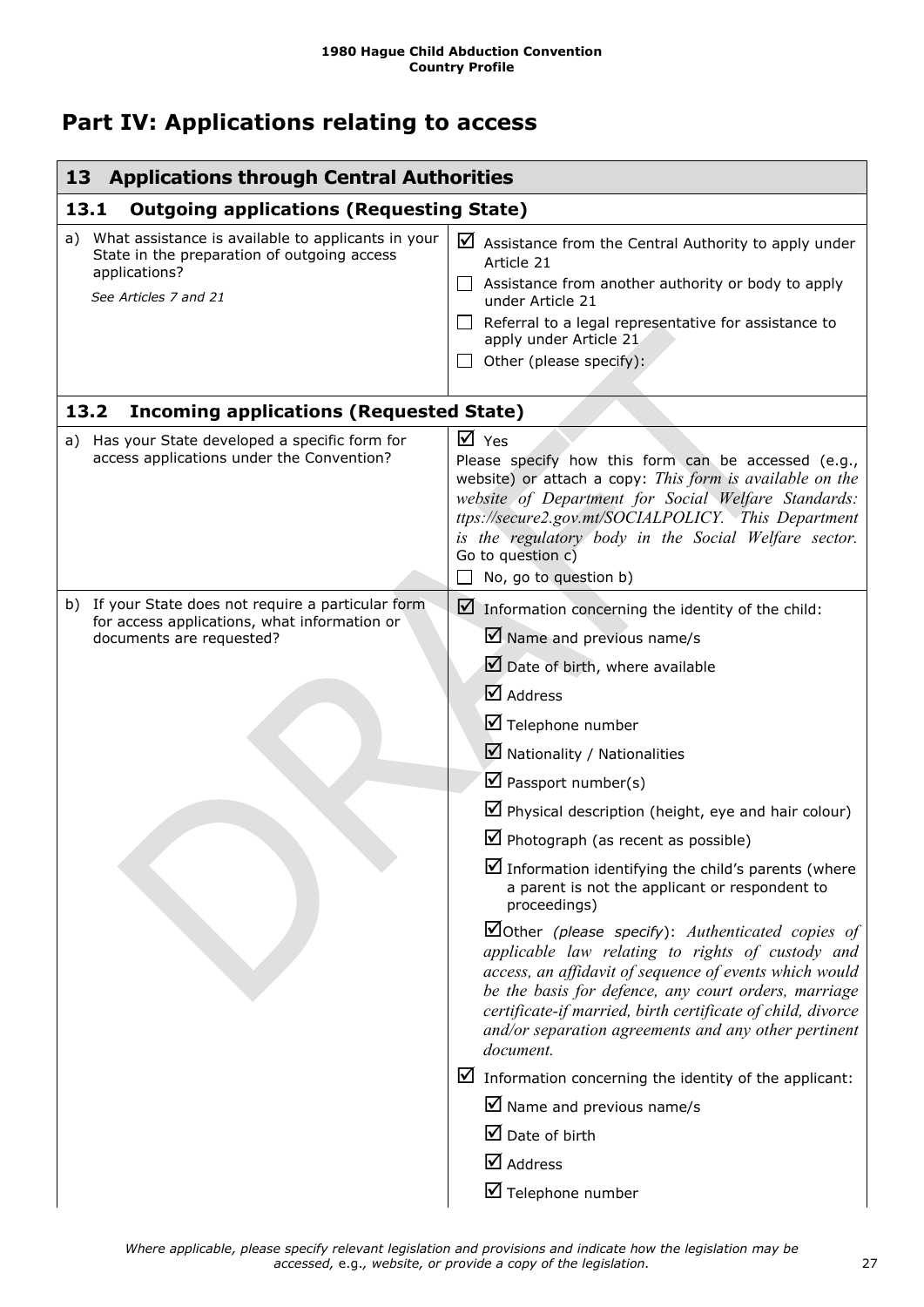## <span id="page-26-0"></span>**Part IV: Applications relating to access**

<span id="page-26-3"></span><span id="page-26-2"></span><span id="page-26-1"></span>

| <b>Applications through Central Authorities</b><br>13                                                                                             |                                                                                                                                                                                                                                                                                                                                                                                                                                                                                                                                                                                                                                                                                                                                                                                                                                                                                                                                                                                                                                                         |  |
|---------------------------------------------------------------------------------------------------------------------------------------------------|---------------------------------------------------------------------------------------------------------------------------------------------------------------------------------------------------------------------------------------------------------------------------------------------------------------------------------------------------------------------------------------------------------------------------------------------------------------------------------------------------------------------------------------------------------------------------------------------------------------------------------------------------------------------------------------------------------------------------------------------------------------------------------------------------------------------------------------------------------------------------------------------------------------------------------------------------------------------------------------------------------------------------------------------------------|--|
| 13.1<br><b>Outgoing applications (Requesting State)</b>                                                                                           |                                                                                                                                                                                                                                                                                                                                                                                                                                                                                                                                                                                                                                                                                                                                                                                                                                                                                                                                                                                                                                                         |  |
| What assistance is available to applicants in your<br>a)<br>State in the preparation of outgoing access<br>applications?<br>See Articles 7 and 21 | ⊻<br>Assistance from the Central Authority to apply under<br>Article 21<br>Assistance from another authority or body to apply<br>$\perp$<br>under Article 21<br>Referral to a legal representative for assistance to<br>$\Box$<br>apply under Article 21<br>Other (please specify):                                                                                                                                                                                                                                                                                                                                                                                                                                                                                                                                                                                                                                                                                                                                                                     |  |
| 13.2<br><b>Incoming applications (Requested State)</b>                                                                                            |                                                                                                                                                                                                                                                                                                                                                                                                                                                                                                                                                                                                                                                                                                                                                                                                                                                                                                                                                                                                                                                         |  |
| a) Has your State developed a specific form for<br>access applications under the Convention?                                                      | $\overline{M}$ Yes<br>Please specify how this form can be accessed (e.g.,<br>website) or attach a copy: This form is available on the<br>website of Department for Social Welfare Standards:<br>ttps://secure2.gov.mt/SOCIALPOLICY. This Department<br>is the regulatory body in the Social Welfare sector.<br>Go to question c)<br>No, go to question b)                                                                                                                                                                                                                                                                                                                                                                                                                                                                                                                                                                                                                                                                                               |  |
| b) If your State does not require a particular form<br>for access applications, what information or<br>documents are requested?                   | $\blacksquare$ Information concerning the identity of the child:<br>$\blacksquare$ Name and previous name/s<br>Date of birth, where available<br>☑ Address<br>Telephone number<br>$\blacksquare$ Nationality / Nationalities<br>$\boxtimes$ Passport number(s)<br>$\blacksquare$ Physical description (height, eye and hair colour)<br>$\boxtimes$ Photograph (as recent as possible)<br>Information identifying the child's parents (where<br>a parent is not the applicant or respondent to<br>proceedings)<br>$\Box$ Other (please specify): Authenticated copies of<br>applicable law relating to rights of custody and<br>access, an affidavit of sequence of events which would<br>be the basis for defence, any court orders, marriage<br>certificate-if married, birth certificate of child, divorce<br>and/or separation agreements and any other pertinent<br>document.<br>$\triangleright$ Information concerning the identity of the applicant:<br>$\boxtimes$ Name and previous name/s<br>$\boxtimes$ Date of birth<br>$\boxtimes$ Address |  |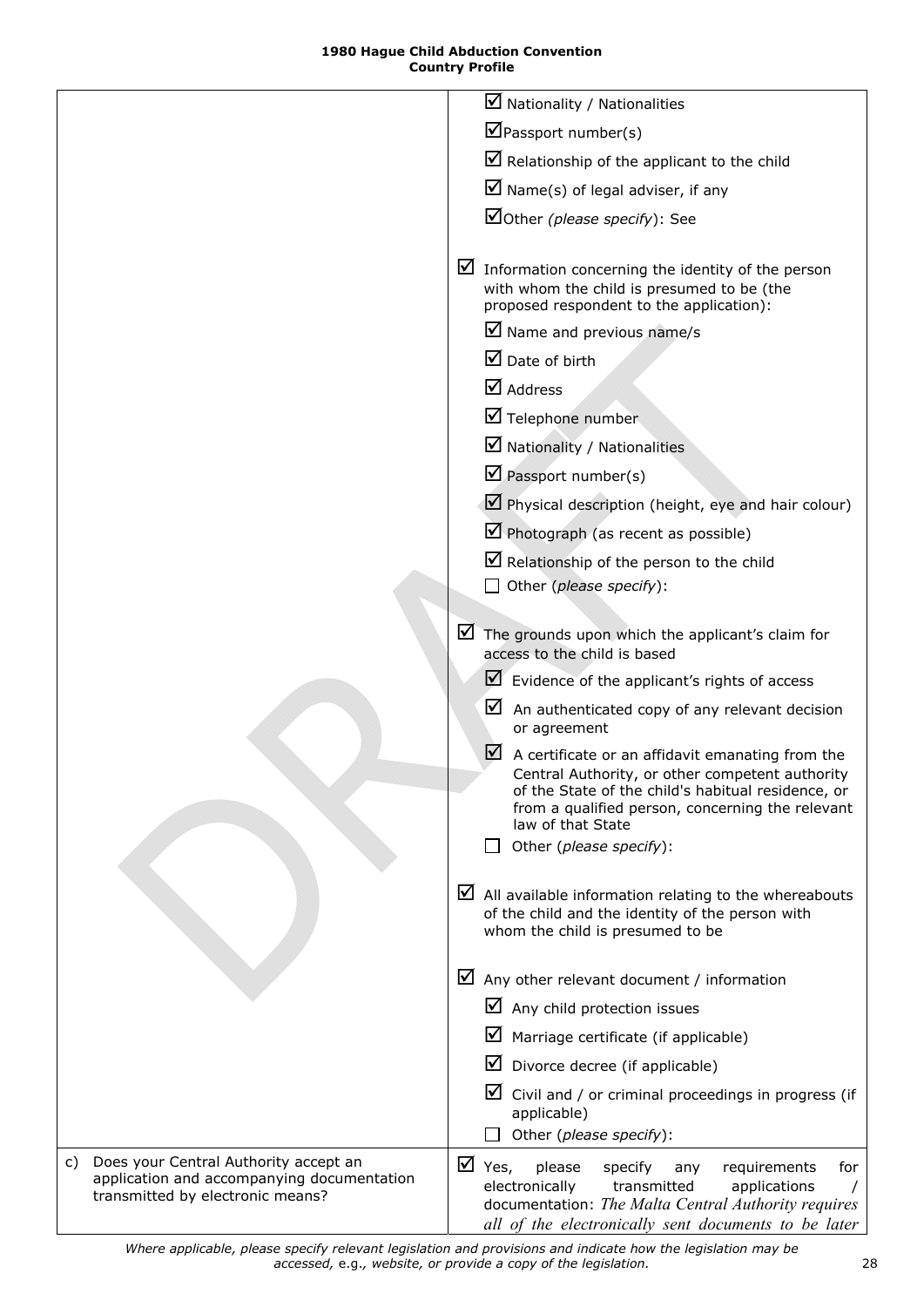<span id="page-27-0"></span>

|                                                                                                                               | $\boxtimes$ Nationality / Nationalities                                                                                                                                                                                                      |
|-------------------------------------------------------------------------------------------------------------------------------|----------------------------------------------------------------------------------------------------------------------------------------------------------------------------------------------------------------------------------------------|
|                                                                                                                               | $\blacksquare$ Passport number(s)                                                                                                                                                                                                            |
|                                                                                                                               | $\triangleright$ Relationship of the applicant to the child                                                                                                                                                                                  |
|                                                                                                                               | $\blacksquare$ Name(s) of legal adviser, if any                                                                                                                                                                                              |
|                                                                                                                               | Other (please specify): See                                                                                                                                                                                                                  |
|                                                                                                                               |                                                                                                                                                                                                                                              |
|                                                                                                                               | $\triangleright$ Information concerning the identity of the person<br>with whom the child is presumed to be (the<br>proposed respondent to the application):                                                                                 |
|                                                                                                                               | $\boxtimes$ Name and previous name/s                                                                                                                                                                                                         |
|                                                                                                                               | $\boxtimes$ Date of birth                                                                                                                                                                                                                    |
|                                                                                                                               | $\boxtimes$ Address                                                                                                                                                                                                                          |
|                                                                                                                               | Telephone number                                                                                                                                                                                                                             |
|                                                                                                                               | $\blacksquare$ Nationality / Nationalities                                                                                                                                                                                                   |
|                                                                                                                               | $\triangledown$ Passport number(s)                                                                                                                                                                                                           |
|                                                                                                                               | $\Box$ Physical description (height, eye and hair colour)                                                                                                                                                                                    |
|                                                                                                                               | $\triangledown$ Photograph (as recent as possible)                                                                                                                                                                                           |
|                                                                                                                               | $\blacksquare$ Relationship of the person to the child                                                                                                                                                                                       |
|                                                                                                                               | Other (please specify):                                                                                                                                                                                                                      |
|                                                                                                                               | $\blacksquare$ The grounds upon which the applicant's claim for<br>access to the child is based                                                                                                                                              |
|                                                                                                                               | $\blacktriangleright$ Evidence of the applicant's rights of access                                                                                                                                                                           |
|                                                                                                                               | ⊻<br>An authenticated copy of any relevant decision<br>or agreement                                                                                                                                                                          |
|                                                                                                                               | $\vee$<br>A certificate or an affidavit emanating from the<br>Central Authority, or other competent authority<br>of the State of the child's habitual residence, or<br>from a qualified person, concerning the relevant<br>law of that State |
|                                                                                                                               | Other (please specify):                                                                                                                                                                                                                      |
|                                                                                                                               | $\triangleright$ All available information relating to the whereabouts<br>of the child and the identity of the person with<br>whom the child is presumed to be                                                                               |
|                                                                                                                               | $\blacksquare$ Any other relevant document / information                                                                                                                                                                                     |
|                                                                                                                               | $\Delta$ Any child protection issues                                                                                                                                                                                                         |
|                                                                                                                               | Marriage certificate (if applicable)                                                                                                                                                                                                         |
|                                                                                                                               | Divorce decree (if applicable)                                                                                                                                                                                                               |
|                                                                                                                               | $\boxtimes$ Civil and / or criminal proceedings in progress (if<br>applicable)                                                                                                                                                               |
|                                                                                                                               | Other (please specify):                                                                                                                                                                                                                      |
| Does your Central Authority accept an<br>C)<br>application and accompanying documentation<br>transmitted by electronic means? | $\overline{M}$ Yes,<br>please<br>specify<br>requirements<br>for<br>any<br>electronically<br>transmitted<br>applications<br>documentation: The Malta Central Authority requires<br>all of the electronically sent documents to be later       |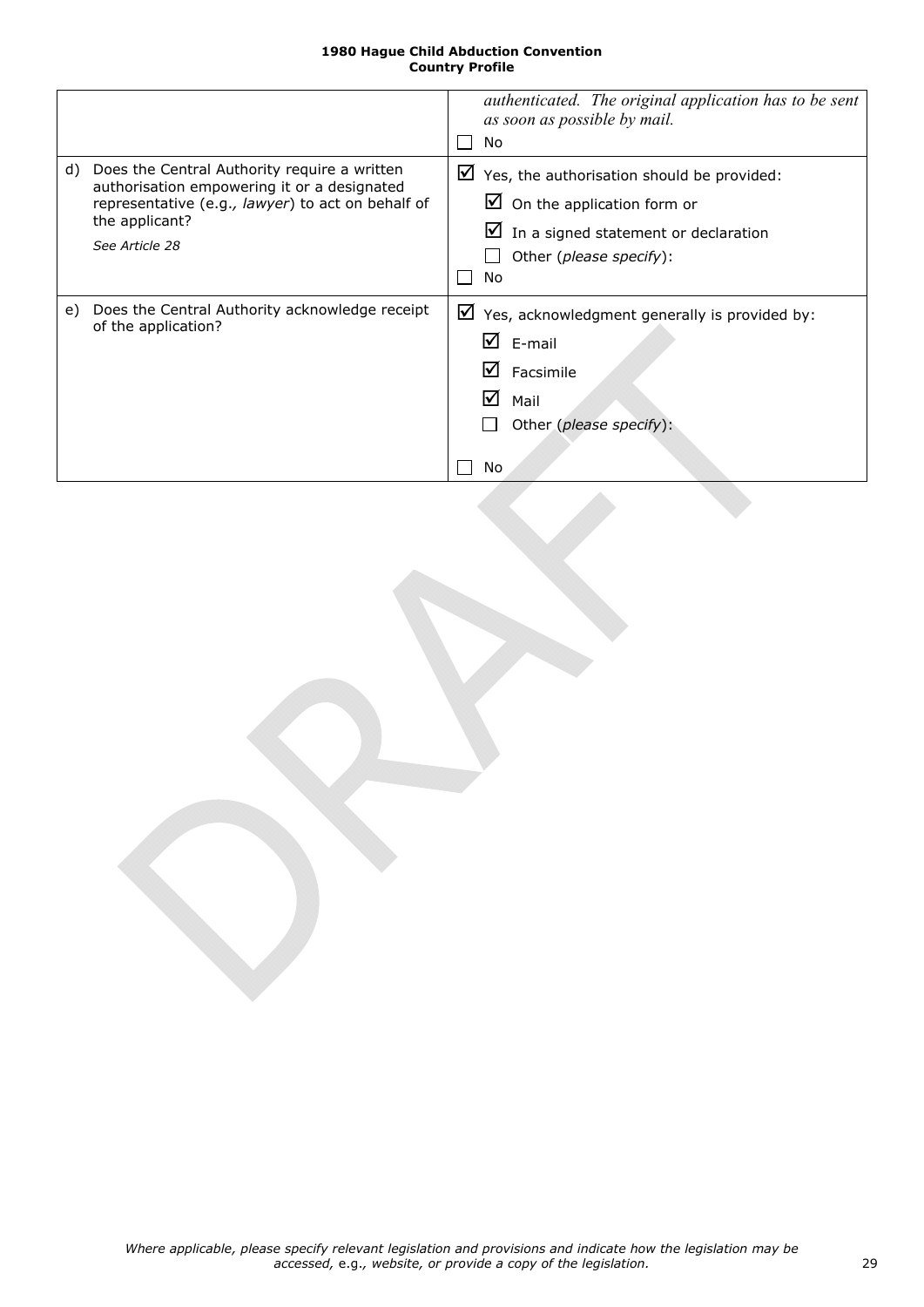|    |                                                                                                                                                                                      | authenticated. The original application has to be sent<br>as soon as possible by mail.<br>No                                                                                 |  |
|----|--------------------------------------------------------------------------------------------------------------------------------------------------------------------------------------|------------------------------------------------------------------------------------------------------------------------------------------------------------------------------|--|
| d) | Does the Central Authority require a written<br>authorisation empowering it or a designated<br>representative (e.g., lawyer) to act on behalf of<br>the applicant?<br>See Article 28 | ⊻<br>Yes, the authorisation should be provided:<br>$\Box$ On the application form or<br>$\blacksquare$ In a signed statement or declaration<br>Other (please specify):<br>No |  |
| e) | Does the Central Authority acknowledge receipt<br>of the application?                                                                                                                | ⊻<br>Yes, acknowledgment generally is provided by:<br>$\mathbf{\nabla}$ E-mail<br>Facsimile<br>M<br>M<br>Mail<br>Other (please specify):<br>No                               |  |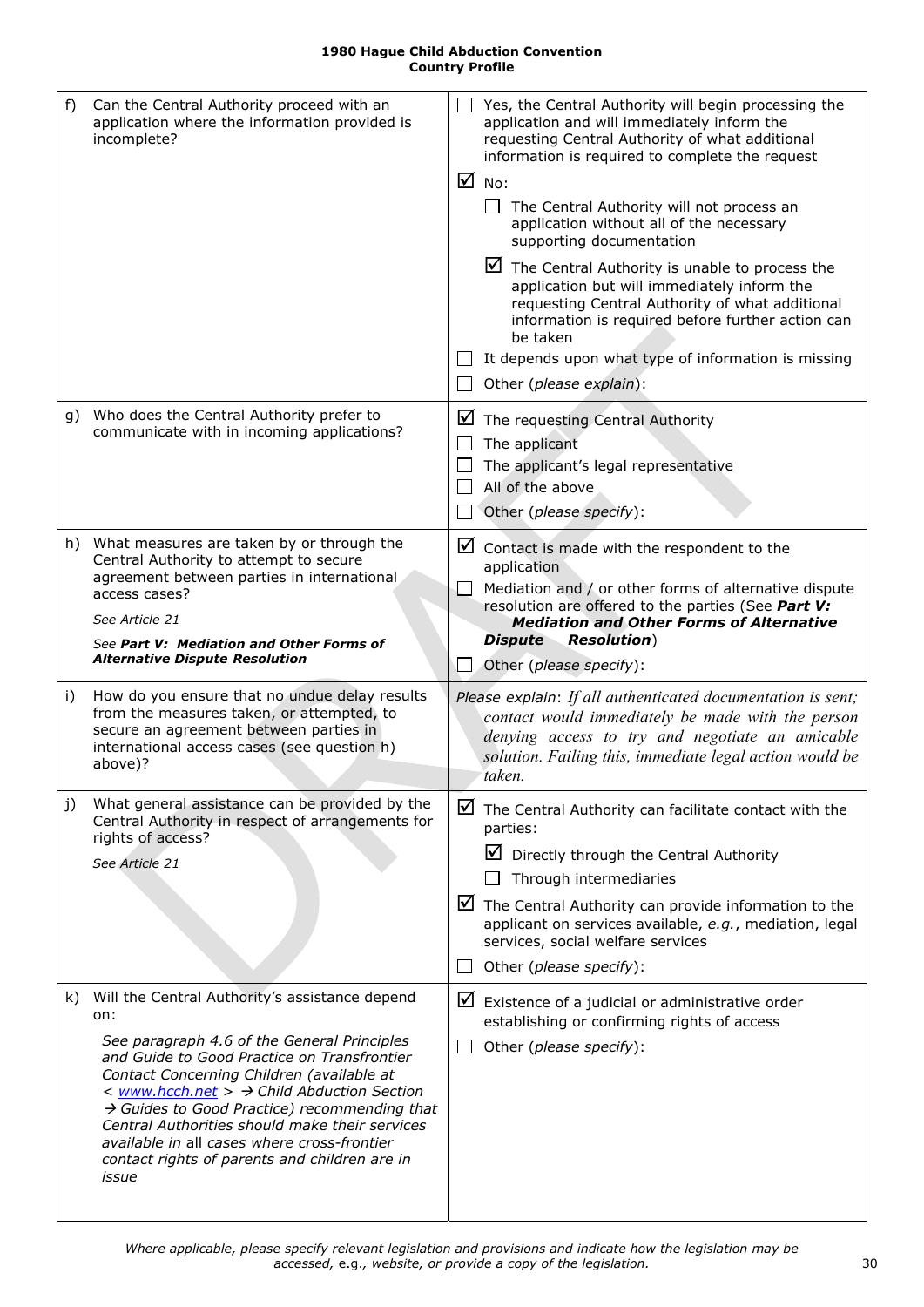<span id="page-29-0"></span>

| f)  |                                                                                                                                               |        |                                                                                                                                                                                                                                    |
|-----|-----------------------------------------------------------------------------------------------------------------------------------------------|--------|------------------------------------------------------------------------------------------------------------------------------------------------------------------------------------------------------------------------------------|
|     | Can the Central Authority proceed with an<br>application where the information provided is<br>incomplete?                                     | $\Box$ | Yes, the Central Authority will begin processing the<br>application and will immediately inform the<br>requesting Central Authority of what additional<br>information is required to complete the request                          |
|     |                                                                                                                                               | ☑      | No:                                                                                                                                                                                                                                |
|     |                                                                                                                                               |        | The Central Authority will not process an<br>application without all of the necessary<br>supporting documentation                                                                                                                  |
|     |                                                                                                                                               |        | $\triangleright$ The Central Authority is unable to process the<br>application but will immediately inform the<br>requesting Central Authority of what additional<br>information is required before further action can<br>be taken |
|     |                                                                                                                                               |        | It depends upon what type of information is missing                                                                                                                                                                                |
|     |                                                                                                                                               |        | Other (please explain):                                                                                                                                                                                                            |
| g)  | Who does the Central Authority prefer to<br>communicate with in incoming applications?                                                        |        | $\blacksquare$ The requesting Central Authority<br>The applicant                                                                                                                                                                   |
|     |                                                                                                                                               | $\Box$ | The applicant's legal representative                                                                                                                                                                                               |
|     |                                                                                                                                               |        | All of the above                                                                                                                                                                                                                   |
|     |                                                                                                                                               |        | Other (please specify):                                                                                                                                                                                                            |
|     | h) What measures are taken by or through the<br>Central Authority to attempt to secure<br>agreement between parties in international          |        | $\triangleright$ Contact is made with the respondent to the<br>application                                                                                                                                                         |
|     | access cases?                                                                                                                                 |        | Mediation and / or other forms of alternative dispute<br>resolution are offered to the parties (See Part V:                                                                                                                        |
|     | See Article 21                                                                                                                                |        | <b>Mediation and Other Forms of Alternative</b>                                                                                                                                                                                    |
|     | See Part V: Mediation and Other Forms of<br><b>Alternative Dispute Resolution</b>                                                             |        | <b>Resolution</b> )<br><b>Dispute</b><br>Other (please specify):                                                                                                                                                                   |
| i)  | How do you ensure that no undue delay results                                                                                                 |        | Please explain: If all authenticated documentation is sent;                                                                                                                                                                        |
|     | from the measures taken, or attempted, to<br>secure an agreement between parties in<br>international access cases (see question h)<br>above)? |        | contact would immediately be made with the person<br>denying access to try and negotiate an amicable<br>solution. Failing this, immediate legal action would be<br>taken.                                                          |
| j)  |                                                                                                                                               |        |                                                                                                                                                                                                                                    |
|     | What general assistance can be provided by the<br>Central Authority in respect of arrangements for                                            | ⊻      | The Central Authority can facilitate contact with the<br>parties:                                                                                                                                                                  |
|     | rights of access?<br>See Article 21                                                                                                           |        | ☑<br>Directly through the Central Authority<br>Through intermediaries                                                                                                                                                              |
|     |                                                                                                                                               |        | $\triangleright$ The Central Authority can provide information to the<br>applicant on services available, e.g., mediation, legal<br>services, social welfare services                                                              |
|     |                                                                                                                                               |        | Other (please specify):                                                                                                                                                                                                            |
| k). | Will the Central Authority's assistance depend<br>on:<br>See paragraph 4.6 of the General Principles                                          | ☑      | Existence of a judicial or administrative order<br>establishing or confirming rights of access                                                                                                                                     |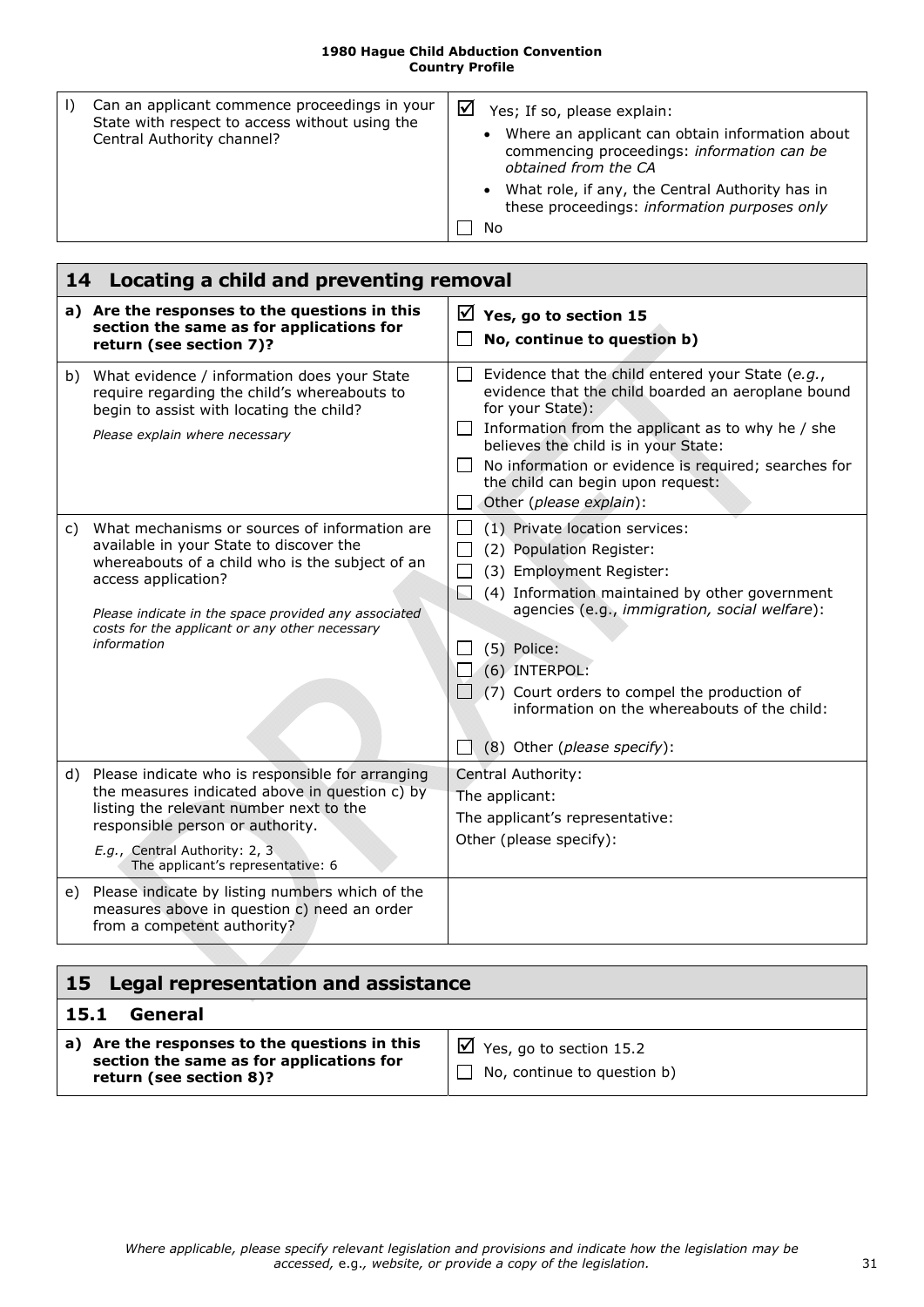| Can an applicant commence proceedings in your<br>State with respect to access without using the<br>Central Authority channel? | ☑<br>Yes; If so, please explain:<br>• Where an applicant can obtain information about<br>commencing proceedings: information can be<br>obtained from the CA<br>• What role, if any, the Central Authority has in<br>these proceedings: information purposes only<br>No |
|-------------------------------------------------------------------------------------------------------------------------------|------------------------------------------------------------------------------------------------------------------------------------------------------------------------------------------------------------------------------------------------------------------------|
|                                                                                                                               |                                                                                                                                                                                                                                                                        |

<span id="page-30-4"></span><span id="page-30-3"></span><span id="page-30-0"></span>

|    | 14 Locating a child and preventing removal                                                                                                                                                                                                                                                  |                                                                                                                                                                                                                                                                                                                                                                           |  |  |
|----|---------------------------------------------------------------------------------------------------------------------------------------------------------------------------------------------------------------------------------------------------------------------------------------------|---------------------------------------------------------------------------------------------------------------------------------------------------------------------------------------------------------------------------------------------------------------------------------------------------------------------------------------------------------------------------|--|--|
|    | a) Are the responses to the questions in this<br>section the same as for applications for<br>return (see section 7)?                                                                                                                                                                        | $\vee$ Yes, go to section 15<br>No, continue to question b)                                                                                                                                                                                                                                                                                                               |  |  |
| b) | What evidence / information does your State<br>require regarding the child's whereabouts to<br>begin to assist with locating the child?<br>Please explain where necessary                                                                                                                   | Evidence that the child entered your State (e.g.,<br>$\Box$<br>evidence that the child boarded an aeroplane bound<br>for your State):<br>Information from the applicant as to why he / she<br>believes the child is in your State:<br>$\Box$ No information or evidence is required; searches for<br>the child can begin upon request:<br>Other (please explain):         |  |  |
| C) | What mechanisms or sources of information are<br>available in your State to discover the<br>whereabouts of a child who is the subject of an<br>access application?<br>Please indicate in the space provided any associated<br>costs for the applicant or any other necessary<br>information | (1) Private location services:<br>(2) Population Register:<br>(3) Employment Register:<br>(4) Information maintained by other government<br>agencies (e.g., immigration, social welfare):<br>(5) Police:<br>(6) INTERPOL:<br>$\Box$ (7) Court orders to compel the production of<br>information on the whereabouts of the child:<br>(8) Other (please specify):<br>$\Box$ |  |  |
|    | d) Please indicate who is responsible for arranging<br>the measures indicated above in question c) by<br>listing the relevant number next to the<br>responsible person or authority.<br>E.g., Central Authority: 2, 3<br>The applicant's representative: 6                                  | Central Authority:<br>The applicant:<br>The applicant's representative:<br>Other (please specify):                                                                                                                                                                                                                                                                        |  |  |
| e) | Please indicate by listing numbers which of the<br>measures above in question c) need an order<br>from a competent authority?                                                                                                                                                               |                                                                                                                                                                                                                                                                                                                                                                           |  |  |

<span id="page-30-2"></span><span id="page-30-1"></span>

| 15 Legal representation and assistance                                                                               |                                                                    |  |
|----------------------------------------------------------------------------------------------------------------------|--------------------------------------------------------------------|--|
| General<br>15.1                                                                                                      |                                                                    |  |
| a) Are the responses to the questions in this<br>section the same as for applications for<br>return (see section 8)? | $\boxtimes$ Yes, go to section 15.2<br>No, continue to question b) |  |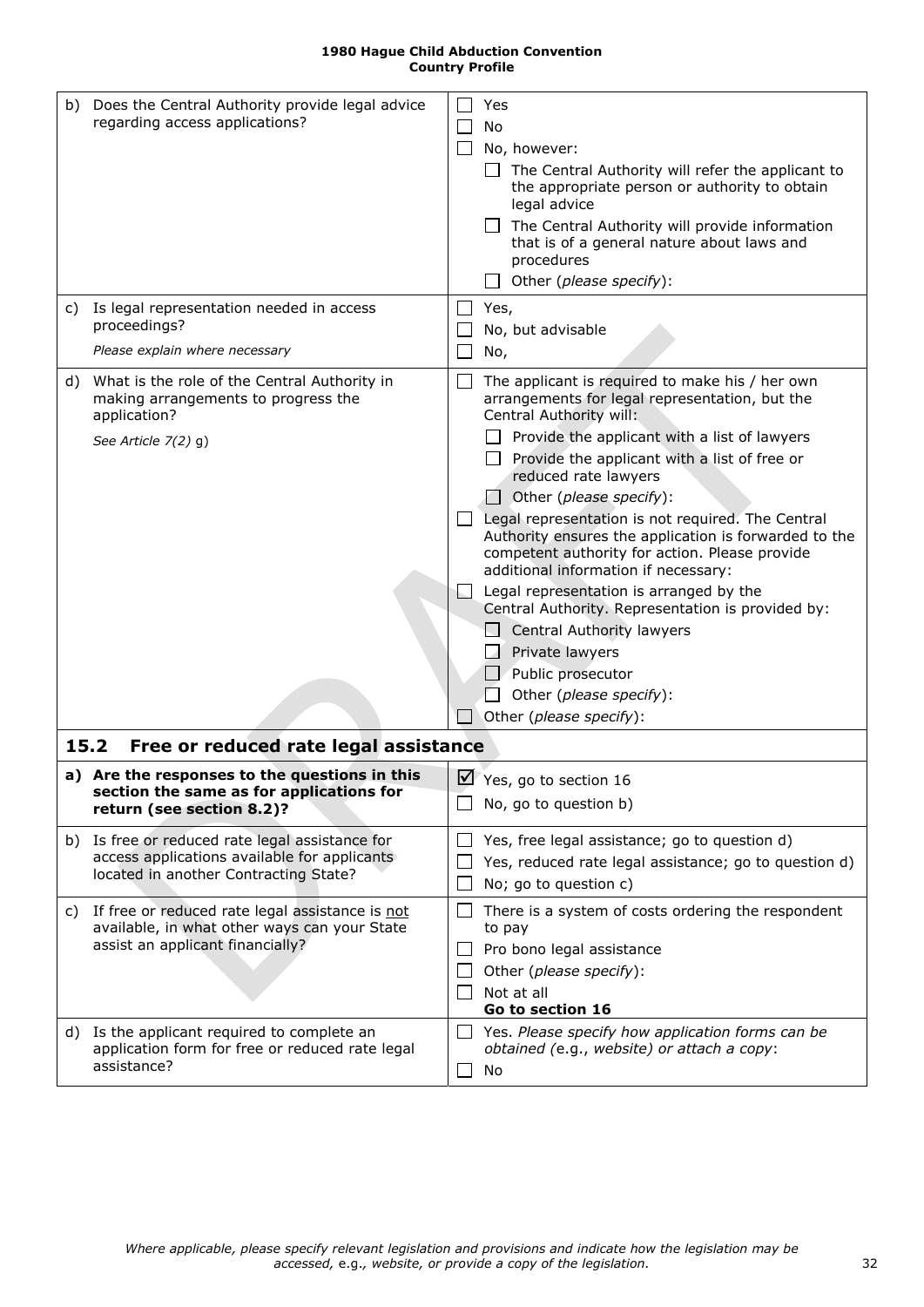<span id="page-31-4"></span><span id="page-31-3"></span><span id="page-31-2"></span><span id="page-31-1"></span><span id="page-31-0"></span>

| b) Does the Central Authority provide legal advice<br>regarding access applications?                                                     |        | Yes<br>No<br>No, however:<br>The Central Authority will refer the applicant to<br>the appropriate person or authority to obtain<br>legal advice<br>The Central Authority will provide information<br>that is of a general nature about laws and<br>procedures<br>Other (please specify):                                                                                                                                                                                                                                                                                                                                                                                                                                  |
|------------------------------------------------------------------------------------------------------------------------------------------|--------|---------------------------------------------------------------------------------------------------------------------------------------------------------------------------------------------------------------------------------------------------------------------------------------------------------------------------------------------------------------------------------------------------------------------------------------------------------------------------------------------------------------------------------------------------------------------------------------------------------------------------------------------------------------------------------------------------------------------------|
| c) Is legal representation needed in access<br>proceedings?                                                                              |        | Yes,<br>No, but advisable                                                                                                                                                                                                                                                                                                                                                                                                                                                                                                                                                                                                                                                                                                 |
| Please explain where necessary                                                                                                           |        | No,                                                                                                                                                                                                                                                                                                                                                                                                                                                                                                                                                                                                                                                                                                                       |
| d) What is the role of the Central Authority in<br>making arrangements to progress the<br>application?<br>See Article $7(2)$ g)          | $\Box$ | The applicant is required to make his / her own<br>arrangements for legal representation, but the<br>Central Authority will:<br>Provide the applicant with a list of lawyers<br>Provide the applicant with a list of free or<br>reduced rate lawyers<br>Other (please specify):<br>Legal representation is not required. The Central<br>Authority ensures the application is forwarded to the<br>competent authority for action. Please provide<br>additional information if necessary:<br>Legal representation is arranged by the<br>Central Authority. Representation is provided by:<br><b>Central Authority lawyers</b><br>Private lawyers<br>Public prosecutor<br>Other (please specify):<br>Other (please specify): |
| 15.2<br>Free or reduced rate legal assistance                                                                                            |        |                                                                                                                                                                                                                                                                                                                                                                                                                                                                                                                                                                                                                                                                                                                           |
| a) Are the responses to the questions in this<br>section the same as for applications for<br>return (see section 8.2)?                   |        | Yes, go to section 16<br>No, go to question b)                                                                                                                                                                                                                                                                                                                                                                                                                                                                                                                                                                                                                                                                            |
| b) Is free or reduced rate legal assistance for<br>access applications available for applicants<br>located in another Contracting State? |        | Yes, free legal assistance; go to question d)<br>Yes, reduced rate legal assistance; go to question d)<br>No; go to question c)                                                                                                                                                                                                                                                                                                                                                                                                                                                                                                                                                                                           |
| c) If free or reduced rate legal assistance is not<br>available, in what other ways can your State<br>assist an applicant financially?   |        | There is a system of costs ordering the respondent<br>to pay<br>Pro bono legal assistance<br>Other (please specify):<br>Not at all<br>Go to section 16                                                                                                                                                                                                                                                                                                                                                                                                                                                                                                                                                                    |
| d) Is the applicant required to complete an<br>application form for free or reduced rate legal<br>assistance?                            |        | Yes. Please specify how application forms can be<br>obtained (e.g., website) or attach a copy:<br>No                                                                                                                                                                                                                                                                                                                                                                                                                                                                                                                                                                                                                      |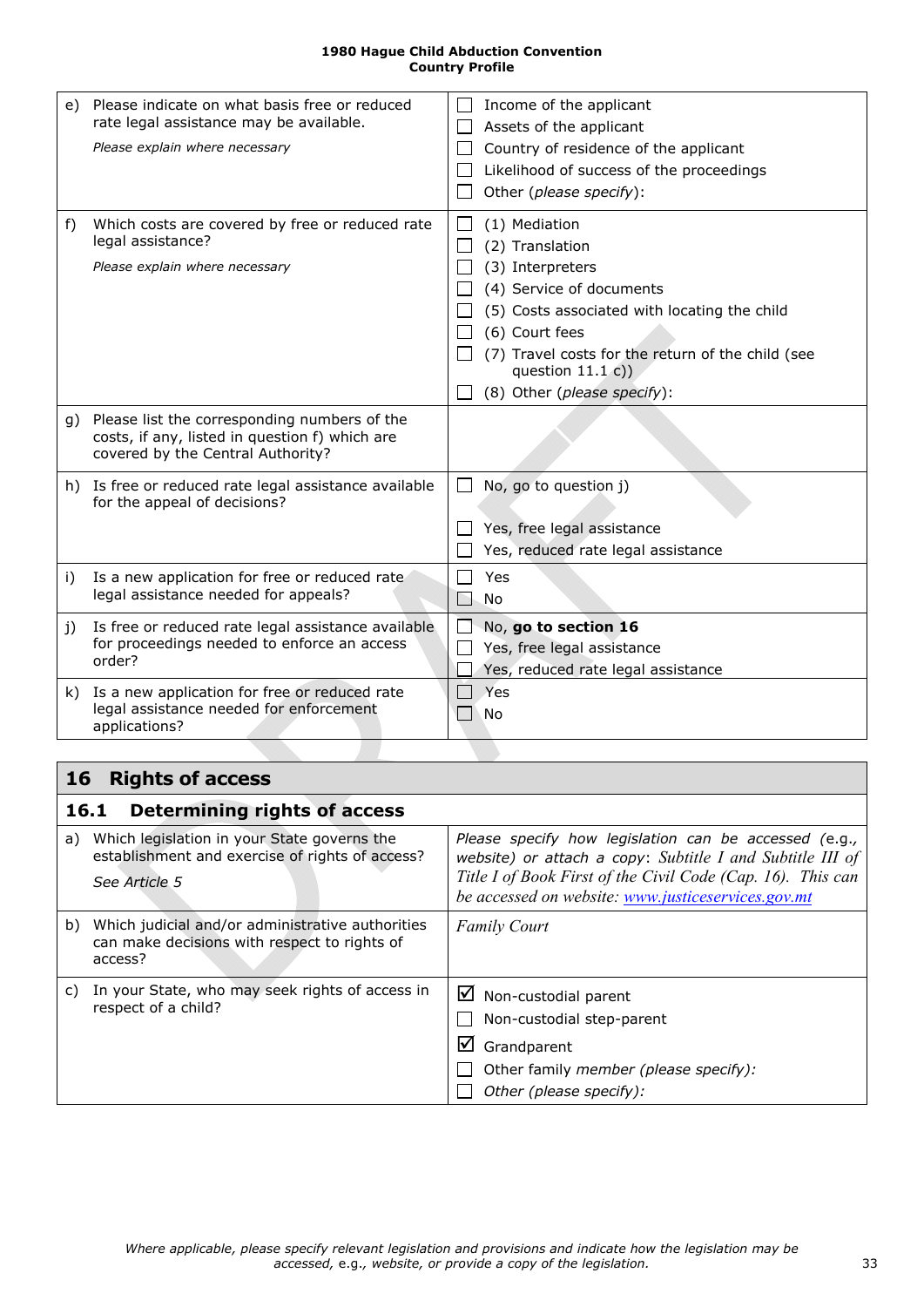<span id="page-32-2"></span>

|    | e) Please indicate on what basis free or reduced<br>rate legal assistance may be available.<br>Please explain where necessary          | Income of the applicant<br>Assets of the applicant<br>Country of residence of the applicant<br>Likelihood of success of the proceedings<br>Other (please specify):                                                                                           |
|----|----------------------------------------------------------------------------------------------------------------------------------------|--------------------------------------------------------------------------------------------------------------------------------------------------------------------------------------------------------------------------------------------------------------|
| f) | Which costs are covered by free or reduced rate<br>legal assistance?<br>Please explain where necessary                                 | (1) Mediation<br>(2) Translation<br>(3) Interpreters<br>(4) Service of documents<br>(5) Costs associated with locating the child<br>(6) Court fees<br>(7) Travel costs for the return of the child (see<br>question $11.1 c)$<br>(8) Other (please specify): |
|    | g) Please list the corresponding numbers of the<br>costs, if any, listed in question f) which are<br>covered by the Central Authority? |                                                                                                                                                                                                                                                              |
|    | h) Is free or reduced rate legal assistance available<br>for the appeal of decisions?                                                  | No, go to question j)<br>Yes, free legal assistance<br>Yes, reduced rate legal assistance                                                                                                                                                                    |
| i) | Is a new application for free or reduced rate<br>legal assistance needed for appeals?                                                  | Yes<br>No.                                                                                                                                                                                                                                                   |
| j) | Is free or reduced rate legal assistance available<br>for proceedings needed to enforce an access<br>order?                            | No, go to section 16<br>Yes, free legal assistance<br>Yes, reduced rate legal assistance                                                                                                                                                                     |
|    | k) Is a new application for free or reduced rate<br>legal assistance needed for enforcement<br>applications?                           | Yes<br>No                                                                                                                                                                                                                                                    |

# <span id="page-32-3"></span><span id="page-32-0"></span>**16 Rights of access**

<span id="page-32-1"></span>

|    | <b>Determining rights of access</b><br>16.1                                                                     |                                                                                                                                                                                                                                         |
|----|-----------------------------------------------------------------------------------------------------------------|-----------------------------------------------------------------------------------------------------------------------------------------------------------------------------------------------------------------------------------------|
| a) | Which legislation in your State governs the<br>establishment and exercise of rights of access?<br>See Article 5 | Please specify how legislation can be accessed (e.g.,<br>website) or attach a copy: Subtitle I and Subtitle III of<br>Title I of Book First of the Civil Code (Cap. 16). This can<br>be accessed on website: www.justiceservices.gov.mt |
| b) | Which judicial and/or administrative authorities<br>can make decisions with respect to rights of<br>access?     | <b>Family Court</b>                                                                                                                                                                                                                     |
| C) | In your State, who may seek rights of access in<br>respect of a child?                                          | $\boxtimes$ Non-custodial parent<br>Non-custodial step-parent<br>$\boxtimes$ Grandparent<br>Other family member (please specify):<br>Other (please specify):                                                                            |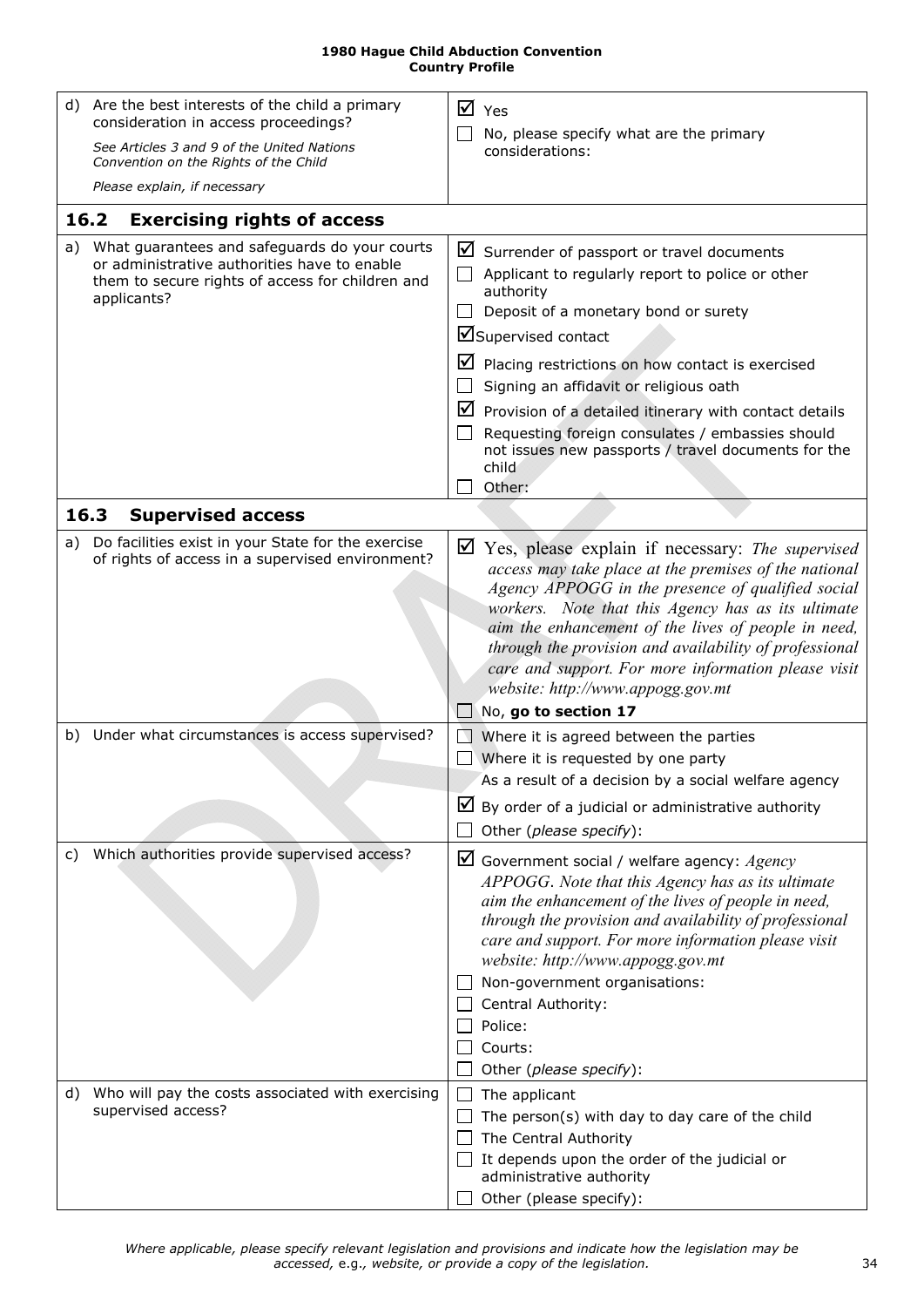| <b>1980 Hague Child Abduction Convention</b> |
|----------------------------------------------|
| <b>Country Profile</b>                       |

<span id="page-33-1"></span><span id="page-33-0"></span>

|      | d) Are the best interests of the child a primary<br>consideration in access proceedings?                                                                         |    | $\overline{M}$ Yes                                                                                                                                                                                                                                                                                                                                                                                                                                                                              |
|------|------------------------------------------------------------------------------------------------------------------------------------------------------------------|----|-------------------------------------------------------------------------------------------------------------------------------------------------------------------------------------------------------------------------------------------------------------------------------------------------------------------------------------------------------------------------------------------------------------------------------------------------------------------------------------------------|
|      | See Articles 3 and 9 of the United Nations<br>Convention on the Rights of the Child                                                                              |    | No, please specify what are the primary<br>considerations:                                                                                                                                                                                                                                                                                                                                                                                                                                      |
|      | Please explain, if necessary                                                                                                                                     |    |                                                                                                                                                                                                                                                                                                                                                                                                                                                                                                 |
| 16.2 | <b>Exercising rights of access</b>                                                                                                                               |    |                                                                                                                                                                                                                                                                                                                                                                                                                                                                                                 |
| a)   | What guarantees and safeguards do your courts<br>or administrative authorities have to enable<br>them to secure rights of access for children and<br>applicants? | ⊻  | $\blacksquare$ Surrender of passport or travel documents<br>Applicant to regularly report to police or other<br>authority<br>Deposit of a monetary bond or surety<br>■Supervised contact<br>Placing restrictions on how contact is exercised<br>Signing an affidavit or religious oath<br>$\triangleright$ Provision of a detailed itinerary with contact details<br>Requesting foreign consulates / embassies should<br>not issues new passports / travel documents for the<br>child<br>Other: |
| 16.3 | <b>Supervised access</b>                                                                                                                                         |    |                                                                                                                                                                                                                                                                                                                                                                                                                                                                                                 |
| a)   | Do facilities exist in your State for the exercise<br>of rights of access in a supervised environment?                                                           | ⊻  | Yes, please explain if necessary: The supervised<br>access may take place at the premises of the national<br>Agency APPOGG in the presence of qualified social<br>workers. Note that this Agency has as its ultimate<br>aim the enhancement of the lives of people in need,<br>through the provision and availability of professional<br>care and support. For more information please visit<br>website: http://www.appogg.gov.mt<br>No, go to section 17                                       |
|      | b) Under what circumstances is access supervised?                                                                                                                | ΙV | Where it is agreed between the parties<br>Where it is requested by one party<br>As a result of a decision by a social welfare agency<br>$\boxtimes$ By order of a judicial or administrative authority<br>Other (please specify):                                                                                                                                                                                                                                                               |
| C)   | Which authorities provide supervised access?                                                                                                                     |    | $\boxtimes$ Government social / welfare agency: Agency<br>APPOGG. Note that this Agency has as its ultimate<br>aim the enhancement of the lives of people in need,<br>through the provision and availability of professional<br>care and support. For more information please visit<br>website: http://www.appogg.gov.mt<br>Non-government organisations:<br>Central Authority:<br>Police:<br>Courts:<br>Other (please specify):                                                                |
|      | d) Who will pay the costs associated with exercising<br>supervised access?                                                                                       |    | The applicant<br>The person(s) with day to day care of the child<br>The Central Authority<br>It depends upon the order of the judicial or<br>administrative authority<br>Other (please specify):                                                                                                                                                                                                                                                                                                |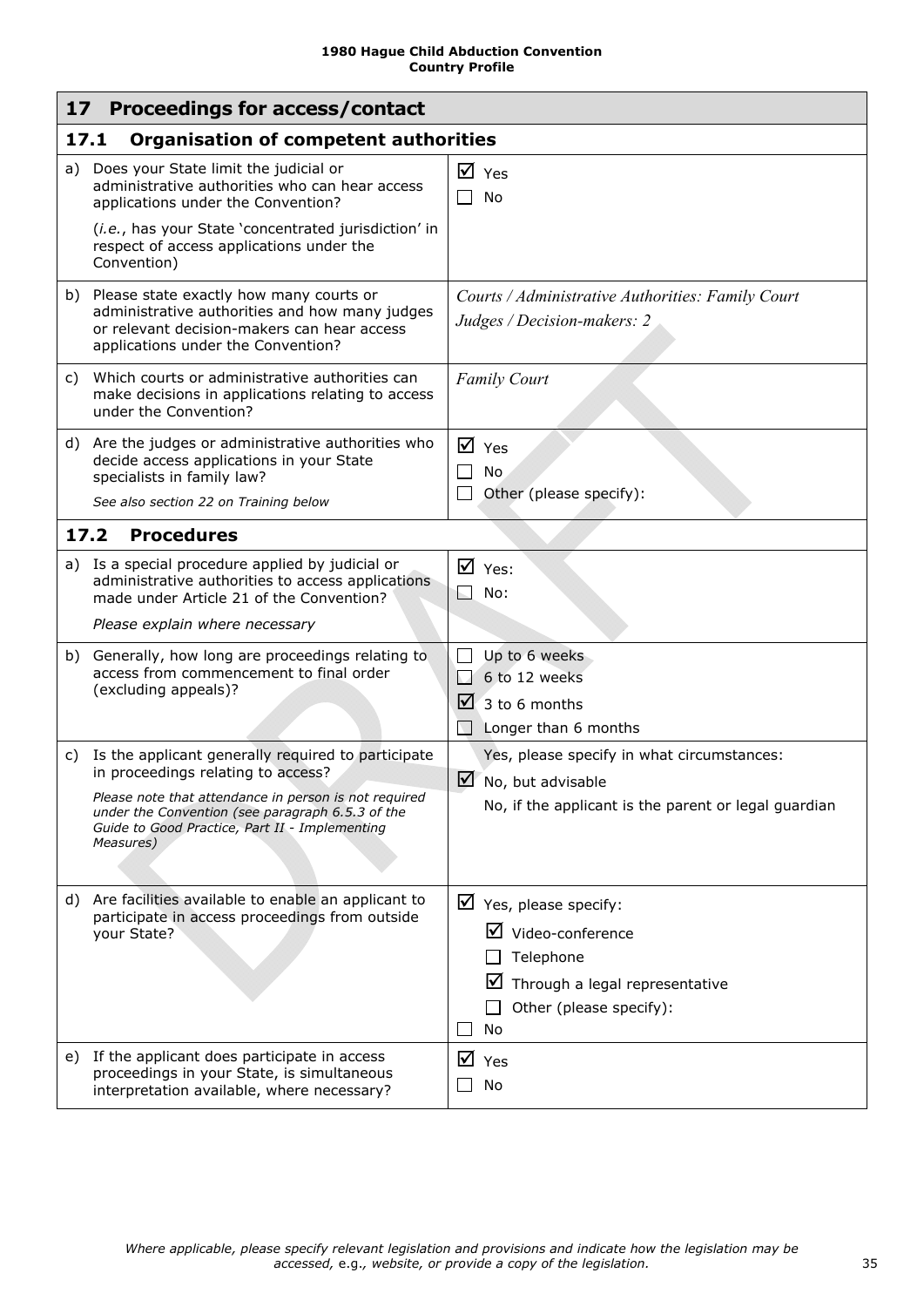<span id="page-34-4"></span><span id="page-34-3"></span><span id="page-34-2"></span><span id="page-34-1"></span><span id="page-34-0"></span>

|      | 17<br>Proceedings for access/contact                                                                                                                                                                                                                                 |                                                                                                                                                                |  |  |  |
|------|----------------------------------------------------------------------------------------------------------------------------------------------------------------------------------------------------------------------------------------------------------------------|----------------------------------------------------------------------------------------------------------------------------------------------------------------|--|--|--|
|      | 17.1<br><b>Organisation of competent authorities</b>                                                                                                                                                                                                                 |                                                                                                                                                                |  |  |  |
|      | a) Does your State limit the judicial or<br>administrative authorities who can hear access<br>applications under the Convention?<br>(i.e., has your State 'concentrated jurisdiction' in<br>respect of access applications under the<br>Convention)                  | $\overline{M}$ Yes<br>No                                                                                                                                       |  |  |  |
|      | b) Please state exactly how many courts or<br>administrative authorities and how many judges<br>or relevant decision-makers can hear access<br>applications under the Convention?                                                                                    | Courts / Administrative Authorities: Family Court<br>Judges / Decision-makers: 2                                                                               |  |  |  |
| C)   | Which courts or administrative authorities can<br>make decisions in applications relating to access<br>under the Convention?                                                                                                                                         | <b>Family Court</b>                                                                                                                                            |  |  |  |
|      | d) Are the judges or administrative authorities who<br>decide access applications in your State<br>specialists in family law?<br>See also section 22 on Training below                                                                                               | $\overline{M}$ Yes<br>П<br>No<br>Other (please specify):<br>$\mathsf{L}$                                                                                       |  |  |  |
| 17.2 | <b>Procedures</b>                                                                                                                                                                                                                                                    |                                                                                                                                                                |  |  |  |
|      | a) Is a special procedure applied by judicial or<br>administrative authorities to access applications<br>made under Article 21 of the Convention?<br>Please explain where necessary                                                                                  | $\overline{M}$ Yes:<br>ь.<br>No:                                                                                                                               |  |  |  |
|      | b) Generally, how long are proceedings relating to<br>access from commencement to final order<br>(excluding appeals)?                                                                                                                                                | Up to 6 weeks<br>$\mathsf{L}$<br>6 to 12 weeks<br>$\Box$<br>$\sqrt{2}$ 3 to 6 months<br>Longer than 6 months                                                   |  |  |  |
| C)   | Is the applicant generally required to participate<br>in proceedings relating to access?<br>Please note that attendance in person is not required<br>under the Convention (see paragraph 6.5.3 of the<br>Guide to Good Practice, Part II - Implementing<br>Measures) | Yes, please specify in what circumstances:<br>$\triangleright$ No, but advisable<br>No, if the applicant is the parent or legal guardian                       |  |  |  |
| d)   | Are facilities available to enable an applicant to<br>participate in access proceedings from outside<br>your State?                                                                                                                                                  | $\triangleright$ Yes, please specify:<br>$\triangledown$ Video-conference<br>Telephone<br>☑<br>Through a legal representative<br>Other (please specify):<br>No |  |  |  |
|      | e) If the applicant does participate in access<br>proceedings in your State, is simultaneous<br>interpretation available, where necessary?                                                                                                                           | ☑<br>Yes<br>No                                                                                                                                                 |  |  |  |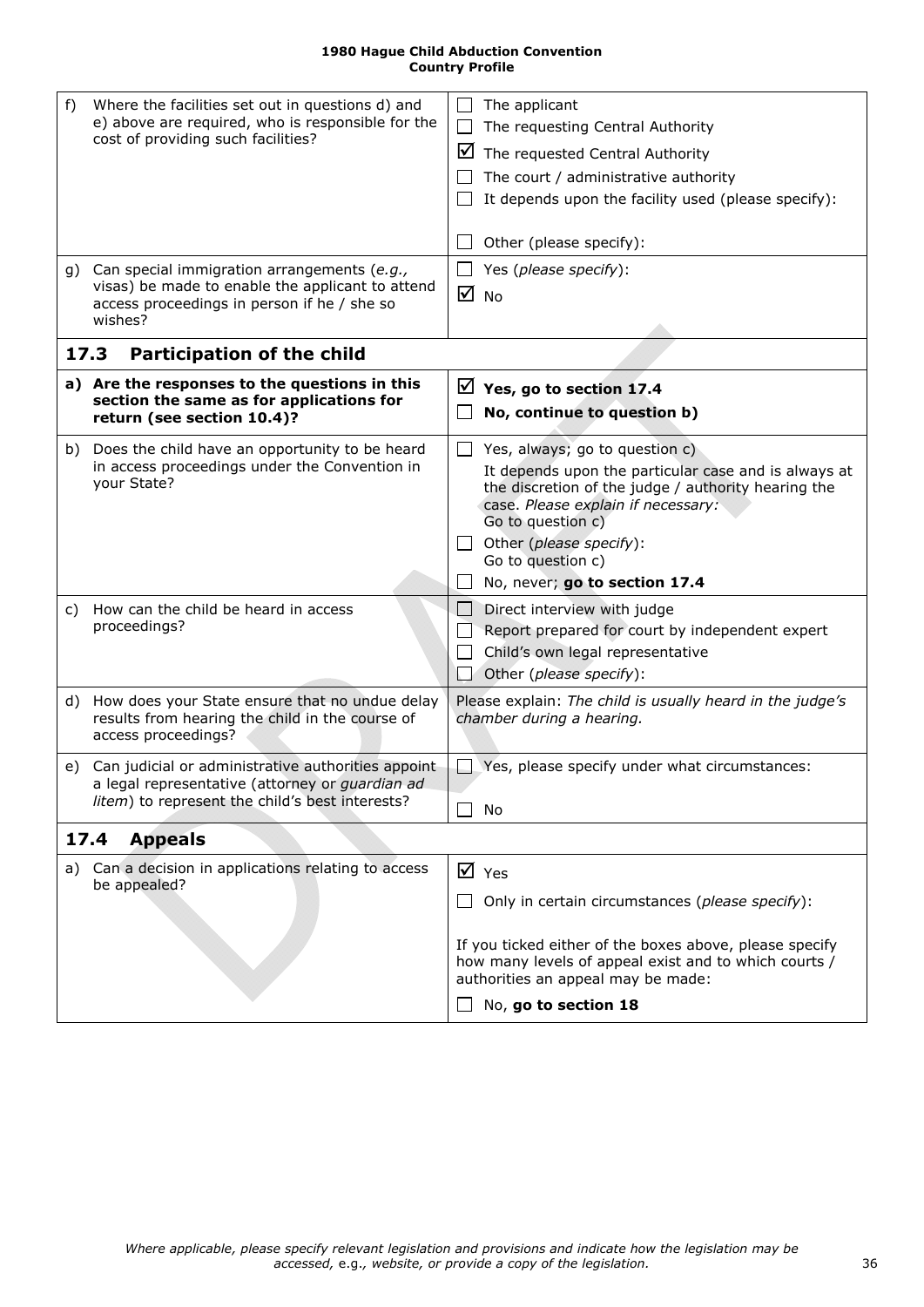<span id="page-35-3"></span><span id="page-35-2"></span><span id="page-35-1"></span><span id="page-35-0"></span>

| f)<br>cost of providing such facilities? | Where the facilities set out in questions d) and<br>e) above are required, who is responsible for the                                                       | The applicant<br>The requesting Central Authority<br>⊻<br>The requested Central Authority<br>The court / administrative authority<br>It depends upon the facility used (please specify):<br>Other (please specify):                                                                                         |
|------------------------------------------|-------------------------------------------------------------------------------------------------------------------------------------------------------------|-------------------------------------------------------------------------------------------------------------------------------------------------------------------------------------------------------------------------------------------------------------------------------------------------------------|
| wishes?                                  | g) Can special immigration arrangements (e.g.,<br>visas) be made to enable the applicant to attend<br>access proceedings in person if he / she so           | $\Box$ Yes (please specify):<br>☑<br><b>No</b>                                                                                                                                                                                                                                                              |
| 17.3                                     | <b>Participation of the child</b>                                                                                                                           |                                                                                                                                                                                                                                                                                                             |
| return (see section 10.4)?               | a) Are the responses to the questions in this<br>section the same as for applications for                                                                   | $\boxtimes$ Yes, go to section 17.4<br>No, continue to question b)                                                                                                                                                                                                                                          |
| your State?                              | b) Does the child have an opportunity to be heard<br>in access proceedings under the Convention in                                                          | Yes, always; go to question c)<br>$\perp$<br>It depends upon the particular case and is always at<br>the discretion of the judge / authority hearing the<br>case. Please explain if necessary:<br>Go to question c)<br>$\Box$ Other (please specify):<br>Go to question c)<br>No, never; go to section 17.4 |
| C)<br>proceedings?                       | How can the child be heard in access                                                                                                                        | Direct interview with judge<br>$\Box$<br>Report prepared for court by independent expert<br>Child's own legal representative<br>Other (please specify):                                                                                                                                                     |
| access proceedings?                      | d) How does your State ensure that no undue delay<br>results from hearing the child in the course of                                                        | Please explain: The child is usually heard in the judge's<br>chamber during a hearing.                                                                                                                                                                                                                      |
|                                          | e) Can judicial or administrative authorities appoint<br>a legal representative (attorney or guardian ad<br>litem) to represent the child's best interests? | Yes, please specify under what circumstances:<br>No                                                                                                                                                                                                                                                         |
| <b>Appeals</b><br>17.4                   |                                                                                                                                                             |                                                                                                                                                                                                                                                                                                             |
| a)<br>be appealed?                       | Can a decision in applications relating to access                                                                                                           | $\overline{M}$ Yes<br>Only in certain circumstances (please specify):<br>If you ticked either of the boxes above, please specify<br>how many levels of appeal exist and to which courts /<br>authorities an appeal may be made:<br>No, go to section 18                                                     |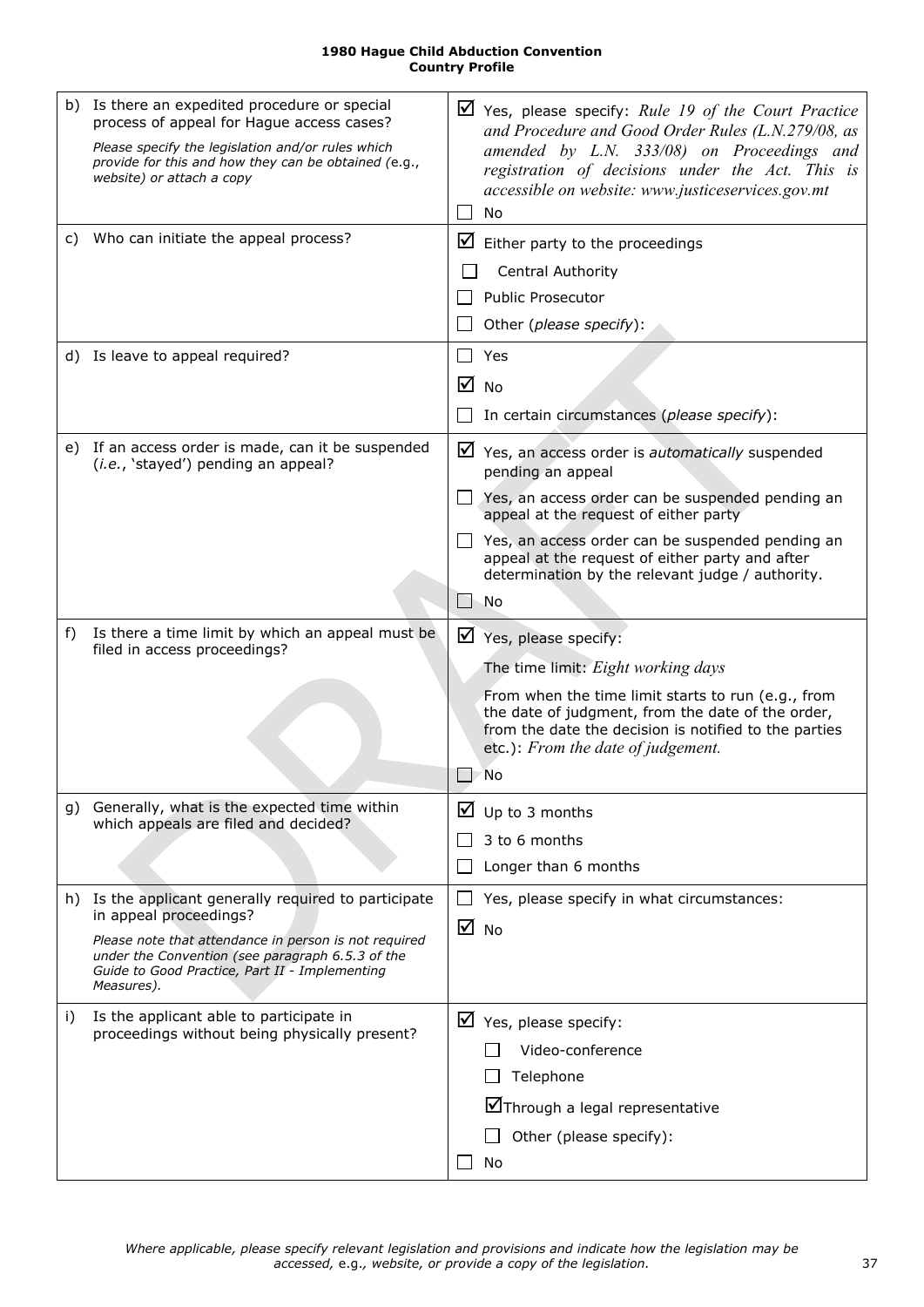| <b>1980 Hague Child Abduction Convention</b> |
|----------------------------------------------|
| <b>Country Profile</b>                       |

<span id="page-36-0"></span>

| C) | b) Is there an expedited procedure or special<br>process of appeal for Hague access cases?<br>Please specify the legislation and/or rules which<br>provide for this and how they can be obtained (e.g.,<br>website) or attach a copy<br>Who can initiate the appeal process? |                   | $\boxtimes$ Yes, please specify: Rule 19 of the Court Practice<br>and Procedure and Good Order Rules (L.N.279/08, as<br>amended by L.N. 333/08) on Proceedings and<br>registration of decisions under the Act. This is<br>accessible on website: www.justiceservices.gov.mt<br>No<br>$\boxtimes$ Either party to the proceedings<br><b>Central Authority</b><br><b>Public Prosecutor</b><br>Other (please specify): |
|----|------------------------------------------------------------------------------------------------------------------------------------------------------------------------------------------------------------------------------------------------------------------------------|-------------------|---------------------------------------------------------------------------------------------------------------------------------------------------------------------------------------------------------------------------------------------------------------------------------------------------------------------------------------------------------------------------------------------------------------------|
|    | d) Is leave to appeal required?                                                                                                                                                                                                                                              | ⋈                 | Yes<br><b>No</b><br>In certain circumstances (please specify):                                                                                                                                                                                                                                                                                                                                                      |
|    | e) If an access order is made, can it be suspended<br>(i.e., 'stayed') pending an appeal?                                                                                                                                                                                    |                   | $\triangleright$ Yes, an access order is <i>automatically</i> suspended<br>pending an appeal<br>Yes, an access order can be suspended pending an<br>appeal at the request of either party<br>$\Box$ Yes, an access order can be suspended pending an<br>appeal at the request of either party and after<br>determination by the relevant judge / authority.<br>No                                                   |
| f) | Is there a time limit by which an appeal must be<br>filed in access proceedings?                                                                                                                                                                                             |                   | $\triangledown$ Yes, please specify:<br>The time limit: Eight working days<br>From when the time limit starts to run (e.g., from<br>the date of judgment, from the date of the order,<br>from the date the decision is notified to the parties<br>etc.): From the date of judgement.<br>'No                                                                                                                         |
|    | g) Generally, what is the expected time within<br>which appeals are filed and decided?                                                                                                                                                                                       |                   | $\Box$ Up to 3 months<br>3 to 6 months<br>Longer than 6 months                                                                                                                                                                                                                                                                                                                                                      |
|    | h) Is the applicant generally required to participate<br>in appeal proceedings?<br>Please note that attendance in person is not required<br>under the Convention (see paragraph 6.5.3 of the<br>Guide to Good Practice, Part II - Implementing<br>Measures).                 | $\overline{M}$ No | Yes, please specify in what circumstances:                                                                                                                                                                                                                                                                                                                                                                          |
| i) | Is the applicant able to participate in<br>proceedings without being physically present?                                                                                                                                                                                     |                   | $\boxtimes$ Yes, please specify:<br>Video-conference<br>Telephone<br>∐Through a legal representative<br>Other (please specify):<br>No                                                                                                                                                                                                                                                                               |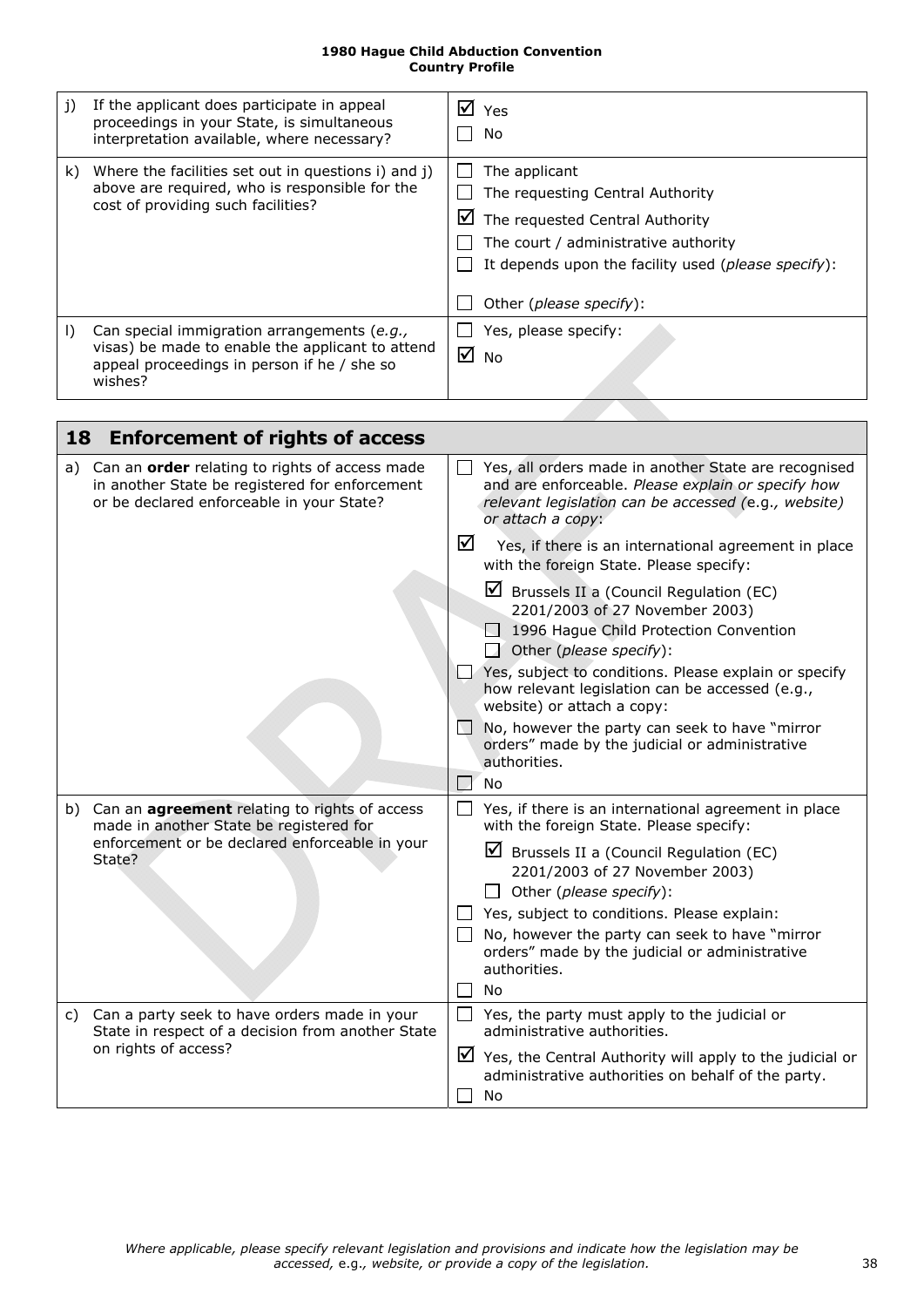<span id="page-37-1"></span>

| j)        | If the applicant does participate in appeal<br>proceedings in your State, is simultaneous<br>interpretation available, where necessary?                   | $\overline{M}$ Yes<br>No                                                                                                                                                                                                     |
|-----------|-----------------------------------------------------------------------------------------------------------------------------------------------------------|------------------------------------------------------------------------------------------------------------------------------------------------------------------------------------------------------------------------------|
| k)        | Where the facilities set out in questions i) and j)<br>above are required, who is responsible for the<br>cost of providing such facilities?               | The applicant<br>The requesting Central Authority<br>⊻<br>The requested Central Authority<br>The court / administrative authority<br>It depends upon the facility used (please specify):<br>Other ( <i>please specify</i> ): |
| $\vert$ ) | Can special immigration arrangements (e.g.,<br>visas) be made to enable the applicant to attend<br>appeal proceedings in person if he / she so<br>wishes? | Yes, please specify:<br>☑<br><b>No</b>                                                                                                                                                                                       |

<span id="page-37-0"></span>

| 18 | <b>Enforcement of rights of access</b>                                                                                                                  |                |                                                                                                                                                                                         |
|----|---------------------------------------------------------------------------------------------------------------------------------------------------------|----------------|-----------------------------------------------------------------------------------------------------------------------------------------------------------------------------------------|
|    | a) Can an <b>order</b> relating to rights of access made<br>in another State be registered for enforcement<br>or be declared enforceable in your State? |                | Yes, all orders made in another State are recognised<br>and are enforceable. Please explain or specify how<br>relevant legislation can be accessed (e.g., website)<br>or attach a copy: |
|    |                                                                                                                                                         | ☑              | Yes, if there is an international agreement in place<br>with the foreign State. Please specify:                                                                                         |
|    |                                                                                                                                                         |                | $\boxtimes$ Brussels II a (Council Regulation (EC)<br>2201/2003 of 27 November 2003)<br>1996 Hague Child Protection Convention<br>Other (please specify):                               |
|    |                                                                                                                                                         |                | $\Box$ Yes, subject to conditions. Please explain or specify<br>how relevant legislation can be accessed (e.g.,<br>website) or attach a copy:                                           |
|    |                                                                                                                                                         | $\overline{1}$ | No, however the party can seek to have "mirror"<br>orders" made by the judicial or administrative<br>authorities.<br><b>No</b>                                                          |
|    | b) Can an agreement relating to rights of access<br>made in another State be registered for                                                             | $\Box$         | Yes, if there is an international agreement in place<br>with the foreign State. Please specify:                                                                                         |
|    | enforcement or be declared enforceable in your<br>State?                                                                                                |                | ⊻<br>Brussels II a (Council Regulation (EC)<br>2201/2003 of 27 November 2003)<br>Other (please specify):                                                                                |
|    |                                                                                                                                                         |                | Yes, subject to conditions. Please explain:                                                                                                                                             |
|    |                                                                                                                                                         |                | No, however the party can seek to have "mirror<br>orders" made by the judicial or administrative<br>authorities.                                                                        |
|    |                                                                                                                                                         |                | No                                                                                                                                                                                      |
|    | c) Can a party seek to have orders made in your<br>State in respect of a decision from another State                                                    |                | Yes, the party must apply to the judicial or<br>administrative authorities.                                                                                                             |
|    | on rights of access?                                                                                                                                    |                | $\boxtimes$ Yes, the Central Authority will apply to the judicial or<br>administrative authorities on behalf of the party.<br>No                                                        |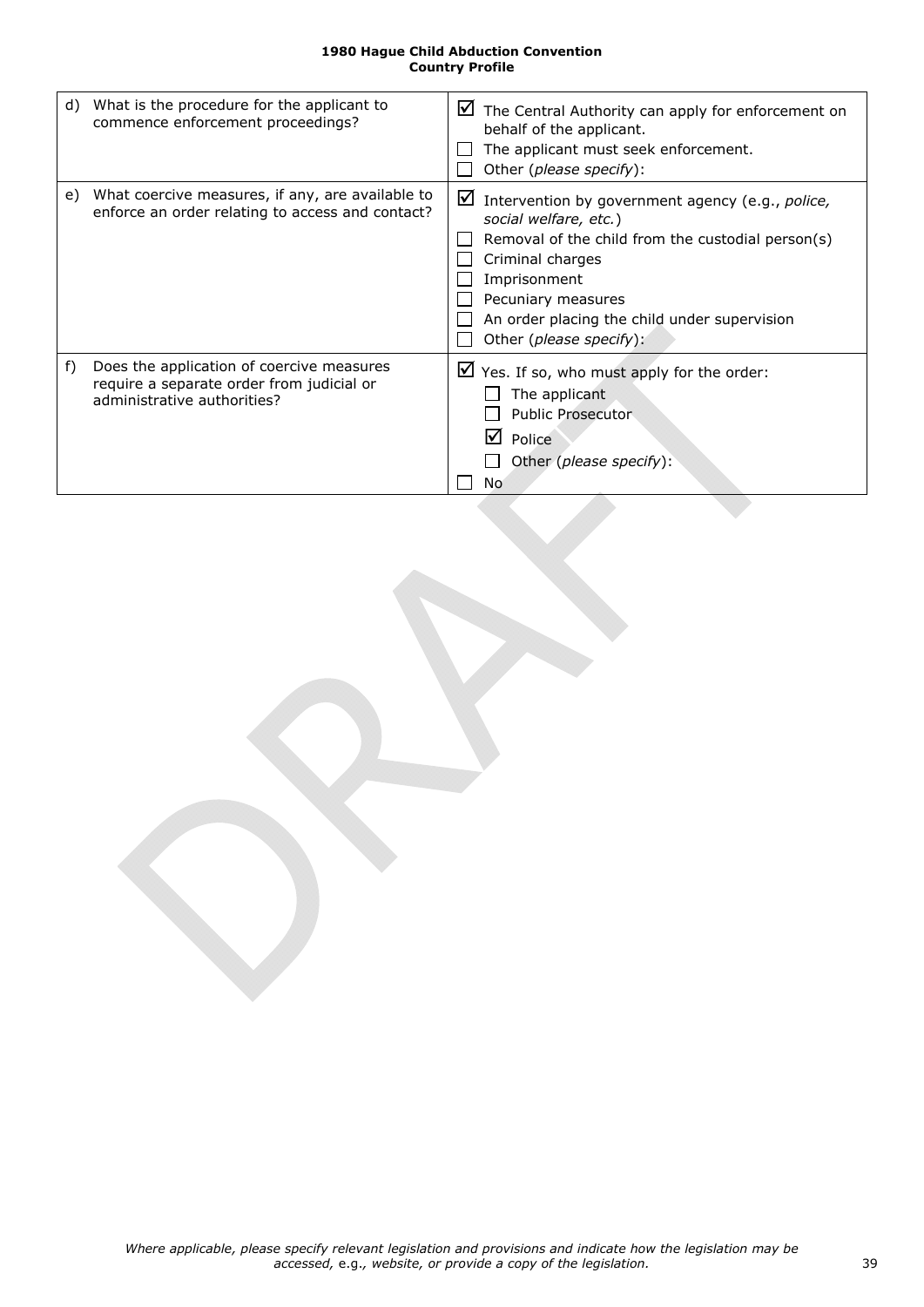|    | d) What is the procedure for the applicant to<br>commence enforcement proceedings?                                    | $\boxtimes$ The Central Authority can apply for enforcement on<br>behalf of the applicant.<br>The applicant must seek enforcement.<br>Other (please specify):                                                                                                                        |
|----|-----------------------------------------------------------------------------------------------------------------------|--------------------------------------------------------------------------------------------------------------------------------------------------------------------------------------------------------------------------------------------------------------------------------------|
|    | e) What coercive measures, if any, are available to<br>enforce an order relating to access and contact?               | $\triangleright$ Intervention by government agency (e.g., police,<br>social welfare, etc.)<br>Removal of the child from the custodial person(s)<br>Criminal charges<br>Imprisonment<br>Pecuniary measures<br>An order placing the child under supervision<br>Other (please specify): |
| f) | Does the application of coercive measures<br>require a separate order from judicial or<br>administrative authorities? | $\triangleright$ Yes. If so, who must apply for the order:<br>The applicant<br><b>Public Prosecutor</b><br>lт<br>Police<br>Other (please specify):<br>No                                                                                                                             |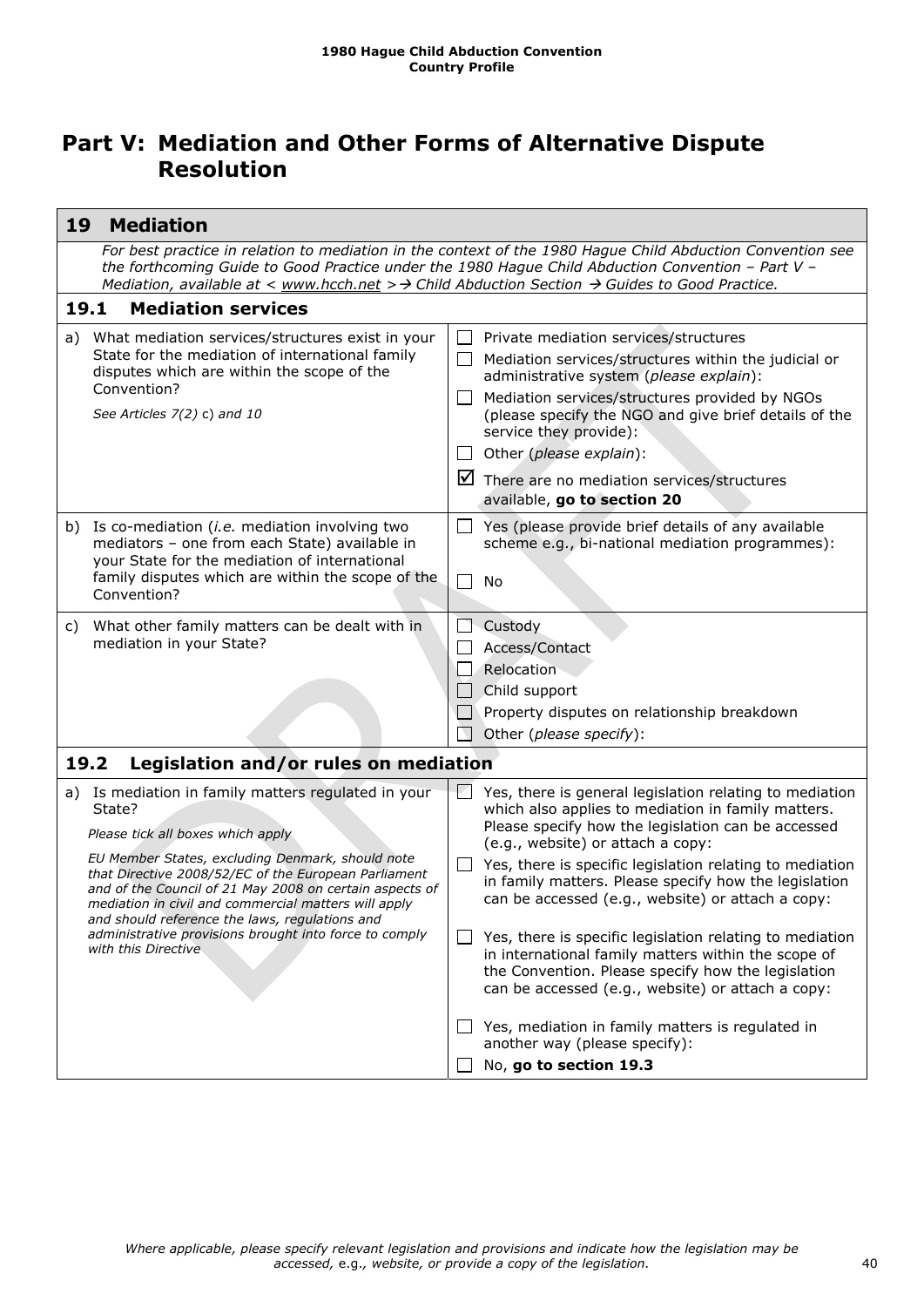## <span id="page-39-0"></span>**Part V: Mediation and Other Forms of Alternative Dispute Resolution**

<span id="page-39-3"></span><span id="page-39-2"></span><span id="page-39-1"></span>

| 19   | <b>Mediation</b>                                                                                                                                                                                                                                                                                                 |                          |                                                                                                                                                                                                                            |
|------|------------------------------------------------------------------------------------------------------------------------------------------------------------------------------------------------------------------------------------------------------------------------------------------------------------------|--------------------------|----------------------------------------------------------------------------------------------------------------------------------------------------------------------------------------------------------------------------|
|      | For best practice in relation to mediation in the context of the 1980 Hague Child Abduction Convention see<br>the forthcoming Guide to Good Practice under the 1980 Hague Child Abduction Convention - Part V -<br>Mediation, available at < www.hcch.net > > Child Abduction Section > Guides to Good Practice. |                          |                                                                                                                                                                                                                            |
| 19.1 | <b>Mediation services</b>                                                                                                                                                                                                                                                                                        |                          |                                                                                                                                                                                                                            |
| a)   | What mediation services/structures exist in your                                                                                                                                                                                                                                                                 | $\mathsf{L}$             | Private mediation services/structures                                                                                                                                                                                      |
|      | State for the mediation of international family<br>disputes which are within the scope of the<br>Convention?                                                                                                                                                                                                     | $\perp$                  | Mediation services/structures within the judicial or<br>administrative system (please explain):                                                                                                                            |
|      | See Articles $7(2)$ c) and 10                                                                                                                                                                                                                                                                                    | $\perp$                  | Mediation services/structures provided by NGOs<br>(please specify the NGO and give brief details of the<br>service they provide):                                                                                          |
|      |                                                                                                                                                                                                                                                                                                                  | $\perp$                  | Other (please explain):                                                                                                                                                                                                    |
|      |                                                                                                                                                                                                                                                                                                                  | ⊻                        | There are no mediation services/structures                                                                                                                                                                                 |
|      |                                                                                                                                                                                                                                                                                                                  |                          | available, go to section 20                                                                                                                                                                                                |
|      | b) Is co-mediation (i.e. mediation involving two<br>mediators - one from each State) available in<br>your State for the mediation of international                                                                                                                                                               | $\Box$                   | Yes (please provide brief details of any available<br>scheme e.g., bi-national mediation programmes):                                                                                                                      |
|      | family disputes which are within the scope of the<br>Convention?                                                                                                                                                                                                                                                 | $\Box$                   | No                                                                                                                                                                                                                         |
| C)   | What other family matters can be dealt with in                                                                                                                                                                                                                                                                   |                          | Custody                                                                                                                                                                                                                    |
|      | mediation in your State?                                                                                                                                                                                                                                                                                         |                          | Access/Contact                                                                                                                                                                                                             |
|      |                                                                                                                                                                                                                                                                                                                  |                          | Relocation                                                                                                                                                                                                                 |
|      |                                                                                                                                                                                                                                                                                                                  | $\overline{\phantom{a}}$ | Child support                                                                                                                                                                                                              |
|      |                                                                                                                                                                                                                                                                                                                  |                          | Property disputes on relationship breakdown                                                                                                                                                                                |
|      |                                                                                                                                                                                                                                                                                                                  | N                        | Other (please specify):                                                                                                                                                                                                    |
| 19.2 | Legislation and/or rules on mediation                                                                                                                                                                                                                                                                            |                          |                                                                                                                                                                                                                            |
|      | a) Is mediation in family matters regulated in your<br>State?<br>Please tick all boxes which apply                                                                                                                                                                                                               | FΙ                       | Yes, there is general legislation relating to mediation<br>which also applies to mediation in family matters.<br>Please specify how the legislation can be accessed                                                        |
|      | EU Member States, excluding Denmark, should note                                                                                                                                                                                                                                                                 |                          | (e.g., website) or attach a copy:                                                                                                                                                                                          |
|      | that Directive 2008/52/EC of the European Parliament<br>and of the Council of 21 May 2008 on certain aspects of<br>mediation in civil and commercial matters will apply<br>and should reference the laws, regulations and                                                                                        | $\Box$                   | Yes, there is specific legislation relating to mediation<br>in family matters. Please specify how the legislation<br>can be accessed (e.g., website) or attach a copy:                                                     |
|      | administrative provisions brought into force to comply<br>with this Directive                                                                                                                                                                                                                                    |                          | Yes, there is specific legislation relating to mediation<br>in international family matters within the scope of<br>the Convention. Please specify how the legislation<br>can be accessed (e.g., website) or attach a copy: |
|      |                                                                                                                                                                                                                                                                                                                  |                          | Yes, mediation in family matters is regulated in<br>another way (please specify):                                                                                                                                          |
|      |                                                                                                                                                                                                                                                                                                                  |                          | No, go to section 19.3                                                                                                                                                                                                     |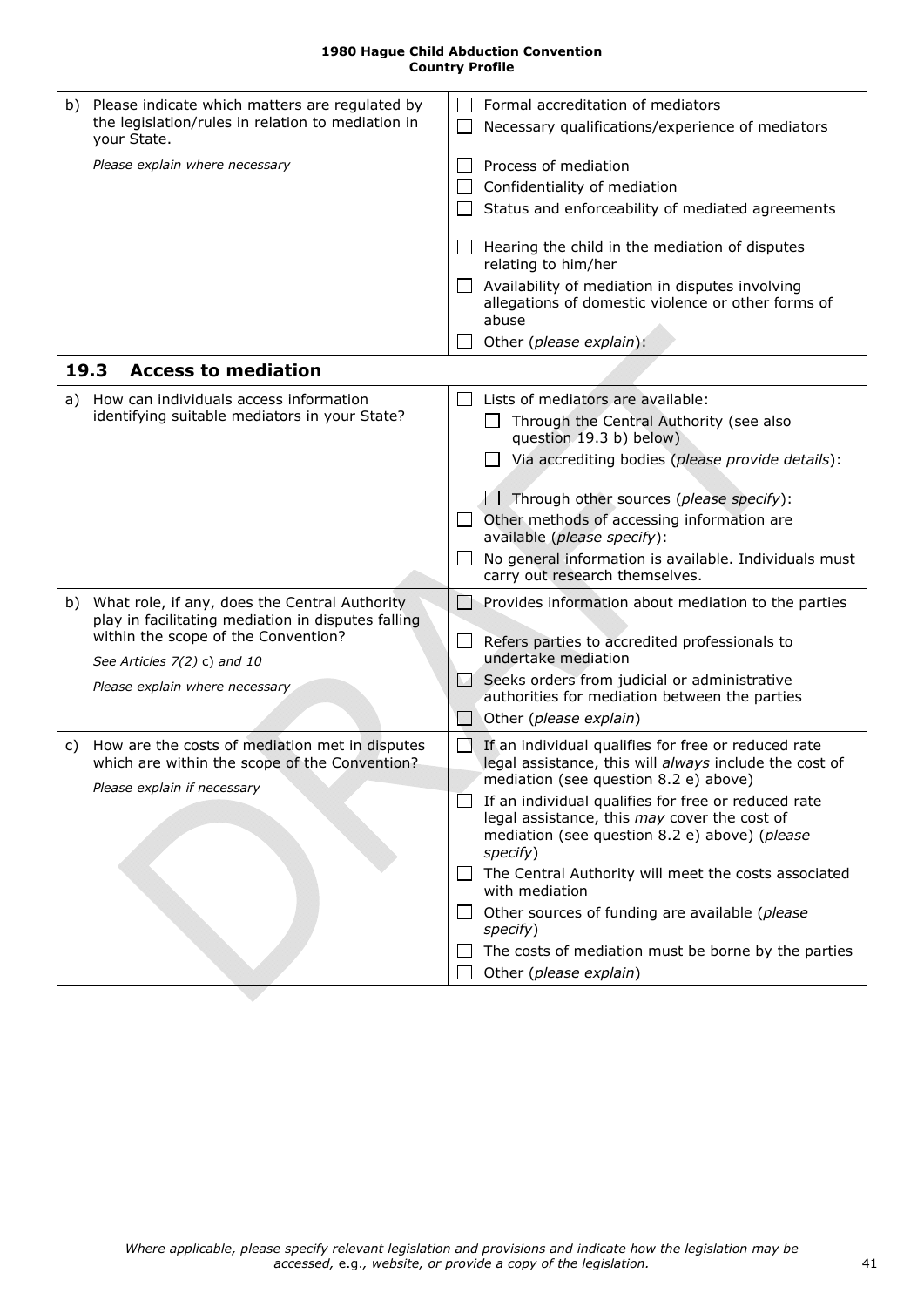<span id="page-40-2"></span><span id="page-40-1"></span><span id="page-40-0"></span>

| b) | Please indicate which matters are regulated by<br>the legislation/rules in relation to mediation in<br>your State.                                                                                                                                                                                          | $\mathsf{L}$<br>$\Box$                 | Formal accreditation of mediators<br>Necessary qualifications/experience of mediators                                                                                                                                                                                                                                                                                                                                                                                                                                                                                                                                                    |
|----|-------------------------------------------------------------------------------------------------------------------------------------------------------------------------------------------------------------------------------------------------------------------------------------------------------------|----------------------------------------|------------------------------------------------------------------------------------------------------------------------------------------------------------------------------------------------------------------------------------------------------------------------------------------------------------------------------------------------------------------------------------------------------------------------------------------------------------------------------------------------------------------------------------------------------------------------------------------------------------------------------------------|
|    | Please explain where necessary                                                                                                                                                                                                                                                                              | $\Box$                                 | Process of mediation<br>Confidentiality of mediation<br>Status and enforceability of mediated agreements                                                                                                                                                                                                                                                                                                                                                                                                                                                                                                                                 |
|    |                                                                                                                                                                                                                                                                                                             | $\perp$                                | Hearing the child in the mediation of disputes<br>relating to him/her<br>Availability of mediation in disputes involving<br>allegations of domestic violence or other forms of<br>abuse<br>Other (please explain):                                                                                                                                                                                                                                                                                                                                                                                                                       |
|    | 19.3<br><b>Access to mediation</b>                                                                                                                                                                                                                                                                          |                                        |                                                                                                                                                                                                                                                                                                                                                                                                                                                                                                                                                                                                                                          |
| a) | How can individuals access information<br>identifying suitable mediators in your State?<br>b) What role, if any, does the Central Authority<br>play in facilitating mediation in disputes falling<br>within the scope of the Convention?<br>See Articles $7(2)$ c) and 10<br>Please explain where necessary | $\perp$<br>$\perp$<br>$\Box$<br>$\Box$ | Lists of mediators are available:<br>Through the Central Authority (see also<br>question 19.3 b) below)<br>Via accrediting bodies (please provide details):<br>Through other sources (please specify):<br>Other methods of accessing information are<br>available (please specify):<br>No general information is available. Individuals must<br>carry out research themselves.<br>Provides information about mediation to the parties<br>Refers parties to accredited professionals to<br>undertake mediation<br>Seeks orders from judicial or administrative<br>authorities for mediation between the parties<br>Other (please explain) |
| C) | How are the costs of mediation met in disputes<br>which are within the scope of the Convention?<br>Please explain if necessary                                                                                                                                                                              | $\Box$                                 | If an individual qualifies for free or reduced rate<br>legal assistance, this will always include the cost of<br>mediation (see question 8.2 e) above)<br>$\Box$ If an individual qualifies for free or reduced rate<br>legal assistance, this may cover the cost of<br>mediation (see question 8.2 e) above) (please<br>specify)<br>The Central Authority will meet the costs associated<br>with mediation<br>Other sources of funding are available (please<br>specify)<br>The costs of mediation must be borne by the parties<br>Other (please explain)                                                                               |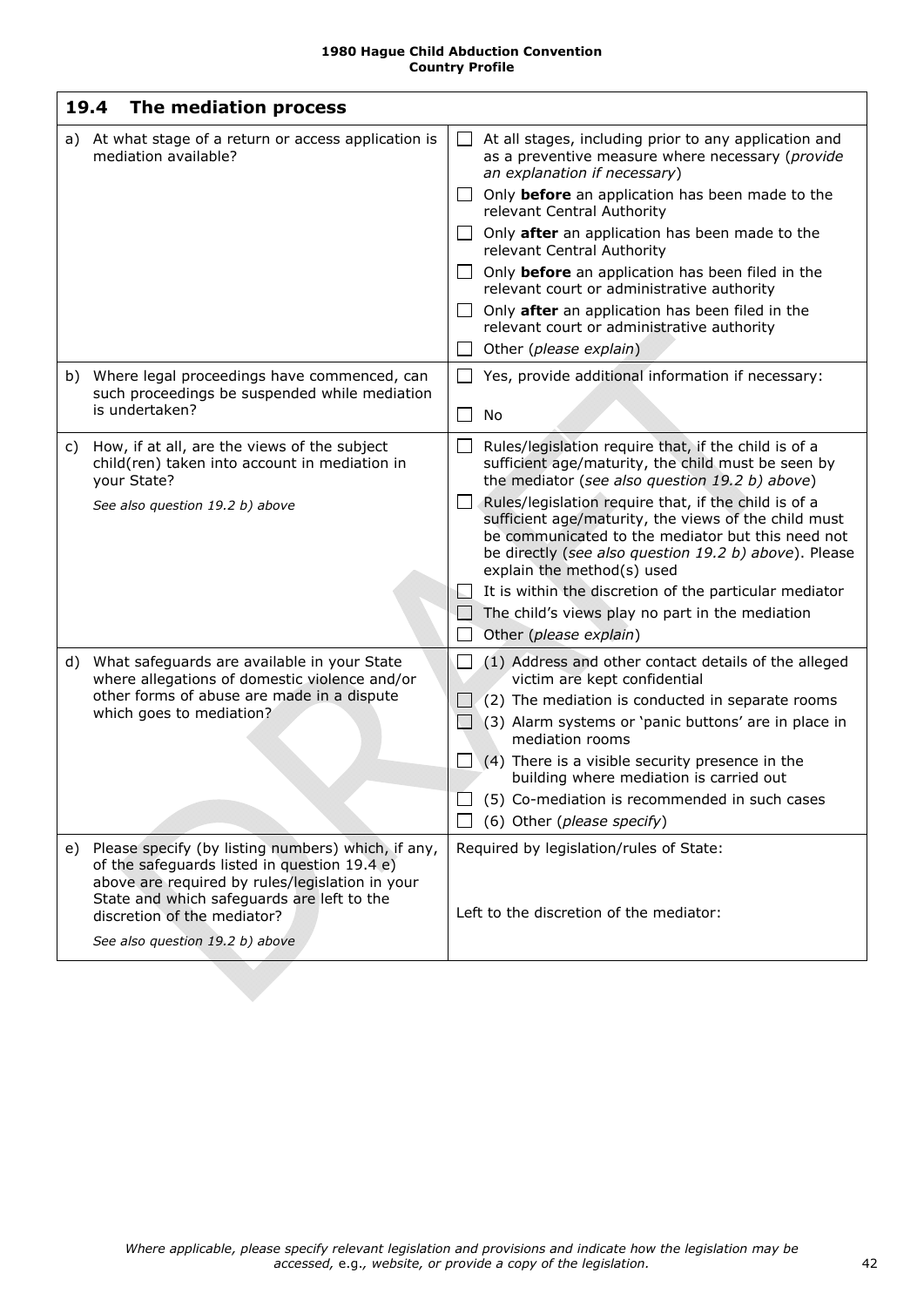<span id="page-41-1"></span><span id="page-41-0"></span>

| 19.4 | The mediation process                                                                                                                                                                                                              |                                |                                                                                                                                                                                                                                                          |
|------|------------------------------------------------------------------------------------------------------------------------------------------------------------------------------------------------------------------------------------|--------------------------------|----------------------------------------------------------------------------------------------------------------------------------------------------------------------------------------------------------------------------------------------------------|
| a)   | At what stage of a return or access application is<br>mediation available?                                                                                                                                                         | $\Box$                         | At all stages, including prior to any application and<br>as a preventive measure where necessary (provide<br>an explanation if necessary)                                                                                                                |
|      |                                                                                                                                                                                                                                    |                                | $\Box$ Only <b>before</b> an application has been made to the<br>relevant Central Authority                                                                                                                                                              |
|      |                                                                                                                                                                                                                                    |                                | $\Box$ Only <b>after</b> an application has been made to the<br>relevant Central Authority                                                                                                                                                               |
|      |                                                                                                                                                                                                                                    | $\perp$                        | Only before an application has been filed in the<br>relevant court or administrative authority                                                                                                                                                           |
|      |                                                                                                                                                                                                                                    | $\Box$                         | Only after an application has been filed in the<br>relevant court or administrative authority                                                                                                                                                            |
|      |                                                                                                                                                                                                                                    |                                | Other (please explain)                                                                                                                                                                                                                                   |
|      | b) Where legal proceedings have commenced, can<br>such proceedings be suspended while mediation                                                                                                                                    | $\Box$                         | Yes, provide additional information if necessary:                                                                                                                                                                                                        |
|      | is undertaken?                                                                                                                                                                                                                     | $\Box$                         | No                                                                                                                                                                                                                                                       |
| C)   | How, if at all, are the views of the subject<br>child(ren) taken into account in mediation in<br>your State?                                                                                                                       | $\Box$                         | Rules/legislation require that, if the child is of a<br>sufficient age/maturity, the child must be seen by<br>the mediator (see also question 19.2 b) above)                                                                                             |
|      | See also question 19.2 b) above                                                                                                                                                                                                    | $\Box$                         | Rules/legislation require that, if the child is of a<br>sufficient age/maturity, the views of the child must<br>be communicated to the mediator but this need not<br>be directly (see also question 19.2 b) above). Please<br>explain the method(s) used |
|      |                                                                                                                                                                                                                                    | ЬJ                             | It is within the discretion of the particular mediator                                                                                                                                                                                                   |
|      |                                                                                                                                                                                                                                    | $\overline{a}$<br>$\mathbf{L}$ | The child's views play no part in the mediation<br>Other (please explain)                                                                                                                                                                                |
| d)   | What safeguards are available in your State<br>where allegations of domestic violence and/or<br>other forms of abuse are made in a dispute<br>which goes to mediation?                                                             | $\mathsf{L}$                   | (1) Address and other contact details of the alleged<br>victim are kept confidential                                                                                                                                                                     |
|      |                                                                                                                                                                                                                                    |                                | (2) The mediation is conducted in separate rooms                                                                                                                                                                                                         |
|      |                                                                                                                                                                                                                                    | $\Box$                         | (3) Alarm systems or 'panic buttons' are in place in<br>mediation rooms                                                                                                                                                                                  |
|      |                                                                                                                                                                                                                                    |                                | $\Box$ (4) There is a visible security presence in the<br>building where mediation is carried out                                                                                                                                                        |
|      |                                                                                                                                                                                                                                    |                                | (5) Co-mediation is recommended in such cases                                                                                                                                                                                                            |
|      |                                                                                                                                                                                                                                    |                                | (6) Other (please specify)                                                                                                                                                                                                                               |
| e)   | Please specify (by listing numbers) which, if any,<br>of the safeguards listed in question 19.4 e)<br>above are required by rules/legislation in your<br>State and which safeguards are left to the<br>discretion of the mediator? |                                | Required by legislation/rules of State:<br>Left to the discretion of the mediator:                                                                                                                                                                       |
|      | See also question 19.2 b) above                                                                                                                                                                                                    |                                |                                                                                                                                                                                                                                                          |
|      |                                                                                                                                                                                                                                    |                                |                                                                                                                                                                                                                                                          |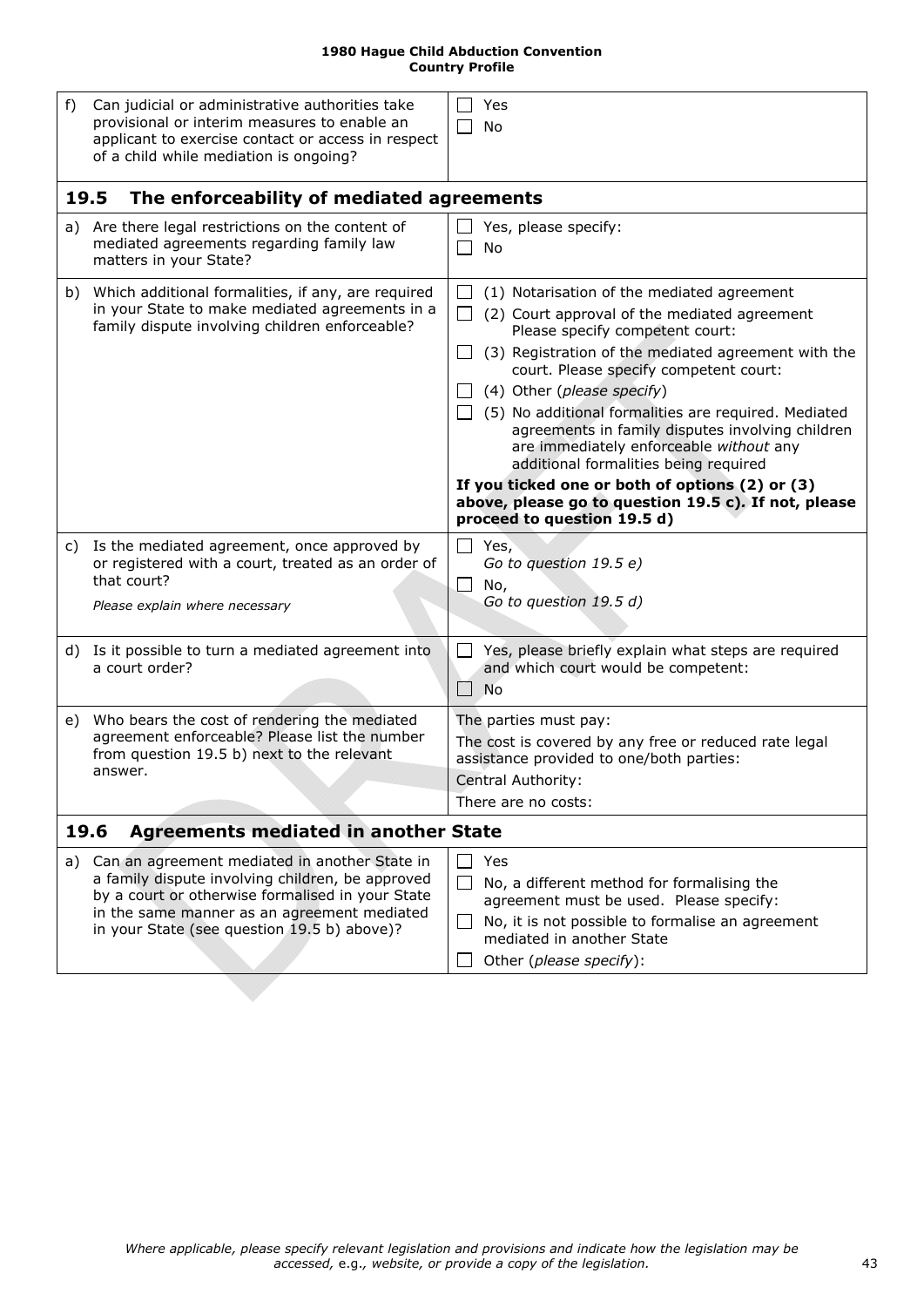<span id="page-42-5"></span><span id="page-42-4"></span><span id="page-42-3"></span><span id="page-42-2"></span><span id="page-42-1"></span><span id="page-42-0"></span>

| f)   | Can judicial or administrative authorities take<br>provisional or interim measures to enable an<br>applicant to exercise contact or access in respect<br>of a child while mediation is ongoing?                                                     | Yes<br>No                                                                                                                                                                                                                                                                                                                                                                                                                                                                                                                                                                                              |
|------|-----------------------------------------------------------------------------------------------------------------------------------------------------------------------------------------------------------------------------------------------------|--------------------------------------------------------------------------------------------------------------------------------------------------------------------------------------------------------------------------------------------------------------------------------------------------------------------------------------------------------------------------------------------------------------------------------------------------------------------------------------------------------------------------------------------------------------------------------------------------------|
| 19.5 | The enforceability of mediated agreements                                                                                                                                                                                                           |                                                                                                                                                                                                                                                                                                                                                                                                                                                                                                                                                                                                        |
| a)   | Are there legal restrictions on the content of<br>mediated agreements regarding family law<br>matters in your State?                                                                                                                                | Yes, please specify:<br>No                                                                                                                                                                                                                                                                                                                                                                                                                                                                                                                                                                             |
|      | b) Which additional formalities, if any, are required<br>in your State to make mediated agreements in a<br>family dispute involving children enforceable?                                                                                           | (1) Notarisation of the mediated agreement<br>(2) Court approval of the mediated agreement<br>Please specify competent court:<br>(3) Registration of the mediated agreement with the<br>court. Please specify competent court:<br>(4) Other (please specify)<br>(5) No additional formalities are required. Mediated<br>agreements in family disputes involving children<br>are immediately enforceable without any<br>additional formalities being required<br>If you ticked one or both of options (2) or (3)<br>above, please go to question 19.5 c). If not, please<br>proceed to question 19.5 d) |
|      | c) Is the mediated agreement, once approved by<br>or registered with a court, treated as an order of<br>that court?<br>Please explain where necessary                                                                                               | Yes,<br>Go to question 19.5 e)<br>$\Box$<br>No,<br>Go to question 19.5 d)                                                                                                                                                                                                                                                                                                                                                                                                                                                                                                                              |
|      | d) Is it possible to turn a mediated agreement into<br>a court order?                                                                                                                                                                               | Yes, please briefly explain what steps are required<br>and which court would be competent:<br><b>No</b>                                                                                                                                                                                                                                                                                                                                                                                                                                                                                                |
| e)   | Who bears the cost of rendering the mediated<br>agreement enforceable? Please list the number<br>from question 19.5 b) next to the relevant<br>answer.                                                                                              | The parties must pay:<br>The cost is covered by any free or reduced rate legal<br>assistance provided to one/both parties:<br>Central Authority:<br>There are no costs:                                                                                                                                                                                                                                                                                                                                                                                                                                |
| 19.6 | <b>Agreements mediated in another State</b>                                                                                                                                                                                                         |                                                                                                                                                                                                                                                                                                                                                                                                                                                                                                                                                                                                        |
| a)   | Can an agreement mediated in another State in<br>a family dispute involving children, be approved<br>by a court or otherwise formalised in your State<br>in the same manner as an agreement mediated<br>in your State (see question 19.5 b) above)? | Yes<br>No, a different method for formalising the<br>agreement must be used. Please specify:<br>No, it is not possible to formalise an agreement<br>$\blacksquare$<br>mediated in another State<br>Other (please specify):                                                                                                                                                                                                                                                                                                                                                                             |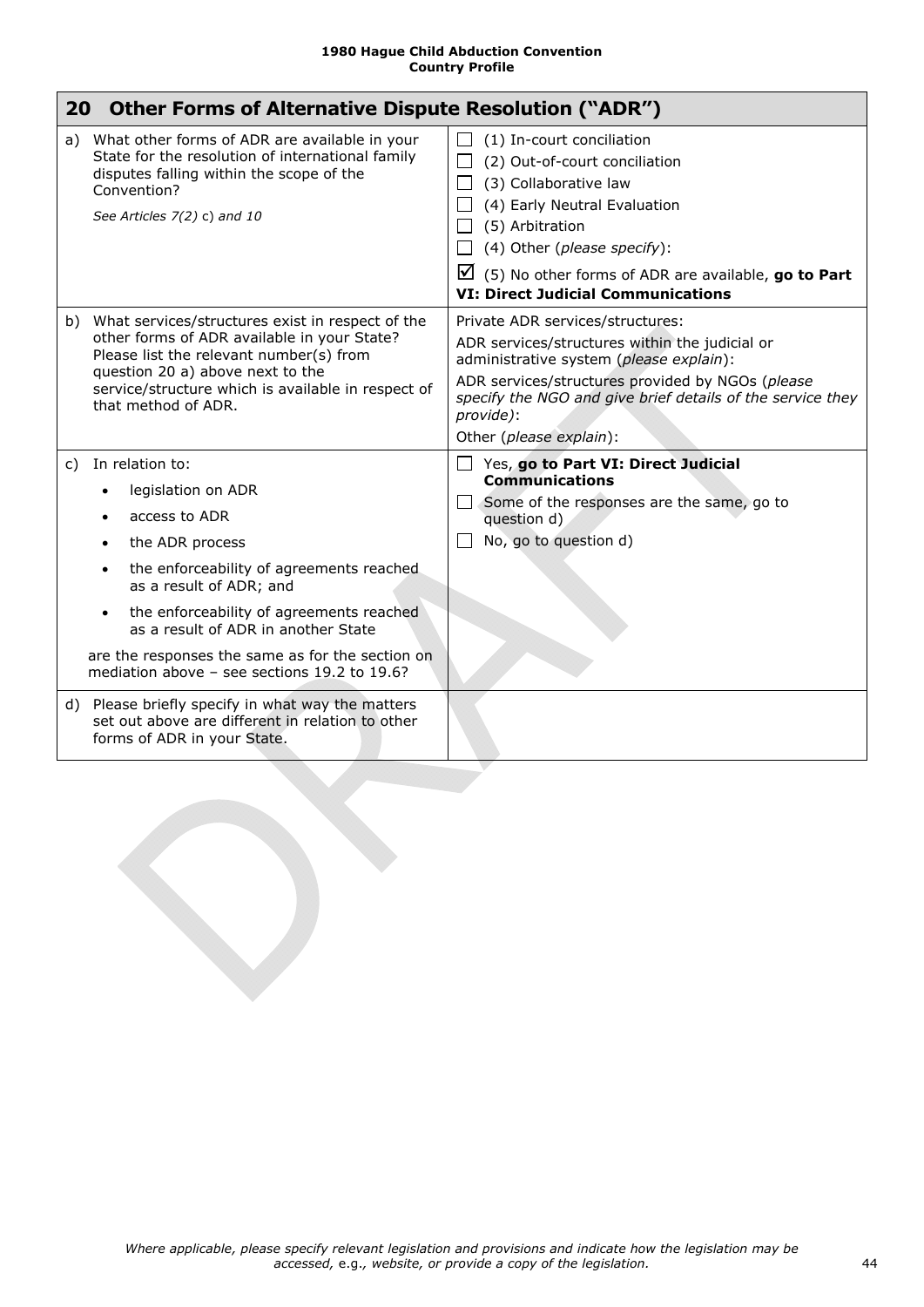<span id="page-43-2"></span><span id="page-43-1"></span><span id="page-43-0"></span>

| 20 | <b>Other Forms of Alternative Dispute Resolution ("ADR")</b>                                                                                                                                                                                                                                                                                           |                                                                                                                                                                                                                                                                                                       |
|----|--------------------------------------------------------------------------------------------------------------------------------------------------------------------------------------------------------------------------------------------------------------------------------------------------------------------------------------------------------|-------------------------------------------------------------------------------------------------------------------------------------------------------------------------------------------------------------------------------------------------------------------------------------------------------|
|    | a) What other forms of ADR are available in your<br>State for the resolution of international family<br>disputes falling within the scope of the<br>Convention?<br>See Articles 7(2) c) and 10                                                                                                                                                         | (1) In-court conciliation<br>(2) Out-of-court conciliation<br>(3) Collaborative law<br>$\mathsf{L}$<br>(4) Early Neutral Evaluation<br>(5) Arbitration<br>(4) Other (please specify):<br>$\boxtimes$ (5) No other forms of ADR are available, go to Part<br><b>VI: Direct Judicial Communications</b> |
|    | b) What services/structures exist in respect of the<br>other forms of ADR available in your State?<br>Please list the relevant number(s) from<br>question 20 a) above next to the<br>service/structure which is available in respect of<br>that method of ADR.                                                                                         | Private ADR services/structures:<br>ADR services/structures within the judicial or<br>administrative system (please explain):<br>ADR services/structures provided by NGOs (please<br>specify the NGO and give brief details of the service they<br>provide):<br>Other (please explain):               |
| C) | In relation to:<br>legislation on ADR<br>access to ADR<br>the ADR process<br>the enforceability of agreements reached<br>as a result of ADR; and<br>the enforceability of agreements reached<br>$\bullet$<br>as a result of ADR in another State<br>are the responses the same as for the section on<br>mediation above $-$ see sections 19.2 to 19.6? | $\Box$ Yes, go to Part VI: Direct Judicial<br><b>Communications</b><br>Some of the responses are the same, go to<br>question d)<br>No, go to question d)                                                                                                                                              |
|    | d) Please briefly specify in what way the matters<br>set out above are different in relation to other<br>forms of ADR in your State.                                                                                                                                                                                                                   |                                                                                                                                                                                                                                                                                                       |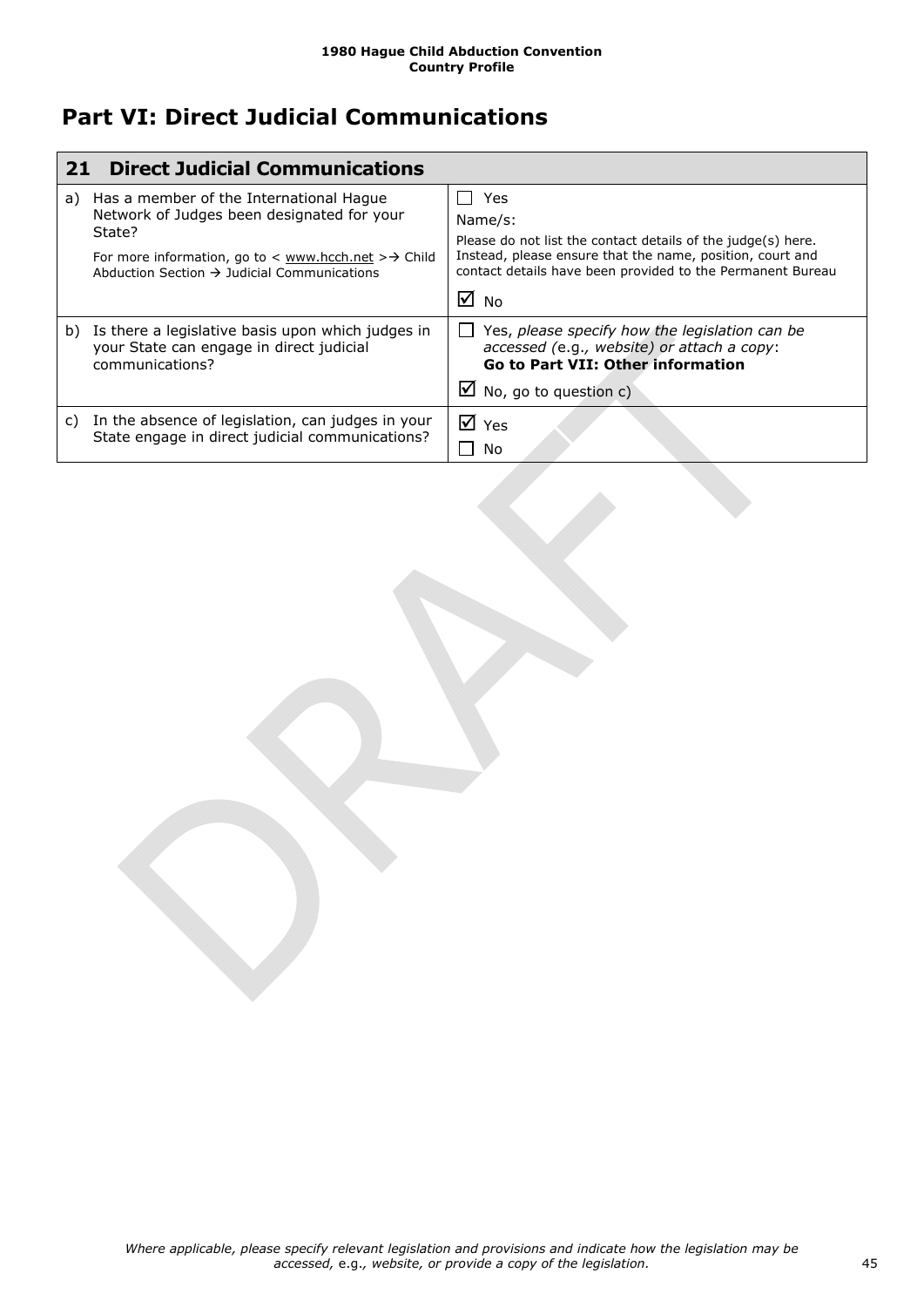## <span id="page-44-0"></span>**Part VI: Direct Judicial Communications**

<span id="page-44-2"></span><span id="page-44-1"></span>

| 21 | <b>Direct Judicial Communications</b>                                                                                                                                                                                        |                                                                                                                                                                                                                             |
|----|------------------------------------------------------------------------------------------------------------------------------------------------------------------------------------------------------------------------------|-----------------------------------------------------------------------------------------------------------------------------------------------------------------------------------------------------------------------------|
| a) | Has a member of the International Hague<br>Network of Judges been designated for your<br>State?<br>For more information, go to $\lt$ www.hcch.net $\gt \to$ Child<br>Abduction Section $\rightarrow$ Judicial Communications | Yes<br>Name/s:<br>Please do not list the contact details of the judge(s) here.<br>Instead, please ensure that the name, position, court and<br>contact details have been provided to the Permanent Bureau<br>$\boxtimes$ No |
| b) | Is there a legislative basis upon which judges in<br>your State can engage in direct judicial<br>communications?                                                                                                             | Yes, please specify how the legislation can be<br>accessed (e.g., website) or attach a copy:<br><b>Go to Part VII: Other information</b><br>$\blacksquare$ No, go to question c)                                            |
| C) | In the absence of legislation, can judges in your<br>State engage in direct judicial communications?                                                                                                                         | $\overline{M}$ Yes<br>No                                                                                                                                                                                                    |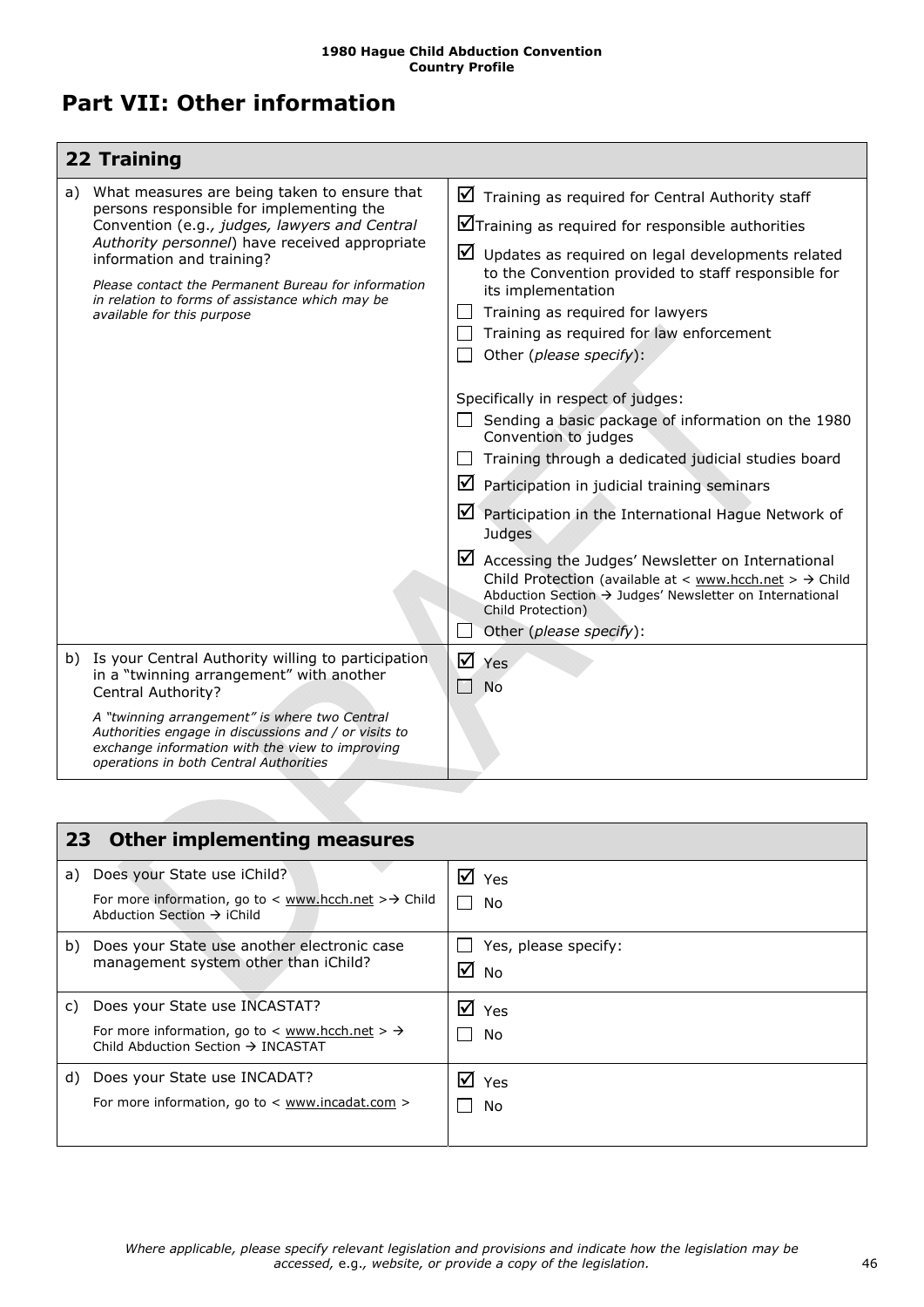## <span id="page-45-0"></span>**Part VII: Other information**

<span id="page-45-1"></span>

|    | 22 Training                                                                                                                                                                                                                                                                                                                                                      |   |                                                                                                                                                                                                                                                                                                                                                                                                                                                                                                                                                                                                                                                                                                                                                                                                                                                                                                                         |
|----|------------------------------------------------------------------------------------------------------------------------------------------------------------------------------------------------------------------------------------------------------------------------------------------------------------------------------------------------------------------|---|-------------------------------------------------------------------------------------------------------------------------------------------------------------------------------------------------------------------------------------------------------------------------------------------------------------------------------------------------------------------------------------------------------------------------------------------------------------------------------------------------------------------------------------------------------------------------------------------------------------------------------------------------------------------------------------------------------------------------------------------------------------------------------------------------------------------------------------------------------------------------------------------------------------------------|
| a) | What measures are being taken to ensure that<br>persons responsible for implementing the<br>Convention (e.g., judges, lawyers and Central<br>Authority personnel) have received appropriate<br>information and training?<br>Please contact the Permanent Bureau for information<br>in relation to forms of assistance which may be<br>available for this purpose | ☑ | $\boxtimes$ Training as required for Central Authority staff<br>$\Box$ Training as required for responsible authorities<br>Updates as required on legal developments related<br>to the Convention provided to staff responsible for<br>its implementation<br>Training as required for lawyers<br>Training as required for law enforcement<br>Other (please specify):<br>Specifically in respect of judges:<br>Sending a basic package of information on the 1980<br>Convention to judges<br>Training through a dedicated judicial studies board<br>$\triangleright$ Participation in judicial training seminars<br>Participation in the International Hague Network of<br>Judges<br>Accessing the Judges' Newsletter on International<br>Child Protection (available at < www.hcch.net > $\rightarrow$ Child<br>Abduction Section → Judges' Newsletter on International<br>Child Protection)<br>Other (please specify): |
|    | b) Is your Central Authority willing to participation<br>in a "twinning arrangement" with another<br>Central Authority?<br>A "twinning arrangement" is where two Central<br>Authorities engage in discussions and / or visits to<br>exchange information with the view to improving<br>operations in both Central Authorities                                    | M | $\overline{\mathsf{y}}$ Yes<br><b>No</b>                                                                                                                                                                                                                                                                                                                                                                                                                                                                                                                                                                                                                                                                                                                                                                                                                                                                                |
|    |                                                                                                                                                                                                                                                                                                                                                                  |   |                                                                                                                                                                                                                                                                                                                                                                                                                                                                                                                                                                                                                                                                                                                                                                                                                                                                                                                         |

<span id="page-45-2"></span>

|    | 23 Other implementing measures                                                                               |                      |
|----|--------------------------------------------------------------------------------------------------------------|----------------------|
| a) | Does your State use iChild?                                                                                  | $\overline{M}$ Yes   |
|    | For more information, go to $\lt$ www.hcch.net $\gt \to$ Child<br>Abduction Section $\rightarrow$ iChild     | No                   |
|    | b) Does your State use another electronic case                                                               | Yes, please specify: |
|    | management system other than iChild?                                                                         | $\overline{M}$ No    |
| C) | Does your State use INCASTAT?                                                                                | $\overline{M}$ Yes   |
|    | For more information, go to < www.hcch.net > $\rightarrow$<br>Child Abduction Section $\rightarrow$ INCASTAT | No                   |
|    | d) Does your State use INCADAT?                                                                              | $\overline{M}$ Yes   |
|    | For more information, go to $\lt$ www.incadat.com $\gt$                                                      | No                   |
|    |                                                                                                              |                      |